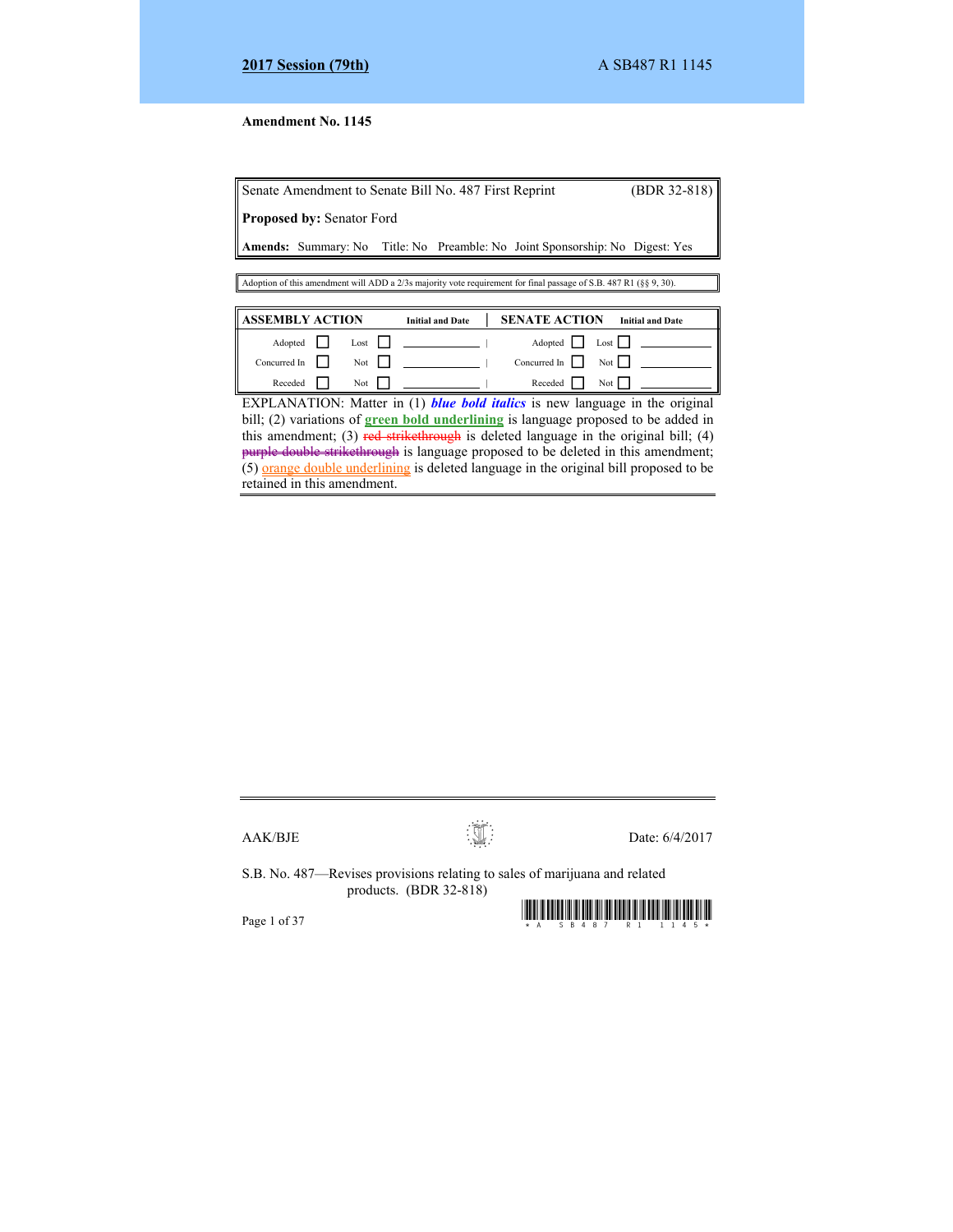# **Amendment No. 1145**

|         |                                  | Senate Amendment to Senate Bill No. 487 First Reprint |                                                                                                                   | $(BDR 32-818)$          |
|---------|----------------------------------|-------------------------------------------------------|-------------------------------------------------------------------------------------------------------------------|-------------------------|
|         | <b>Proposed by: Senator Ford</b> |                                                       |                                                                                                                   |                         |
|         |                                  |                                                       | <b>Amends:</b> Summary: No Title: No Preamble: No Joint Sponsorship: No Digest: Yes                               |                         |
|         |                                  |                                                       |                                                                                                                   |                         |
|         |                                  |                                                       | Adoption of this amendment will ADD a 2/3s majority vote requirement for final passage of S.B. 487 R1 (§§ 9, 30). |                         |
|         |                                  |                                                       |                                                                                                                   |                         |
|         | <b>ASSEMBLY ACTION</b>           | <b>Initial and Date</b>                               | <b>SENATE ACTION</b>                                                                                              | <b>Initial and Date</b> |
| Adopted | Lost                             |                                                       | Adopted                                                                                                           | Lost L                  |

Concurred In Not | Concurred In Not

 Receded Not | Receded Not EXPLANATION: Matter in (1) *blue bold italics* is new language in the original bill; (2) variations of **green bold underlining** is language proposed to be added in this amendment; (3) red strikethrough is deleted language in the original bill; (4) purple double strikethrough is language proposed to be deleted in this amendment;  $(5)$  orange double underlining is deleted language in the original bill proposed to be retained in this amendment.

 $AAK/BJE$  Date: 6/4/2017

S.B. No. 487—Revises provisions relating to sales of marijuana and related products. (BDR 32-818)

Page 1 of 37  $\blacksquare$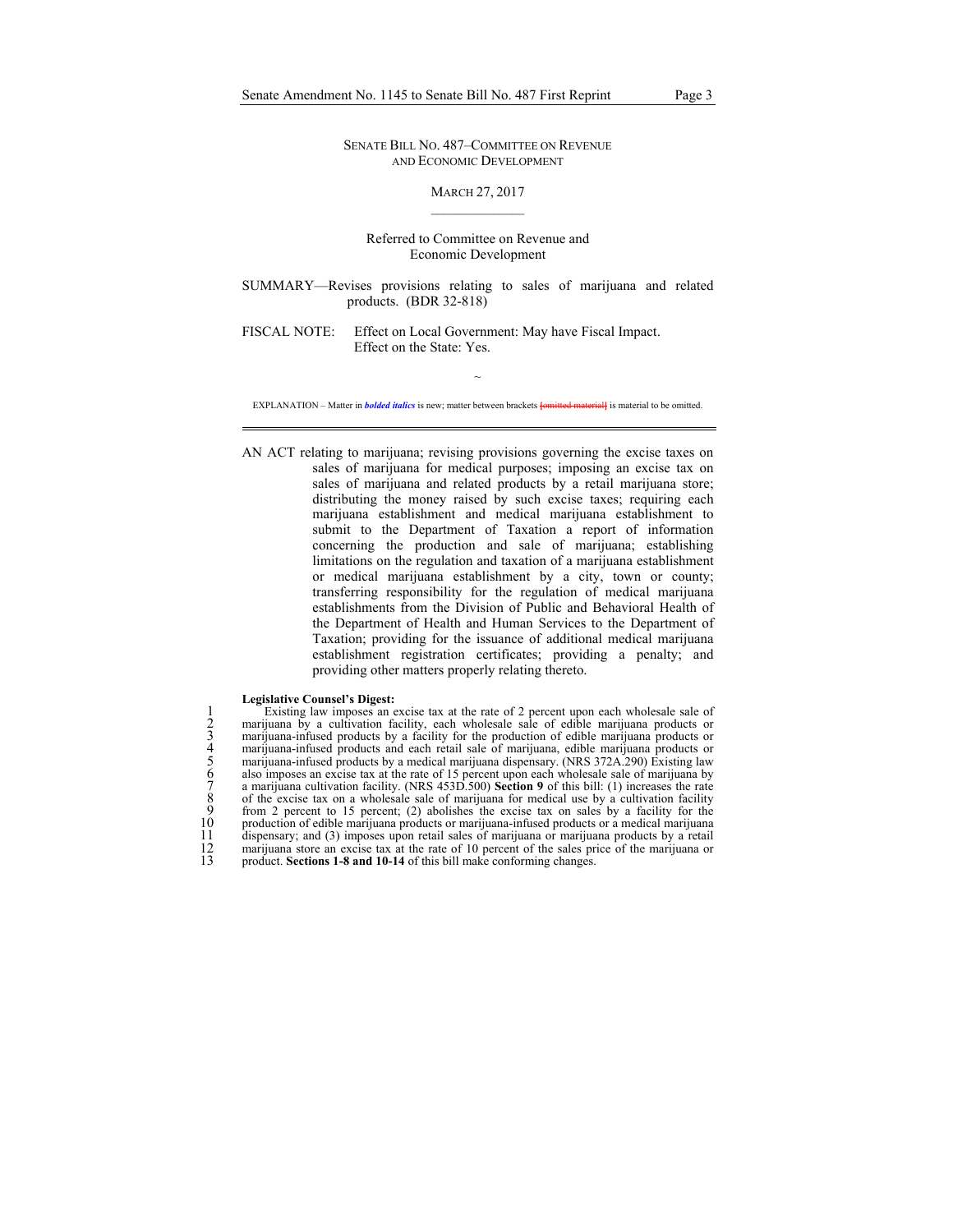SENATE BILL NO. 487–COMMITTEE ON REVENUE AND ECONOMIC DEVELOPMENT

### MARCH 27, 2017  $\mathcal{L}_\text{max}$

Referred to Committee on Revenue and Economic Development

SUMMARY—Revises provisions relating to sales of marijuana and related products. (BDR 32-818)

FISCAL NOTE: Effect on Local Government: May have Fiscal Impact. Effect on the State: Yes.

 $\sim$ EXPLANATION – Matter in *bolded italics* is new; matter between brackets **[**omitted material**]** is material to be omitted.

AN ACT relating to marijuana; revising provisions governing the excise taxes on sales of marijuana for medical purposes; imposing an excise tax on sales of marijuana and related products by a retail marijuana store; distributing the money raised by such excise taxes; requiring each marijuana establishment and medical marijuana establishment to submit to the Department of Taxation a report of information concerning the production and sale of marijuana; establishing limitations on the regulation and taxation of a marijuana establishment or medical marijuana establishment by a city, town or county; transferring responsibility for the regulation of medical marijuana establishments from the Division of Public and Behavioral Health of the Department of Health and Human Services to the Department of Taxation; providing for the issuance of additional medical marijuana establishment registration certificates; providing a penalty; and providing other matters properly relating thereto.

#### **Legislative Counsel's Digest:**

1 Existing law imposes an excise tax at the rate of 2 percent upon each wholesale sale of 2 marijuana by a cultivation facility, each wholesale sale of edible marijuana products or 3 marijuana-infused products by a facility for the production of edible marijuana products or 4 marijuana-infused products and each retail sale of marijuana, edible marijuana products or 5 marijuana-infused products by a medical marijuana dispensary. (NRS 372A.290) Existing law Existing law imposes an excise tax at the rate of 2 percent upon each wholesale sale of<br>marijuana by a cultivation facility, each wholesale sale of edible marijuana products or<br>marijuana-infused products by a facility for 7 a marijuana cultivation facility. (NRS 453D.500) **Section 9** of this bill: (1) increases the rate 8 of the excise tax on a wholesale sale of marijuana for medical use by a cultivation facility from 2 percent to 15 percent; (2) abolishes the excise tax on sales by a facility for the 10 production of edible marijuana products or marijuana-infused products or a medical marijuana 11 dispensary; and (3) imposes upon retail sales of marijuana or marijuana products by a retail 12 marijuana store an excise tax at the rate of 10 percent of the sales price of the marijuana or product. **Sections 1-8 and 10-14** of this bill make conforming changes. product. **Sections 1-8 and 10-14** of this bill make conforming changes.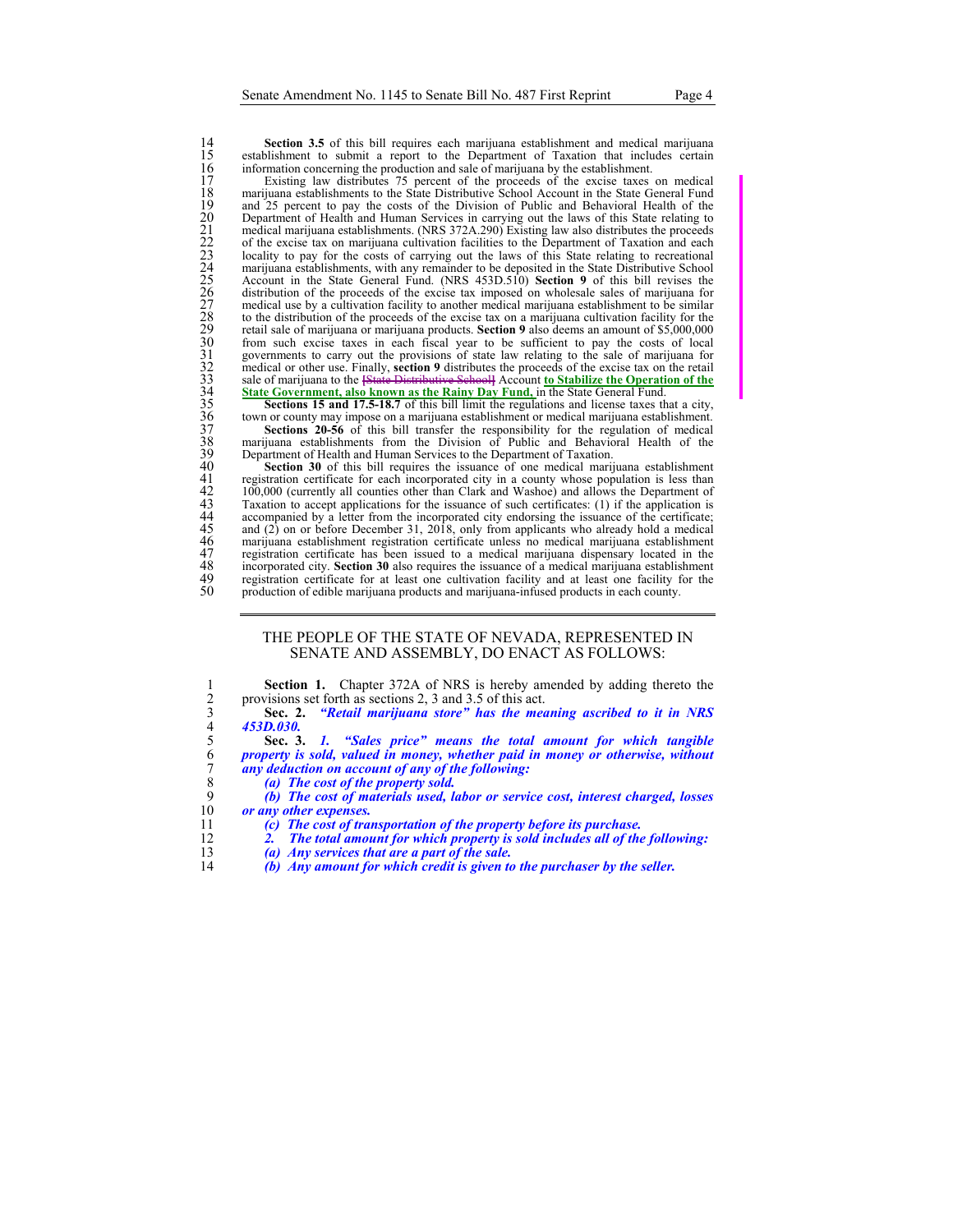14 **Section 3.5** of this bill requires each marijuana establishment and medical marijuana establishment to submit a report to the Department of Taxation that includes certain 15 establishment to submit a report to the Department of Taxation that includes certain information concerning the production and sale of marijuana by the establishment.<br>17 Existing law distributes 75 percent of the procee information concerning the production and sale of marijuana by the establishment.

17<br>
Existing law distributes 75 percent of the proceeds of the excise taxes on medical<br>
namelynama establishments to the State Distributive School Account in the State General Fund<br>
namelynama establishments. (NRS 372A.29 marijuana establishments to the State Distributive School Account in the State General Fund and 25 percent to pay the costs of the Division of Public and Behavioral Health of the 20 Department of Health and Human Services in carrying out the laws of this State relating to 21 medical marijuana establishments. (NRS 372A.290) Existing law also distributes the proceeds 22 of the excise tax on marijuana cultivation facilities to the Department of Taxation and each locality to pay for the costs of carrying out the laws of this State relating to recreational marijuana establishments, with any remainder to be deposited in the State Distributive School 25 Account in the State General Fund. (NRS 453D.510) **Section 9** of this bill revises the distribution of the proceeds of the excise tax imposed on wholesale sales of marijuana for 27 medical use by a cultivation facility to another medical marijuana establishment to be similar 28 to the distribution of the proceeds of the excise tax on a marijuana cultivation facility for the 29 retail sale of marijuana or marijuana products. **Section 9** also deems an amount of \$5,000,000 from such excise taxes in each fiscal year to be sufficient to pay the costs of local governments to carry out the provisions of state law relating to the sale of marijuana for 32 medical or other use. Finally, **section 9** distributes the proceeds of the excise tax on the retail 33 sale of marijuana to the **[**State Distributive School**]** Account **to Stabilize the Operation of the State Government, also known as the Rainy Day Fund, in the State General Fund.** 

**Sections 15 and 17.5-18.7** of this bill limit the regulations and license taxes that a city, town or county may impose on a marijuana establishment or medical marijuana establishment.

**Sections 20-56** of this bill transfer the responsibility for the regulation of medical marijuana establishments from the Division of Public and Behavioral Health of the Department of Health and Human Services to the Department of Taxation.

Section 30 of this bill requires the issuance of one medical marijuana establishment registration certificate for each incorporated city in a county whose population is less than 42 100,000 (currently all counties other than Clark and Washoe) and allows the Department of Taxation to accept applications for the issuance of such certificates: (1) if the application is accompanied by a letter from the incorporated city endorsing the issuance of the certificate; 45 and (2) on or before December 31, 2018, only from applicants who already hold a medical marijuana establishment registration certificate has been issued to a medical marijuana dispensary located in the incorporated cit 46 marijuana establishment registration certificate unless no medical marijuana establishment registration certificate has been issued to a medical marijuana dispensary located in the incorporated city. Section 30 also requires the issuance of a medical marijuana establishment registration certificate for at least one cultivation facility and at least one facility for the 50 production of edible marijuana products and marijuana-infused products in each county.

## THE PEOPLE OF THE STATE OF NEVADA, REPRESENTED IN SENATE AND ASSEMBLY, DO ENACT AS FOLLOWS:

1 **Section 1.** Chapter 372A of NRS is hereby amended by adding thereto the provisions set forth as sections 2, 3 and 3.5 of this act.<br>3 **Sec. 2.** "Retail marijuana store" has the meaning ascribed to it in NRS provisions set forth as sections 2, 3 and 3.5 of this act.

3 **Sec. 2.** *"Retail marijuana store" has the meaning ascribed to it in NRS*  4 *453D.030.*

5 **Sec. 3.** *1. "Sales price" means the total amount for which tangible*  6 *property is sold, valued in money, whether paid in money or otherwise, without* **any deduction on account of any of the following:<br>
(a) The cost of the property sold.** any deduction on account of any of the following:

8 *(a) The cost of the property sold.* 

9 *(b) The cost of materials used, labor or service cost, interest charged, losses*  10 *or any other expenses.* 

- 11 *(c) The cost of transportation of the property before its purchase.*
- 12 *2. The total amount for which property is sold includes all of the following:*
- 13 *(a) Any services that are a part of the sale.*
- 14 *(b) Any amount for which credit is given to the purchaser by the seller.*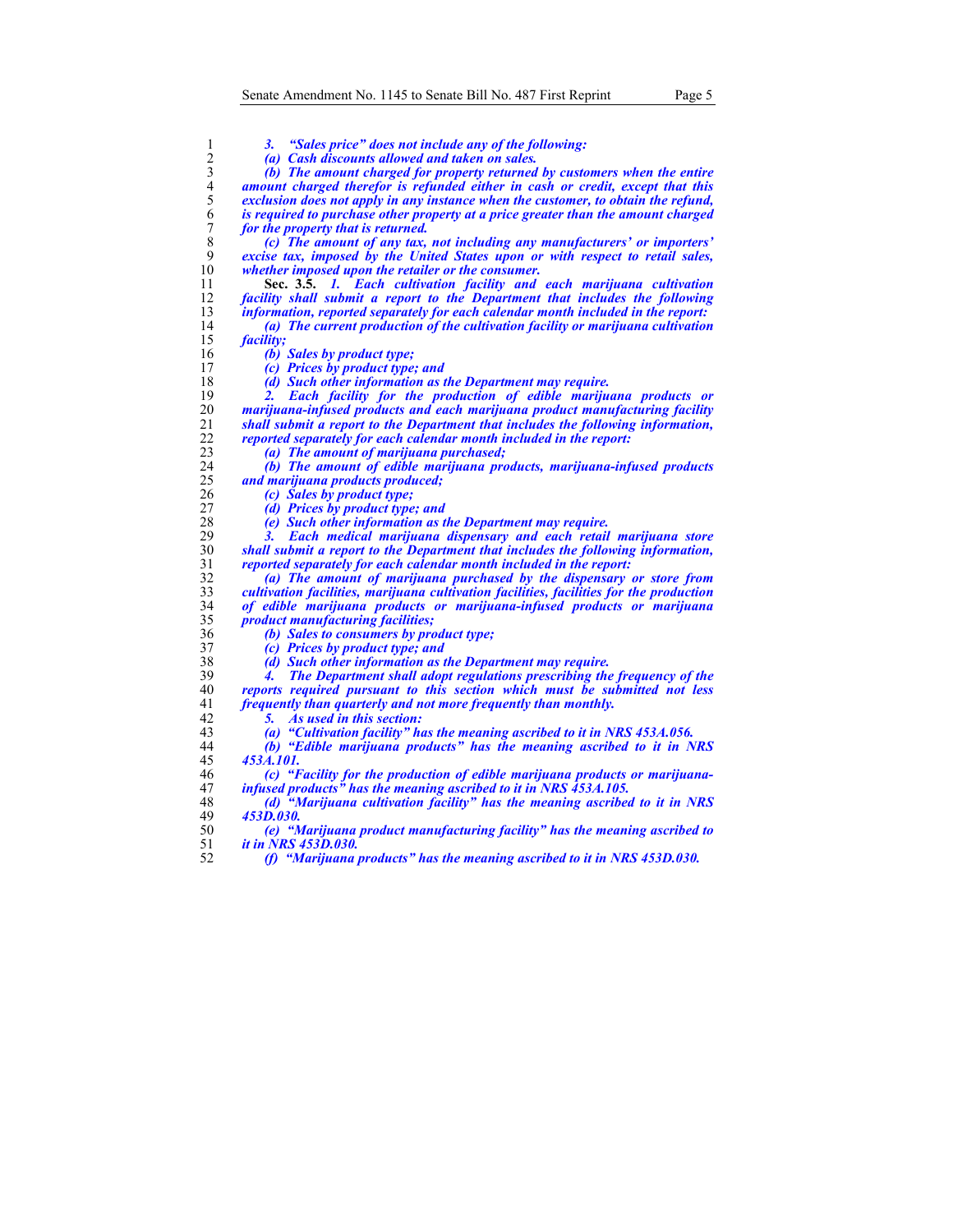<sup>3</sup>. "Sales price" does not include any of the following:<br>
<sup>2</sup> (a) Cash discounts allowed and taken on sales.<br>
<sup>3</sup> (b) The amount charged for property returned by custo<br>
<sup>4</sup> amount charged therefor is refunded either in ca *(a) Cash discounts allowed and taken on sales. (b) The amount charged for property returned by customers when the entire*  amount charged therefor is refunded either in cash or credit, except that this *exclusion does not apply in any instance when the customer, to obtain the refund,*  is required to purchase other property at a price greater than the amount charged *for the property that is returned. (c) The amount of any tax, not including any manufacturers' or importers' excise tax, imposed by the United States upon or with respect to retail sales,*  whether *imposed upon the retailer or the consumer*. **Sec. 3.5.** *1. Each cultivation facility and each marijuana cultivation facility shall submit a report to the Department that includes the following information, reported separately for each calendar month included in the report: (a) The current production of the cultivation facility or marijuana cultivation*  facility; *(b) Sales by product type; (c) Prices by product type; and (d) Such other information as the Department may require. 2. Each facility for the production of edible marijuana products or marijuana-infused products and each marijuana product manufacturing facility shall submit a report to the Department that includes the following information, reported separately for each calendar month included in the report: (a) The amount of marijuana purchased; (b) The amount of edible marijuana products, marijuana-infused products and marijuana products produced; (c) Sales by product type; (d) Prices by product type; and (e) Such other information as the Department may require. 3. Each medical marijuana dispensary and each retail marijuana store shall submit a report to the Department that includes the following information, reported separately for each calendar month included in the report: (a) The amount of marijuana purchased by the dispensary or store from cultivation facilities, marijuana cultivation facilities, facilities for the production of edible marijuana products or marijuana-infused products or marijuana product manufacturing facilities; (b) Sales to consumers by product type; (c) Prices by product type; and (d) Such other information as the Department may require. 4. The Department shall adopt regulations prescribing the frequency of the reports required pursuant to this section which must be submitted not less frequently than quarterly and not more frequently than monthly. 5. As used in this section: (a) "Cultivation facility" has the meaning ascribed to it in NRS 453A.056. (b) "Edible marijuana products" has the meaning ascribed to it in NRS 453A.101. (c) "Facility for the production of edible marijuana products or marijuana-infused products" has the meaning ascribed to it in NRS 453A.105. (d) "Marijuana cultivation facility" has the meaning ascribed to it in NRS 453D.030. (e) "Marijuana product manufacturing facility" has the meaning ascribed to it in NRS 453D.030. (f) "Marijuana products" has the meaning ascribed to it in NRS 453D.030.*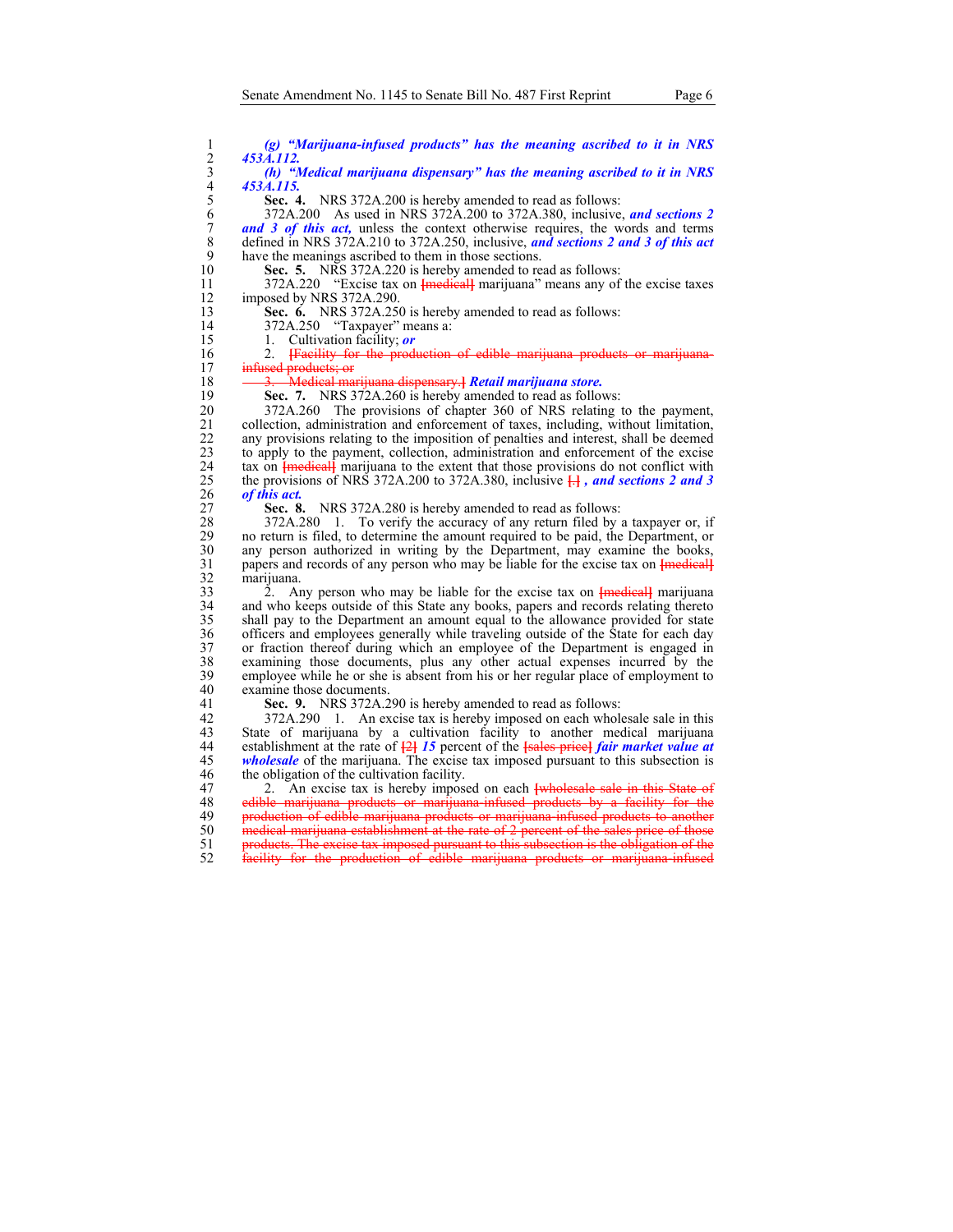(g) "Marijuana-infused products" has the meaning ascribed to it in NRS<br>
2 453A.112.<br>
(h) "Medical marijuana dispensary" has the meaning ascribed to it in NRS<br>
4 453A.115.<br>
5 Sec. 4. NRS 372A.200 is hereby amended to read a 2 *453A.112.* 

3 *(h) "Medical marijuana dispensary" has the meaning ascribed to it in NRS*  4 *453A.115.*

5 **Sec. 4.** NRS 372A.200 is hereby amended to read as follows:

6 372A.200 As used in NRS 372A.200 to 372A.380, inclusive, *and sections 2*  7 **and 3 of this act,** unless the context otherwise requires, the words and terms defined in NRS 372A.210 to 372A.250, inclusive, and sections 2 and 3 of this act 8 defined in NRS 372A.210 to 372A.250, inclusive, *and sections 2 and 3 of this act*  9 have the meanings ascribed to them in those sections.<br>10 **Sec. 5.** NRS 372A.220 is hereby amended to re

Sec. 5. NRS 372A.220 is hereby amended to read as follows:

11 372A.220 "Excise tax on **[**medical**]** marijuana" means any of the excise taxes 12 imposed by NRS 372A.290.<br>13 **Sec. 6.** NRS 372A.250

**Sec. 6.** NRS 372A.250 is hereby amended to read as follows:

14 372A.250 "Taxpayer" means a:

15 1. Cultivation facility; *or*

16 2. **[Facility for the production of edible marijuana products or marijuana-**<br>17 **infused products: or** infused products; or

18 3. Medical marijuana dispensary.**]** *Retail marijuana store.* 

19 **Sec. 7.** NRS 372A.260 is hereby amended to read as follows:<br>20 372A.260 The provisions of chapter 360 of NRS relating t 20 372A.260 The provisions of chapter 360 of NRS relating to the payment,<br>21 collection, administration and enforcement of taxes, including, without limitation, 21 collection, administration and enforcement of taxes, including, without limitation,<br>22 any provisions relating to the imposition of penalties and interest, shall be deemed 22 any provisions relating to the imposition of penalties and interest, shall be deemed<br>23 bo apply to the payment, collection, administration and enforcement of the excise to apply to the payment, collection, administration and enforcement of the excise 24 tax on **[**medical] marijuana to the extent that those provisions do not conflict with the provisions of NRS 372A.200 to 372A.380, inclusive  $\frac{1}{11}$ , and sections 2 and 3 25 the provisions of NRS 372A.200 to 372A.380, inclusive  $\frac{1}{11}$ *, and sections 2 and 3* 26 of this act. 26 *of this act.* 

27 **Sec. 8.** NRS 372A.280 is hereby amended to read as follows:<br>28 372A.280 1. To verify the accuracy of any return filed by 28 372A.280 1. To verify the accuracy of any return filed by a taxpayer or, if no return is filed, to determine the amount required to be paid, the Department, or 29 no return is filed, to determine the amount required to be paid, the Department, or any person authorized in writing by the Department, may examine the books. 30 any person authorized in writing by the Department, may examine the books, papers and records of any person who may be liable for the excise tax on  $\{$  medical 31 papers and records of any person who may be liable for the excise tax on  $\{$ <del>medical</del> $\}$  marijuana.

32 marijuana. 33 2. Any person who may be liable for the excise tax on **[**medical**]** marijuana and who keeps outside of this State any books, papers and records relating thereto 35 shall pay to the Department an amount equal to the allowance provided for state 36 officers and employees generally while traveling outside of the State for each day 37 or fraction thereof during which an employee of the Department is engaged in examining those documents, plus any other actual expenses incurred by the 38 examining those documents, plus any other actual expenses incurred by the employee while he or she is absent from his or her regular place of employment to 40 examine those documents.

41 **Sec. 9.** NRS 372A.290 is hereby amended to read as follows:<br>42 372A.290 1. An excise tax is hereby imposed on each whole

42 372A.290 1. An excise tax is hereby imposed on each wholesale sale in this State of marijuana by a cultivation facility to another medical marijuana 44 establishment at the rate of **[**2**]** *15* percent of the **[**sales price**]** *fair market value at*  45 *wholesale* of the marijuana. The excise tax imposed pursuant to this subsection is the obligation of the cultivation facility. the obligation of the cultivation facility.

47 2. An excise tax is hereby imposed on each **[wholesale sale in this State of** 48 edible marijuana products or marijuana infused products by a facility for the 48 edible marijuana products or marijuana-infused products by a facility for the<br>49 production of edible marijuana products or marijuana-infused products to another production of edible marijuana products or marijuana-infused products to another 50 medical marijuana establishment at the rate of 2 percent of the sales price of those 51 products. The excise tax imposed pursuant to this subsection is the obligation of the 52 facility for the production of edible marijuana products or marijuana-infused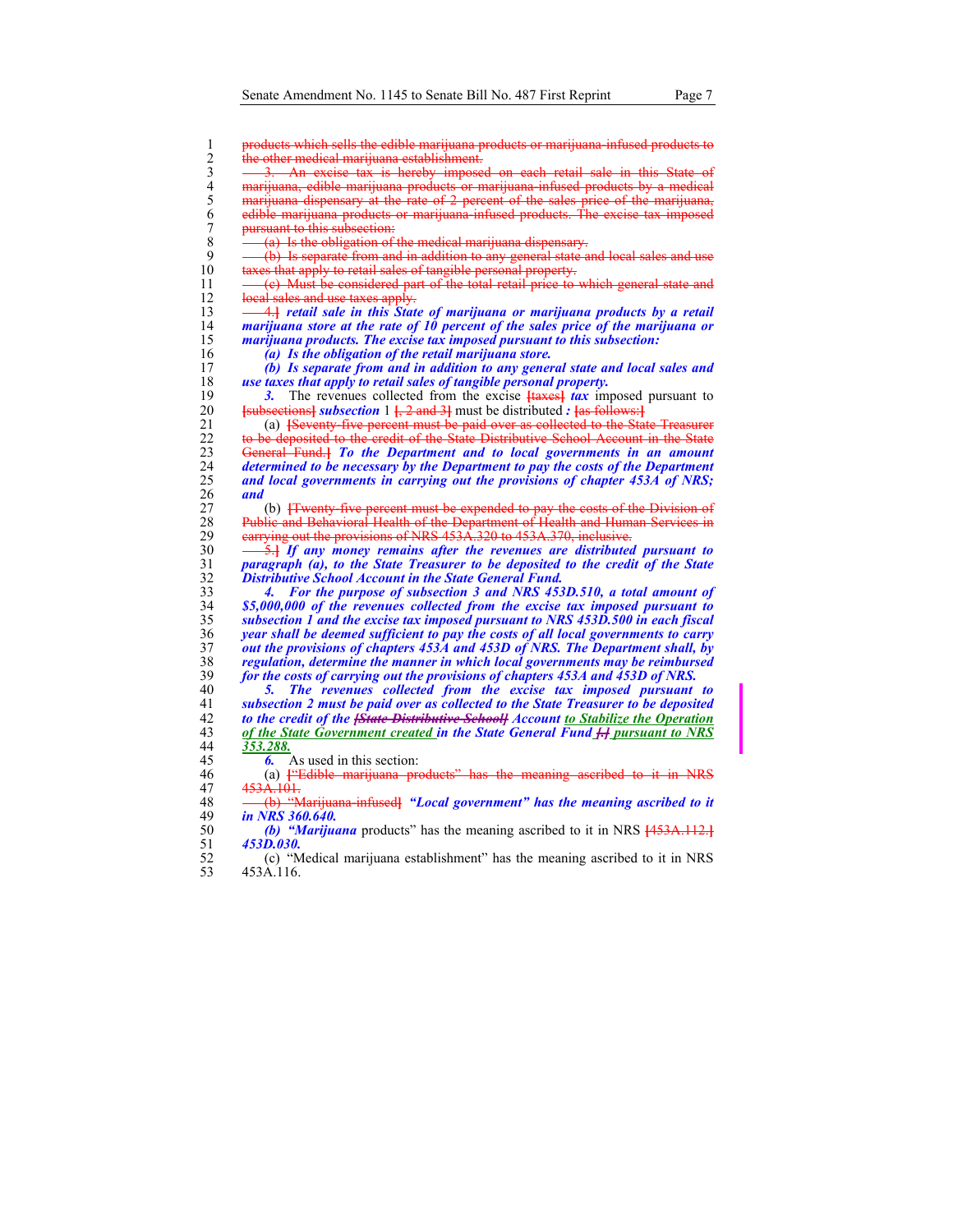1 products which sells the edible marijuana products or marijuana-infused products to the other medical marijuana establishment. 3. An excise tax is hereby imposed on each retail sale in this State of marijuana, edible marijuana products or marijuana-infused products by a medical 5 marijuana dispensary at the rate of 2 percent of the sales price of the marijuana, 6 edible marijuana products or marijuana-infused products. The excise tax imposed 7 pursuant to this subsection:<br>8  $\frac{1}{2}$  (a) Is the obligation of t 8  $\left(-\frac{a}{b}\right)$  Is the obligation of the medical marijuana dispensary.<br>9  $\left(-\frac{b}{b}\right)$  Is separate from and in addition to any general state of  $9 \leftarrow (b)$  Is separate from and in addition to any general state and local sales and use 10 taxes that apply to retail sales of tangible personal property. taxes that apply to retail sales of tangible personal property.  $11 \left( c \right)$  Must be considered part of the total retail price to which general state and 12 local sales and use taxes apply.<br>13 – 4. **Ferming and State in this State** 13 4.**]** *retail sale in this State of marijuana or marijuana products by a retail*  14 *marijuana store at the rate of 10 percent of the sales price of the marijuana or*  marijuana products. The excise tax imposed pursuant to this subsection: 16 *(a) Is the obligation of the retail marijuana store.*  17 *(b) Is separate from and in addition to any general state and local sales and*  18 *use taxes that apply to retail sales of tangible personal property.*  19 **3.** The revenues collected from the excise  $\frac{1}{4}$  **faxes**  $\frac{1}{4}$  *tax* imposed pursuant to  $\frac{1}{2}$  **f**  $\frac{1}{4}$  **f**  $\frac{1}{4}$  **f**  $\frac{1}{4}$  **f**  $\frac{1}{4}$  **f**  $\frac{1}{4}$  **f**  $\frac{1}{4}$  **f**  $\frac{1}{4}$  **f**  $\frac{1}{4}$ **Example 5 Islams Example 20 and 3** and 3 and 3 and 5 and 5 and 5 and 5 and 5 and 5 and 5 and 5 and 5 and 5 and 5 and 5 and 5 and 5 and 5 and 5 and 5 and 5 and 5 and 5 and 5 and 5 and 5 and 5 and 5 and 5 and 5 and 5 and 21 (a) **[**Seventy-five percent must be paid over as collected to the State Treasurer 22 to be deposited to the credit of the State Distributive School Account in the State<br>23 General Fund.] To the Department and to local governments in an amount 23 General Fund.**]** *To the Department and to local governments in an amount*  24 *determined to be necessary by the Department to pay the costs of the Department*  and local governments in carrying out the provisions of chapter 453A of NRS; 26 *and* 27 (b) **[**Twenty-five percent must be expended to pay the costs of the Division of 28 Public and Behavioral Health of the Department of Health and Human Services in 29 carrying out the provisions of NRS 453A.320 to 453A.370, inclusive. 30 <del>5.]</del> *If any money remains after the revenues are distributed pursuant to paragraph (a), to the State Treasurer to be deposited to the credit of the State* 31 *paragraph (a), to the State Treasurer to be deposited to the credit of the State*  32 *Distributive School Account in the State General Fund.*  33 *4. For the purpose of subsection 3 and NRS 453D.510, a total amount of*  34 *\$5,000,000 of the revenues collected from the excise tax imposed pursuant to*  35 *subsection 1 and the excise tax imposed pursuant to NRS 453D.500 in each fiscal*  36 *year shall be deemed sufficient to pay the costs of all local governments to carry*  37 *out the provisions of chapters 453A and 453D of NRS. The Department shall, by*  38 *regulation, determine the manner in which local governments may be reimbursed*  39 *for the costs of carrying out the provisions of chapters 453A and 453D of NRS.*  40 *5. The revenues collected from the excise tax imposed pursuant to*  41 *subsection 2 must be paid over as collected to the State Treasurer to be deposited* 

42 **to the credit of the <del>[State Distributive School]</del> Account <u>to Stabilize the Operation</u> 43 of the State Government created in the State General Fund <del>I.</del> pursuant to NRS** 43 *of the State Government created in the State General Fund [.] pursuant to NRS*  44 *353.288.*

45 *6.* As used in this section:

46 (a) **[**"Edible marijuana products" has the meaning ascribed to it in NRS 47  $453A.101$ .<br>48  $\longrightarrow$  (b) "M

48 (b) "Marijuana-infused**]** *"Local government" has the meaning ascribed to it*  49 *in NRS 360.640.* 

50 *(b) "Marijuana* products" has the meaning ascribed to it in NRS **[**453A.112.**]** 51 *453D.030.*

52 (c) "Medical marijuana establishment" has the meaning ascribed to it in NRS 53 453A.116.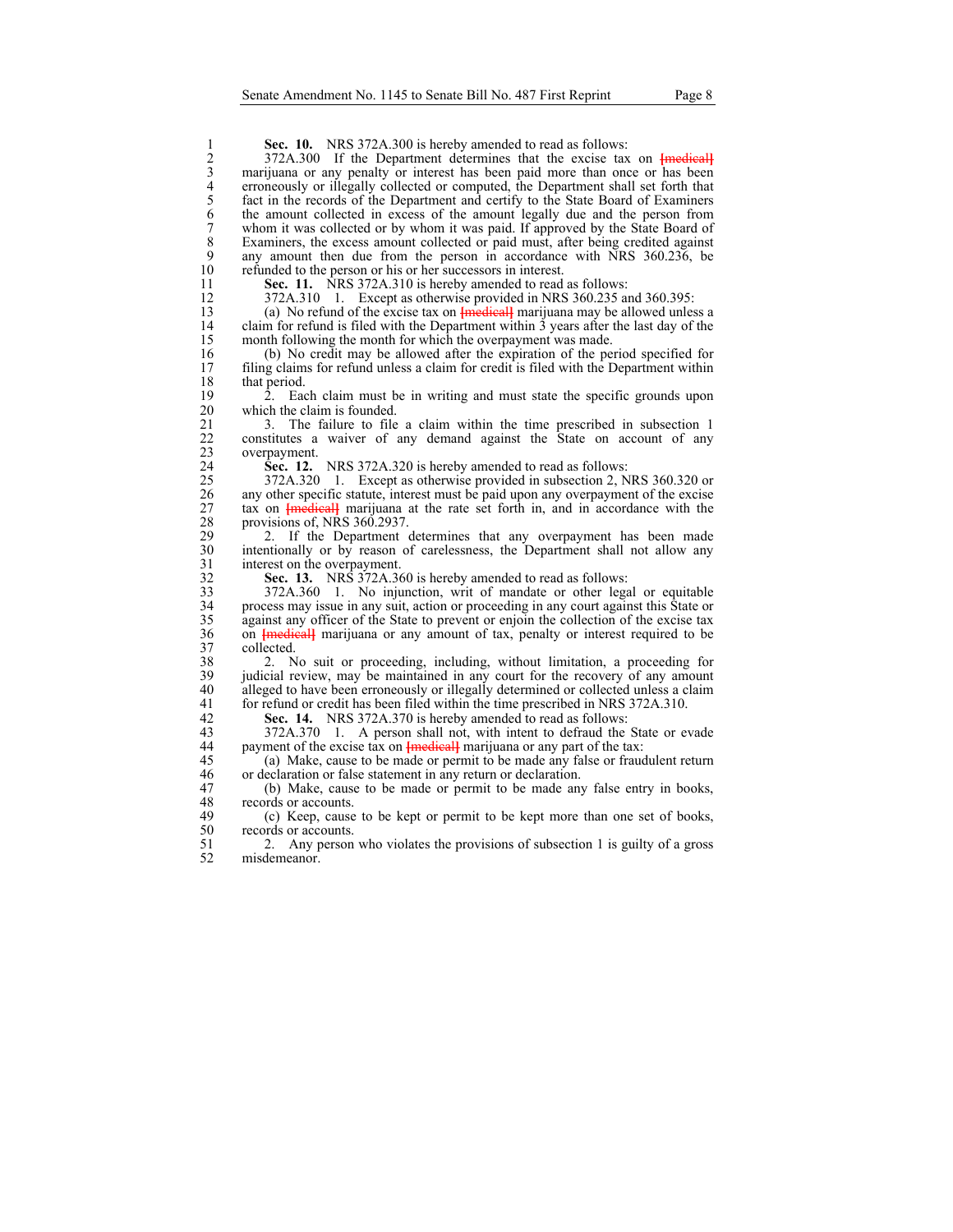| 1                | <b>Sec. 10.</b> NRS 372A.300 is hereby amended to read as follows:                         |
|------------------|--------------------------------------------------------------------------------------------|
| $\overline{c}$   | 372A.300 If the Department determines that the excise tax on Finedical                     |
| $\mathfrak{Z}$   | marijuana or any penalty or interest has been paid more than once or has been              |
| $\overline{4}$   | erroneously or illegally collected or computed, the Department shall set forth that        |
| 5                | fact in the records of the Department and certify to the State Board of Examiners          |
| 6                | the amount collected in excess of the amount legally due and the person from               |
| $\boldsymbol{7}$ | whom it was collected or by whom it was paid. If approved by the State Board of            |
| $\,$ 8 $\,$      | Examiners, the excess amount collected or paid must, after being credited against          |
| 9                | any amount then due from the person in accordance with NRS 360.236, be                     |
| 10               | refunded to the person or his or her successors in interest.                               |
| 11               | Sec. 11. NRS 372A.310 is hereby amended to read as follows:                                |
| 12               | 372A.310 1. Except as otherwise provided in NRS 360.235 and 360.395:                       |
| 13               | (a) No refund of the excise tax on $\frac{1}{2}$ medical marijuana may be allowed unless a |
| 14               | claim for refund is filed with the Department within 3 years after the last day of the     |
| 15               | month following the month for which the overpayment was made.                              |
| 16               | (b) No credit may be allowed after the expiration of the period specified for              |
| 17               | filing claims for refund unless a claim for credit is filed with the Department within     |
| 18               | that period.                                                                               |
| 19               | Each claim must be in writing and must state the specific grounds upon<br>2.               |
| 20               | which the claim is founded.                                                                |
| 21               | 3. The failure to file a claim within the time prescribed in subsection 1                  |
| 22               | constitutes a waiver of any demand against the State on account of any                     |
| 23               | overpayment.                                                                               |
| 24               | Sec. 12. NRS 372A.320 is hereby amended to read as follows:                                |
| 25               | 372A.320 1. Except as otherwise provided in subsection 2, NRS 360.320 or                   |
| 26               | any other specific statute, interest must be paid upon any overpayment of the excise       |
| 27               | tax on <b>{medical}</b> marijuana at the rate set forth in, and in accordance with the     |
| 28               | provisions of, NRS 360.2937.                                                               |
| 29               | If the Department determines that any overpayment has been made<br>2.                      |
| 30               | intentionally or by reason of carelessness, the Department shall not allow any             |
| 31               | interest on the overpayment.                                                               |
| 32               | Sec. 13. NRS 372A.360 is hereby amended to read as follows:                                |
| 33               | 372A.360 1. No injunction, writ of mandate or other legal or equitable                     |
| 34               | process may issue in any suit, action or proceeding in any court against this State or     |
| 35               | against any officer of the State to prevent or enjoin the collection of the excise tax     |
| 36               | on <b>{medical}</b> marijuana or any amount of tax, penalty or interest required to be     |
| 37               | collected.                                                                                 |
| 38               | 2. No suit or proceeding, including, without limitation, a proceeding for                  |
| 39               | judicial review, may be maintained in any court for the recovery of any amount             |

40 alleged to have been erroneously or illegally determined or collected unless a claim for refund or credit has been filed within the time prescribed in NRS 372A.310. 41 for refund or credit has been filed within the time prescribed in NRS 372A.310.<br>42 **Sec. 14.** NRS 372A.370 is hereby amended to read as follows:

42 **Sec. 14.** NRS 372A.370 is hereby amended to read as follows:<br>43 372A.370 1. A person shall not, with intent to defraud the

43 372A.370 1. A person shall not, with intent to defraud the State or evade<br>44 payment of the excise tax on <del>Imedicall</del> marijuana or any part of the tax: 44 payment of the excise tax on **[**medical] marijuana or any part of the tax:<br>45 (a) Make, cause to be made or permit to be made any false or fraud

45 (a) Make, cause to be made or permit to be made any false or fraudulent return or declaration or false statement in any return or declaration. or declaration or false statement in any return or declaration.

47 (b) Make, cause to be made or permit to be made any false entry in books, 48 records or accounts.<br>49 (c) Keep, cause

(c) Keep, cause to be kept or permit to be kept more than one set of books, 50 records or accounts.<br>51 2. Any person

51 2. Any person who violates the provisions of subsection 1 is guilty of a gross misdemeanor.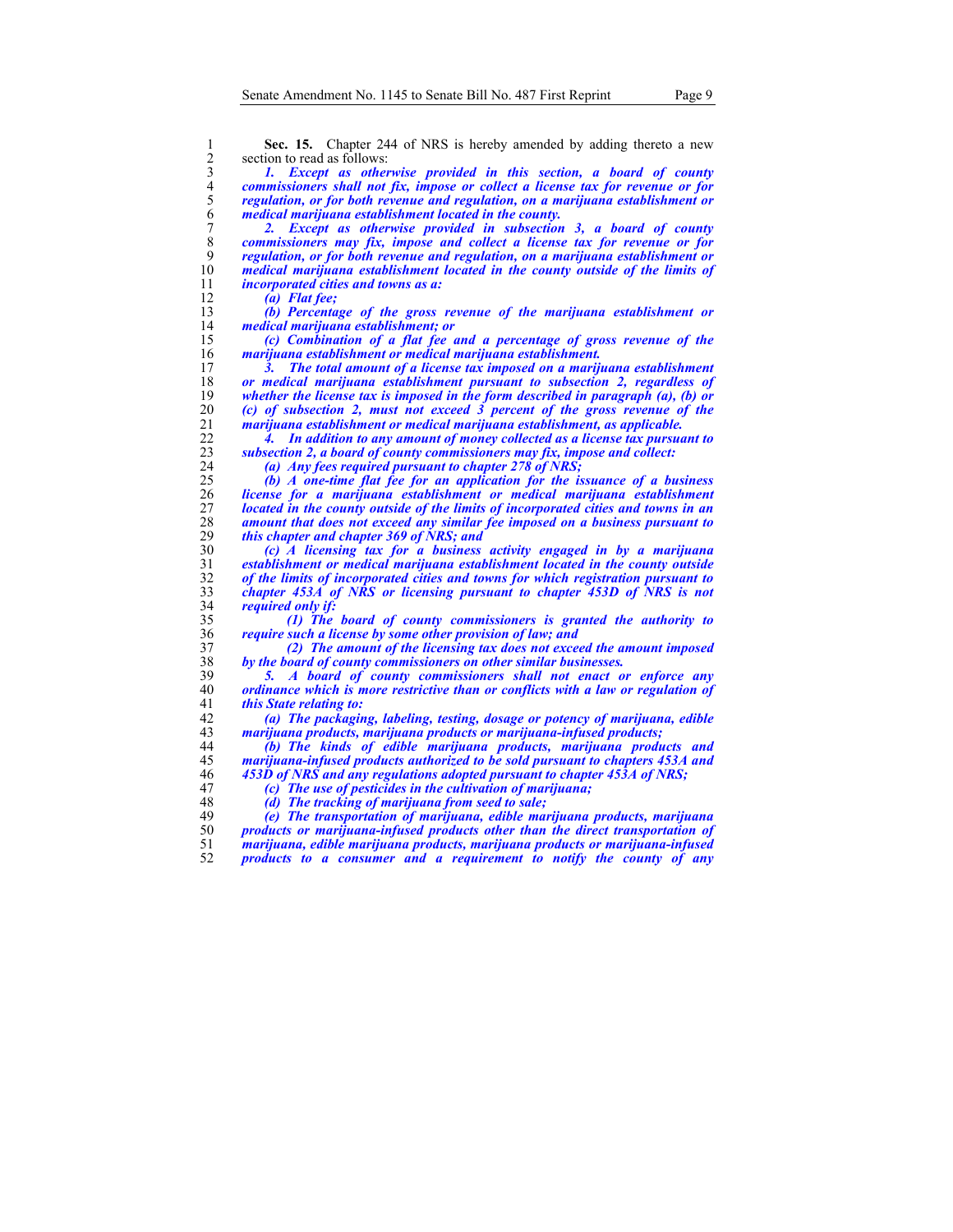section to read as follows:

**Sec. 15.** Chapter 244 of NRS is hereby amended by adding thereto a new<br>
2 section to read as follows:<br>
1. *Except as otherwise provided in this section, a board of county*<br>
2 commissioners shall not fix, impose or colle *1. Except as otherwise provided in this section, a board of county commissioners shall not fix, impose or collect a license tax for revenue or for regulation, or for both revenue and regulation, on a marijuana establishment or medical marijuana establishment located in the county.* 

*2. Except as otherwise provided in subsection 3, a board of county commissioners may fix, impose and collect a license tax for revenue or for regulation, or for both revenue and regulation, on a marijuana establishment or medical marijuana establishment located in the county outside of the limits of*  incorporated cities and towns as a:

*(a) Flat fee; (b) Percentage of the gross revenue of the marijuana establishment or medical marijuana establishment; or* 

*(c) Combination of a flat fee and a percentage of gross revenue of the marijuana establishment or medical marijuana establishment.* 

*3. The total amount of a license tax imposed on a marijuana establishment or medical marijuana establishment pursuant to subsection 2, regardless of whether the license tax is imposed in the form described in paragraph (a), (b) or (c) of subsection 2, must not exceed 3 percent of the gross revenue of the marijuana establishment or medical marijuana establishment, as applicable.* 

*4. In addition to any amount of money collected as a license tax pursuant to*  subsection 2, a board of county commissioners may fix, impose and collect:

*(a) Any fees required pursuant to chapter 278 of NRS;* 

*(b) A one-time flat fee for an application for the issuance of a business license for a marijuana establishment or medical marijuana establishment located in the county outside of the limits of incorporated cities and towns in an amount that does not exceed any similar fee imposed on a business pursuant to this chapter and chapter 369 of NRS; and* 

*(c) A licensing tax for a business activity engaged in by a marijuana establishment or medical marijuana establishment located in the county outside of the limits of incorporated cities and towns for which registration pursuant to chapter 453A of NRS or licensing pursuant to chapter 453D of NRS is not required only if:* 

*(1) The board of county commissioners is granted the authority to require such a license by some other provision of law; and* 

*(2) The amount of the licensing tax does not exceed the amount imposed by the board of county commissioners on other similar businesses.* 

*5. A board of county commissioners shall not enact or enforce any ordinance which is more restrictive than or conflicts with a law or regulation of this State relating to:* 

*(a) The packaging, labeling, testing, dosage or potency of marijuana, edible marijuana products, marijuana products or marijuana-infused products;* 

*(b) The kinds of edible marijuana products, marijuana products and marijuana-infused products authorized to be sold pursuant to chapters 453A and 453D of NRS and any regulations adopted pursuant to chapter 453A of NRS;* 

*(c) The use of pesticides in the cultivation of marijuana;* 

*(d) The tracking of marijuana from seed to sale; (e) The transportation of marijuana, edible marijuana products, marijuana products or marijuana-infused products other than the direct transportation of marijuana, edible marijuana products, marijuana products or marijuana-infused products to a consumer and a requirement to notify the county of any*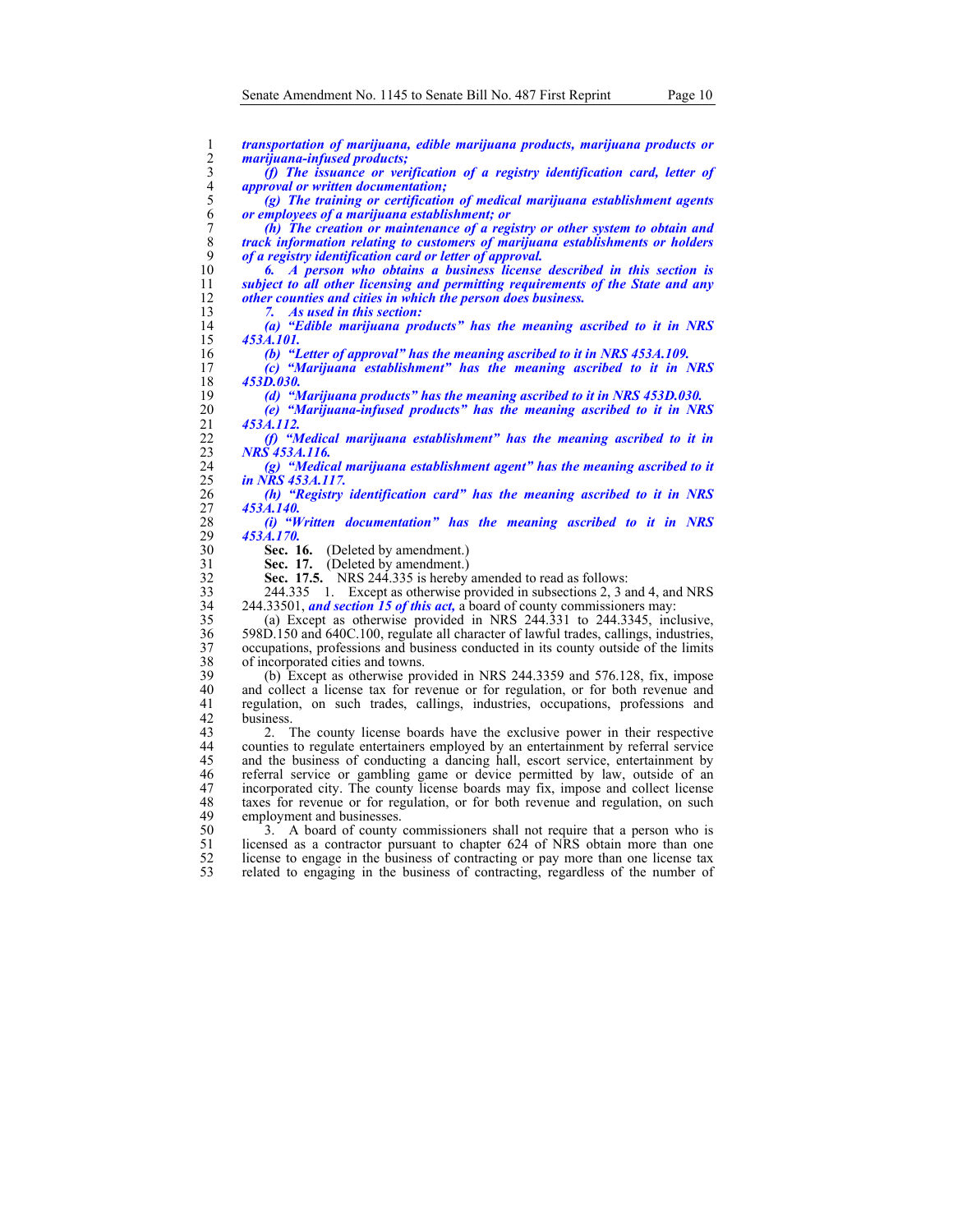$\frac{15}{16}$ 

 $\frac{18}{19}$ 

 $\frac{42}{43}$ 

| 1                         | transportation of marijuana, edible marijuana products, marijuana products or                                                 |
|---------------------------|-------------------------------------------------------------------------------------------------------------------------------|
| $\overline{2}$            | <i>marijuana-infused products;</i>                                                                                            |
| $\mathfrak{Z}$            | (f) The issuance or verification of a registry identification card, letter of                                                 |
| $\overline{4}$            | <i>approval or written documentation;</i>                                                                                     |
| 5                         | (g) The training or certification of medical marijuana establishment agents                                                   |
| 6                         | or employees of a marijuana establishment; or                                                                                 |
| $\tau$                    | $(h)$ The creation or maintenance of a registry or other system to obtain and                                                 |
| 8                         | track information relating to customers of marijuana establishments or holders                                                |
| 9                         | of a registry identification card or letter of approval.                                                                      |
| 10                        | A person who obtains a business license described in this section is                                                          |
| 11                        | subject to all other licensing and permitting requirements of the State and any                                               |
| 12                        | other counties and cities in which the person does business.                                                                  |
| 13                        | As used in this section:<br>7.                                                                                                |
| 14                        | (a) "Edible marijuana products" has the meaning ascribed to it in NRS                                                         |
| 15                        | 453A.101.                                                                                                                     |
| 16                        | (b) "Letter of approval" has the meaning ascribed to it in NRS 453A.109.                                                      |
| 17                        | (c) "Marijuana establishment" has the meaning ascribed to it in NRS                                                           |
| 18                        | 453D.030.                                                                                                                     |
| 19<br>20                  | (d) "Marijuana products" has the meaning ascribed to it in NRS 453D.030.                                                      |
| 21                        | (e) "Marijuana-infused products" has the meaning ascribed to it in NRS<br>453A.112.                                           |
| 22                        | (f) "Medical marijuana establishment" has the meaning ascribed to it in                                                       |
| 23                        | NRS 453A.116.                                                                                                                 |
| 24                        | (g) "Medical marijuana establishment agent" has the meaning ascribed to it                                                    |
| 25                        | in NRS 453A.117.                                                                                                              |
| 26                        | (h) "Registry identification card" has the meaning ascribed to it in NRS                                                      |
| 27                        | 453A.140.                                                                                                                     |
| 28                        | (i) "Written documentation" has the meaning ascribed to it in NRS                                                             |
| 29                        | 453A.170.                                                                                                                     |
| 30                        | Sec. 16.<br>(Deleted by amendment.)                                                                                           |
| 31                        | Sec. 17. (Deleted by amendment.)                                                                                              |
| 32                        | NRS 244.335 is hereby amended to read as follows:<br>Sec. 17.5.                                                               |
| 33                        | 1. Except as otherwise provided in subsections 2, 3 and 4, and NRS<br>244.335                                                 |
| 34                        | 244.33501, <i>and section 15 of this act</i> , a board of county commissioners may:                                           |
| 35                        | (a) Except as otherwise provided in NRS 244.331 to 244.3345, inclusive,                                                       |
| 36                        | 598D.150 and 640C.100, regulate all character of lawful trades, callings, industries,                                         |
| 37                        | occupations, professions and business conducted in its county outside of the limits                                           |
| 38                        | of incorporated cities and towns.                                                                                             |
| 39                        | (b) Except as otherwise provided in NRS 244.3359 and 576.128, fix, impose                                                     |
| 40                        | and collect a license tax for revenue or for regulation, or for both revenue and                                              |
| 41                        | regulation, on such trades, callings, industries, occupations, professions and                                                |
| 42                        | business.                                                                                                                     |
| 43                        | The county license boards have the exclusive power in their respective<br>2.                                                  |
| 44                        | counties to regulate entertainers employed by an entertainment by referral service                                            |
| 45                        | and the business of conducting a dancing hall, escort service, entertainment by                                               |
| 46                        | referral service or gambling game or device permitted by law, outside of an                                                   |
| 47                        | incorporated city. The county license boards may fix, impose and collect license                                              |
| 48                        | taxes for revenue or for regulation, or for both revenue and regulation, on such                                              |
| 49<br>$\epsilon$ $\alpha$ | employment and businesses.<br>a concert contains and whether a contains that a concertainty of the<br>$\Lambda$ board of comp |
|                           |                                                                                                                               |

50 3. A board of county commissioners shall not require that a person who is 51 licensed as a contractor pursuant to chapter 624 of NRS obtain more than one 52 license to engage in the business of contracting or pay more than one license tax 53 related to engaging in the business of contracting, regardless of the number of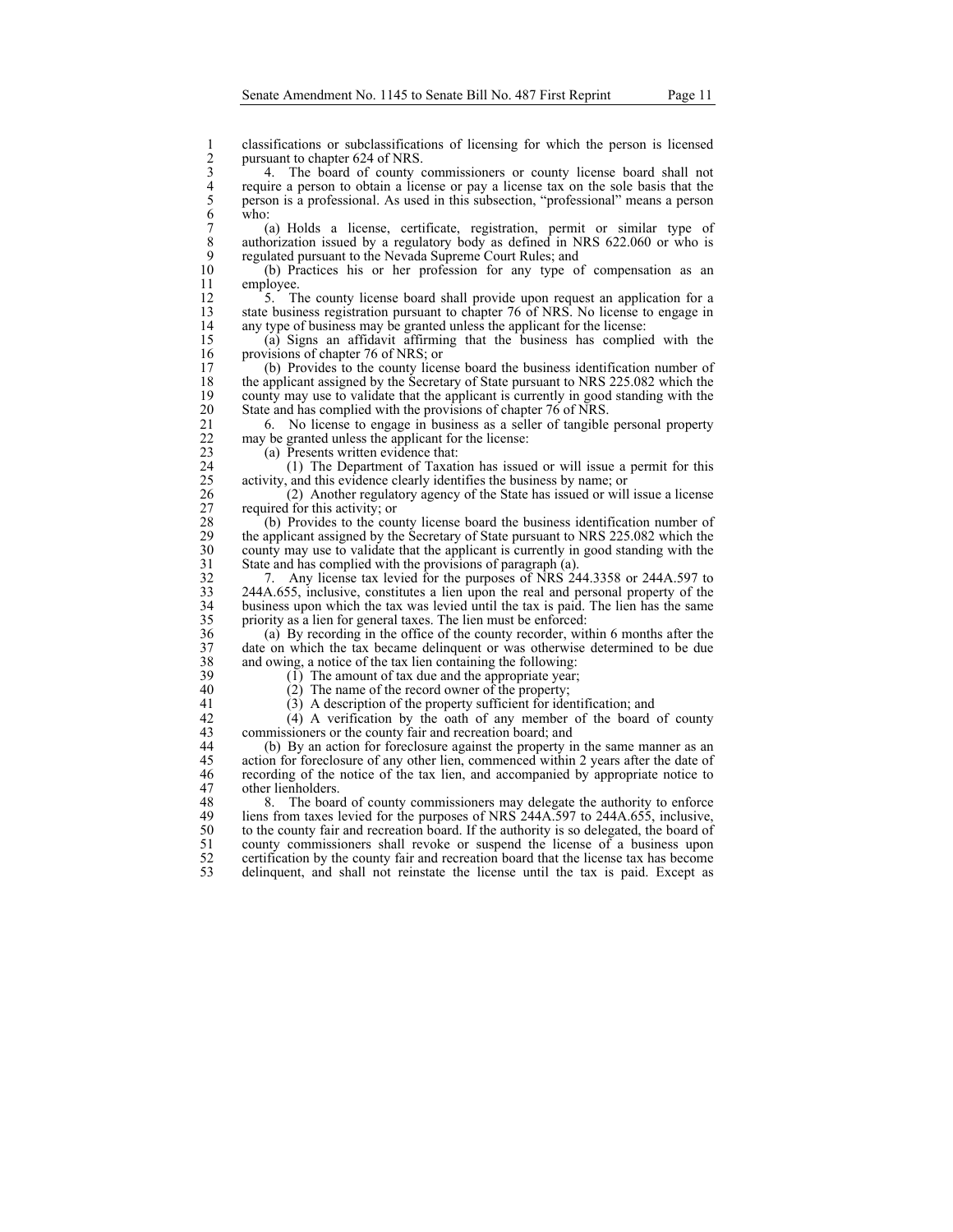2 classifications or subclassifications of licensing for which the person is licensed<br>2 pursuant to chapter 624 of NRS.<br>4. The board of county commissioners or county license board shall not<br>4 require a person to obtain a pursuant to chapter 624 of NRS.

3 4. The board of county commissioners or county license board shall not 4 require a person to obtain a license or pay a license tax on the sole basis that the person is a professional. As used in this subsection, "professional" means a person who:<br>
(a) Holds a license, certificate, registratio 5 person is a professional. As used in this subsection, "professional" means a person who:

7 (a) Holds a license, certificate, registration, permit or similar type of 8 authorization issued by a regulatory body as defined in NRS 622.060 or who is regulated pursuant to the Nevada Supreme Court Rules; and 9 regulated pursuant to the Nevada Supreme Court Rules; and 10 (b) Practices his or her profession for any type of

10 (b) Practices his or her profession for any type of compensation as an employee.

12 5. The county license board shall provide upon request an application for a<br>13 state business registration pursuant to chapter 76 of NRS. No license to engage in state business registration pursuant to chapter 76 of NRS. No license to engage in 14 any type of business may be granted unless the applicant for the license:<br>15 (a) Signs an affidavit affirming that the business has complie

15 (a) Signs an affidavit affirming that the business has complied with the 16 provisions of chapter 76 of NRS; or<br>17 (b) Provides to the county licer

17 (b) Provides to the county license board the business identification number of 18 the applicant assigned by the Secretary of State pursuant to NRS 225.082 which the county may use to validate that the applicant is currently in good standing with the 19 county may use to validate that the applicant is currently in good standing with the 20 State and has complied with the provisions of chapter 76 of NRS. State and has complied with the provisions of chapter 76 of NRS.

21 6. No license to engage in business as a seller of tangible personal property may be granted unless the applicant for the license: 22 may be granted unless the applicant for the license:<br>23 (a) Presents written evidence that:

(a) Presents written evidence that:

24 (1) The Department of Taxation has issued or will issue a permit for this activity, and this evidence clearly identifies the business by name; or 25 activity, and this evidence clearly identifies the business by name; or (2) Another regulatory agency of the State has issued or will

26 (2) Another regulatory agency of the State has issued or will issue a license 27 required for this activity; or 28 (b) Provides to the cou

28 (b) Provides to the county license board the business identification number of the applicant assigned by the Secretary of State pursuant to NRS 225.082 which the 29 the applicant assigned by the Secretary of State pursuant to NRS 225.082 which the county may use to validate that the applicant is currently in good standing with the 30 county may use to validate that the applicant is currently in good standing with the State and has complied with the provisions of paragraph  $(a)$ . State and has complied with the provisions of paragraph (a).

32 7. Any license tax levied for the purposes of NRS 244.3358 or 244A.597 to 33 244A.655, inclusive, constitutes a lien upon the real and personal property of the business upon which the tax was levied until the tax is paid. The lien has the same business upon which the tax was levied until the tax is paid. The lien has the same 35 priority as a lien for general taxes. The lien must be enforced:

36 (a) By recording in the office of the county recorder, within 6 months after the 37 date on which the tax became delinquent or was otherwise determined to be due and owing, a notice of the tax lien containing the following: 38 and owing, a notice of the tax lien containing the following:<br>39 (1) The amount of tax due and the appropriate year:

- $39$  (1) The amount of tax due and the appropriate year;<br>40 (2) The name of the record owner of the property;
	- (2) The name of the record owner of the property;
- 41 (3) A description of the property sufficient for identification; and 42 (4) A verification by the oath of any member of the board

42 (4) A verification by the oath of any member of the board of county<br>43 commissioners or the county fair and recreation board; and commissioners or the county fair and recreation board; and

44 (b) By an action for foreclosure against the property in the same manner as an 45 action for foreclosure of any other lien, commenced within 2 years after the date of 46 recording of the notice of the tax lien, and accompanied by appropriate notice to 47 other lienholders.<br>48 8. The board

48 8. The board of county commissioners may delegate the authority to enforce<br>49 liens from taxes levied for the purposes of NRS 244A.597 to 244A.655, inclusive, liens from taxes levied for the purposes of NRS 244A.597 to 244A.655, inclusive, 50 to the county fair and recreation board. If the authority is so delegated, the board of county commissioners shall revoke or suspend the license of a business upon 51 county commissioners shall revoke or suspend the license of a business upon certification by the county fair and recreation board that the license tax has become 52 certification by the county fair and recreation board that the license tax has become<br>53 delinguent and shall not reinstate the license until the tax is paid. Except as delinquent, and shall not reinstate the license until the tax is paid. Except as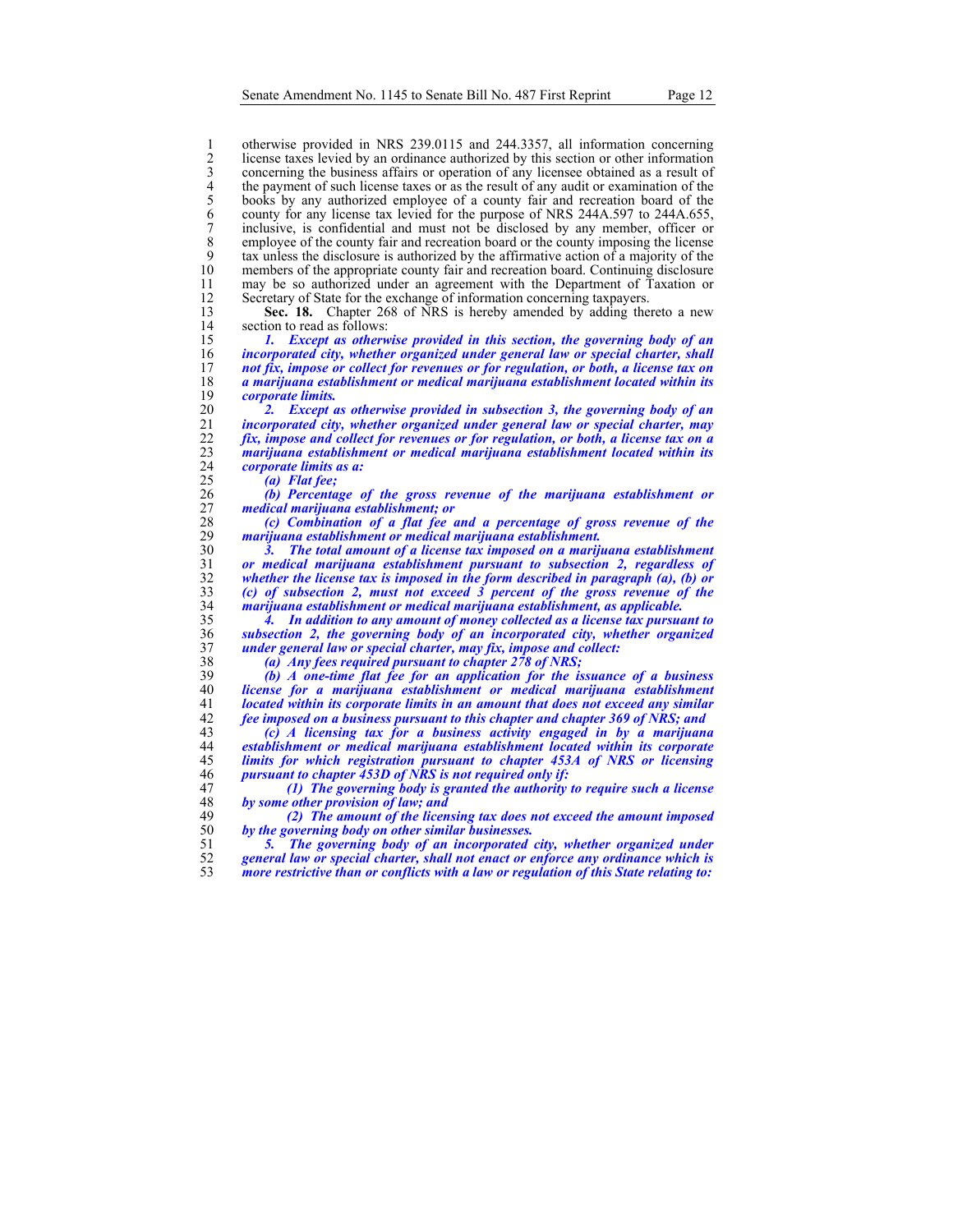1 otherwise provided in NRS 239.0115 and 244.3357, all information concerning<br>2 license taxes levied by an ordinance authorized by this section or other information<br>3 concerning the business affairs or operation of any lic license taxes levied by an ordinance authorized by this section or other information concerning the business affairs or operation of any licensee obtained as a result of the payment of such license taxes or as the result of any audit or examination of the books by any authorized employee of a county fair and recreation board of the county for any license tax levied for the purpose of NRS 244A.597 to 244A.655, 7 inclusive, is confidential and must not be disclosed by any member, officer or employee of the county fair and recreation board or the county imposing the license 8 employee of the county fair and recreation board or the county imposing the license<br>9 tax unless the disclosure is authorized by the affirmative action of a majority of the 9 tax unless the disclosure is authorized by the affirmative action of a majority of the members of the appropriate county fair and recreation board. Continuing disclosure 11 may be so authorized under an agreement with the Department of Taxation or 12 Secretary of State for the exchange of information concerning taxpayers.<br>13 Sec. 18. Chapter 268 of NRS is hereby amended by adding the

**Sec. 18.** Chapter 268 of NRS is hereby amended by adding thereto a new section to read as follows: 14 section to read as follows:<br>15 1. Except as otherw

*1. Except as otherwise provided in this section, the governing body of an incorporated city, whether organized under general law or special charter, shall*  not fix, impose or collect for revenues or for regulation, or both, a license tax on *a marijuana establishment or medical marijuana establishment located within its corporate limits.* 

*2. Except as otherwise provided in subsection 3, the governing body of an incorporated city, whether organized under general law or special charter, may fix, impose and collect for revenues or for regulation, or both, a license tax on a marijuana establishment or medical marijuana establishment located within its corporate limits as a:* 

*(a) Flat fee; (b) Percentage of the gross revenue of the marijuana establishment or medical marijuana establishment; or* 

*(c) Combination of a flat fee and a percentage of gross revenue of the marijuana establishment or medical marijuana establishment.* 

*3. The total amount of a license tax imposed on a marijuana establishment or medical marijuana establishment pursuant to subsection 2, regardless of whether the license tax is imposed in the form described in paragraph (a), (b) or (c) of subsection 2, must not exceed 3 percent of the gross revenue of the marijuana establishment or medical marijuana establishment, as applicable.* 

*4. In addition to any amount of money collected as a license tax pursuant to subsection 2, the governing body of an incorporated city, whether organized under general law or special charter, may fix, impose and collect:* 

*(a) Any fees required pursuant to chapter 278 of NRS;* 

*(b) A one-time flat fee for an application for the issuance of a business license for a marijuana establishment or medical marijuana establishment located within its corporate limits in an amount that does not exceed any similar fee imposed on a business pursuant to this chapter and chapter 369 of NRS; and* 

*(c) A licensing tax for a business activity engaged in by a marijuana establishment or medical marijuana establishment located within its corporate limits for which registration pursuant to chapter 453A of NRS or licensing pursuant to chapter 453D of NRS is not required only if:* 

*(1) The governing body is granted the authority to require such a license by some other provision of law; and* 

*(2) The amount of the licensing tax does not exceed the amount imposed by the governing body on other similar businesses.* 

*5. The governing body of an incorporated city, whether organized under general law or special charter, shall not enact or enforce any ordinance which is*  more restrictive than or conflicts with a law or regulation of this State relating to: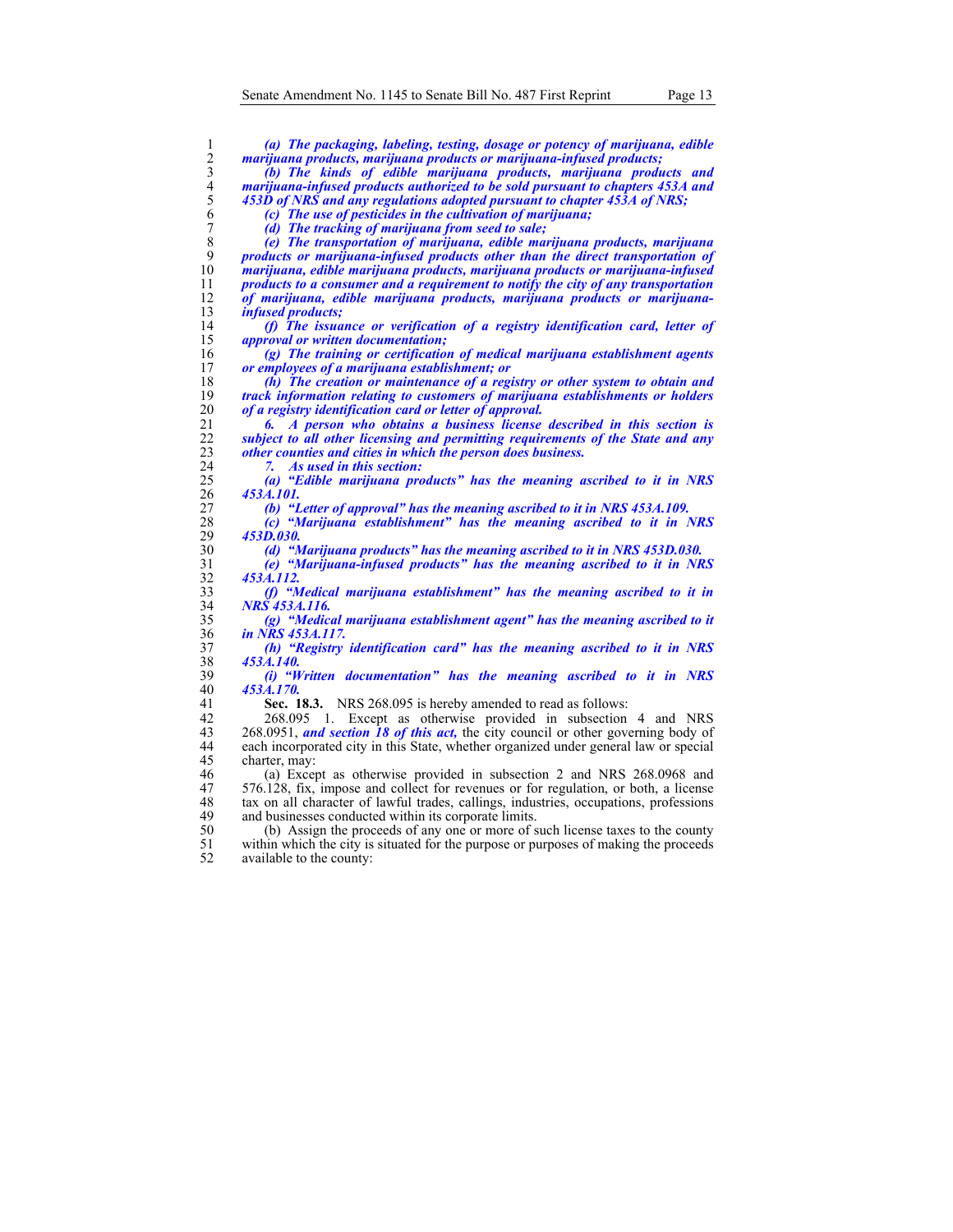| 1              | (a) The packaging, labeling, testing, dosage or potency of marijuana, edible                |
|----------------|---------------------------------------------------------------------------------------------|
| 2              | marijuana products, marijuana products or marijuana-infused products;                       |
| 3              | (b) The kinds of edible marijuana products, marijuana products and                          |
| $\overline{4}$ | marijuana-infused products authorized to be sold pursuant to chapters 453A and              |
| 5              | 453D of NRS and any regulations adopted pursuant to chapter 453A of NRS;                    |
| 6              | (c) The use of pesticides in the cultivation of marijuana;                                  |
| 7              | (d) The tracking of marijuana from seed to sale;                                            |
| 8              | (e) The transportation of marijuana, edible marijuana products, marijuana                   |
| 9              | products or marijuana-infused products other than the direct transportation of              |
| 10             | marijuana, edible marijuana products, marijuana products or marijuana-infused               |
| 11             | products to a consumer and a requirement to notify the city of any transportation           |
| 12             | of marijuana, edible marijuana products, marijuana products or marijuana-                   |
| 13             | <i>infused products;</i>                                                                    |
| 14             | (f) The issuance or verification of a registry identification card, letter of               |
| 15             | <i>approval or written documentation;</i>                                                   |
| 16             | (g) The training or certification of medical marijuana establishment agents                 |
| 17             | or employees of a marijuana establishment; or                                               |
| 18             | $(h)$ The creation or maintenance of a registry or other system to obtain and               |
| 19             | track information relating to customers of marijuana establishments or holders              |
| 20             | of a registry identification card or letter of approval.                                    |
| 21             | 6. A person who obtains a business license described in this section is                     |
| 22             | subject to all other licensing and permitting requirements of the State and any             |
| 23             | other counties and cities in which the person does business.                                |
| 24             | As used in this section:<br>7.                                                              |
| 25             | (a) "Edible marijuana products" has the meaning ascribed to it in NRS                       |
| 26             | 453A.101.                                                                                   |
| 27             | (b) "Letter of approval" has the meaning ascribed to it in NRS 453A.109.                    |
| 28             | (c) "Marijuana establishment" has the meaning ascribed to it in NRS                         |
| 29             | 453D.030.                                                                                   |
| 30             | (d) "Marijuana products" has the meaning ascribed to it in NRS 453D.030.                    |
| 31             | (e) "Marijuana-infused products" has the meaning ascribed to it in NRS                      |
| 32             | 453A.112.                                                                                   |
| 33             | (f) "Medical marijuana establishment" has the meaning ascribed to it in                     |
| 34<br>35       | NRS 453A.116.<br>(g) "Medical marijuana establishment agent" has the meaning ascribed to it |
| 36             | in NRS 453A.117.                                                                            |
| 37             | (h) "Registry identification card" has the meaning ascribed to it in NRS                    |
| 38             | 453A.140.                                                                                   |
| 39             | (i) "Written documentation" has the meaning ascribed to it in NRS                           |
| 40             | 453A.170.                                                                                   |
| 41             | Sec. 18.3. NRS 268.095 is hereby amended to read as follows:                                |
| 42             | 1. Except as otherwise provided in subsection 4 and NRS<br>268.095                          |
| 43             | 268.0951, and section 18 of this act, the city council or other governing body of           |
| 44             | each incorporated city in this State, whether organized under general law or special        |
| 45             | charter, may:                                                                               |
| 46             | (a) Except as otherwise provided in subsection 2 and NRS 268.0968 and                       |
| 47             | 576.128, fix, impose and collect for revenues or for regulation, or both, a license         |
| 48             | tax on all character of lawful trades, callings, industries, occupations, professions       |
| 49             | and businesses conducted within its corporate limits.                                       |
| 50             | (b) Assign the proceeds of any one or more of such license taxes to the county              |
| 51             | within which the city is situated for the purpose or purposes of making the proceeds        |
| 52             | available to the county:                                                                    |
|                |                                                                                             |
|                |                                                                                             |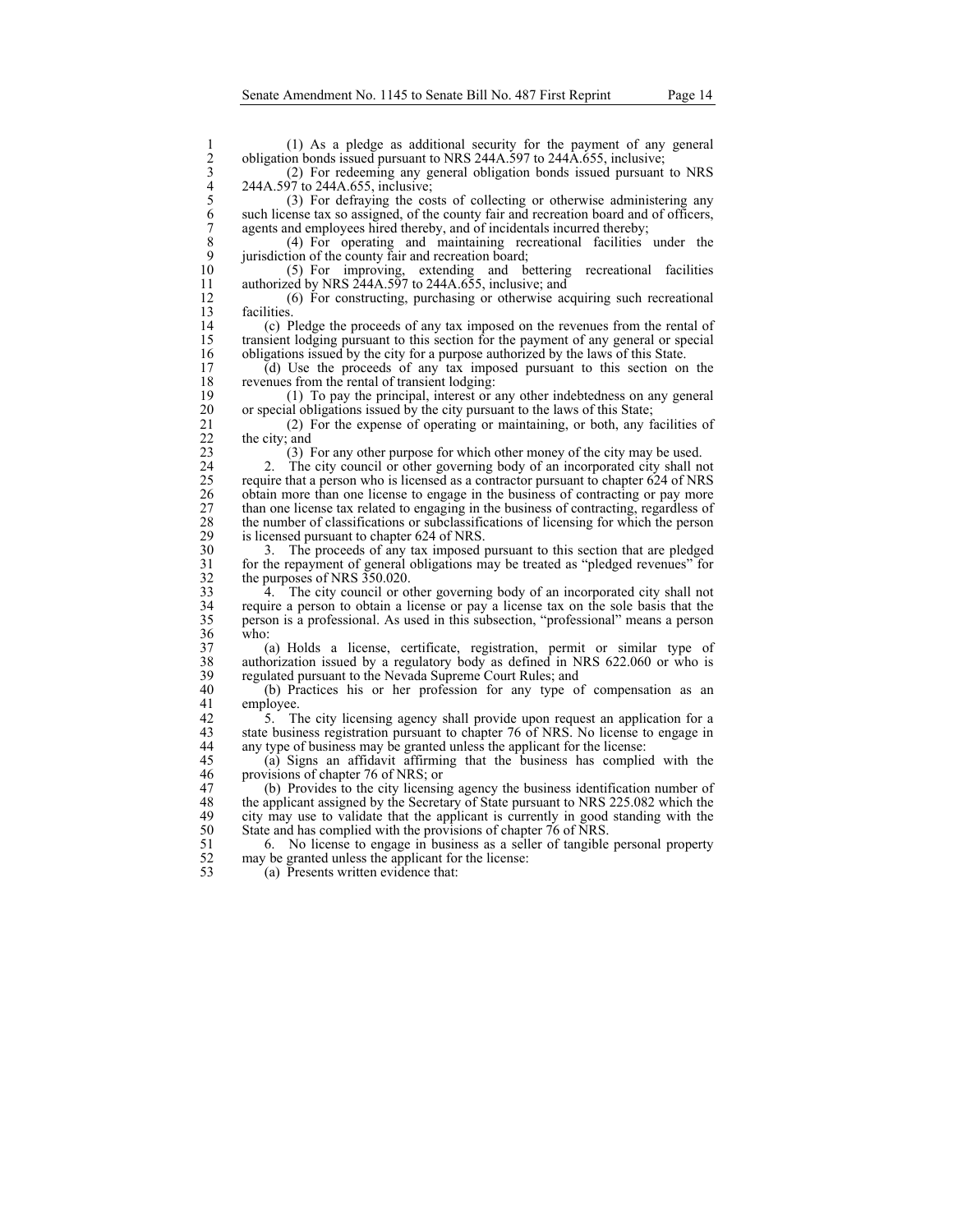2 obligation bonds issued pursuant to NRS 244A.597 to 244A.655, inclusive;

3 (2) For redeeming any general obligation bonds issued pursuant to NRS 244A.597 to 244A.655, inclusive;

1 (1) As a pledge as additional security for the payment of any general<br>
2 obligation bonds issued pursuant to NRS 244A.597 to 244A.655, inclusive;<br>
2 (2) For redeeming any general obligation bonds issued pursuant to NRS<br> 5 (3) For defraying the costs of collecting or otherwise administering any such license tax so assigned, of the county fair and recreation board and of officers, 7 agents and employees hired thereby, and of incidentals incurred thereby;<br>8 (4) For operating and maintaining recreational facilities

8 (4) For operating and maintaining recreational facilities under the 9 jurisdiction of the county fair and recreation board;<br>10 (5) For improving, extending and bo

10 (5) For improving, extending and bettering recreational facilities<br>11 authorized by NRS 244A.597 to 244A.655, inclusive; and authorized by NRS  $244A.597$  to  $244A.655$ , inclusive; and

12 (6) For constructing, purchasing or otherwise acquiring such recreational 13 facilities.<br>14 (c) P

14 (c) Pledge the proceeds of any tax imposed on the revenues from the rental of transient lodging pursuant to this section for the payment of any general or special 15 transient lodging pursuant to this section for the payment of any general or special 16 obligations issued by the city for a purpose authorized by the laws of this State.<br>17 (d) Use the proceeds of any tax imposed pursuant to this section on

17 (d) Use the proceeds of any tax imposed pursuant to this section on the revenues from the rental of transient lodging: 18 revenues from the rental of transient lodging:<br>19 (1) To pay the principal, interest or a

19 (1) To pay the principal, interest or any other indebtedness on any general 20 or special obligations issued by the city pursuant to the laws of this State;<br>21 (2) For the expense of operating or maintaining, or both, any f

21 (2) For the expense of operating or maintaining, or both, any facilities of 22 the city; and 23  $(3)$  I

23 (3) For any other purpose for which other money of the city may be used.

24 2. The city council or other governing body of an incorporated city shall not require that a person who is licensed as a contractor pursuant to chapter 624 of NRS 25 require that a person who is licensed as a contractor pursuant to chapter 624 of NRS obtain more than one license to engage in the business of contracting or pay more 26 obtain more than one license to engage in the business of contracting or pay more 27 than one license tax related to engaging in the business of contracting, regardless of the number of classifications or subclassifications of licensing for which the person 28 the number of classifications or subclassifications of licensing for which the person<br>29 is licensed pursuant to chapter 624 of NRS. 29 is licensed pursuant to chapter 624 of NRS.<br>30 3. The proceeds of any tax imposed r

30 3. The proceeds of any tax imposed pursuant to this section that are pledged for the repayment of general obligations may be treated as "pledged revenues" for 31 for the repayment of general obligations may be treated as "pledged revenues" for the purposes of NRS 350.020. 32 the purposes of NRS 350.020.<br>33 4. The city council or of

33 4. The city council or other governing body of an incorporated city shall not require a person to obtain a license or pay a license tax on the sole basis that the 34 require a person to obtain a license or pay a license tax on the sole basis that the 35 person is a professional. As used in this subsection, "professional" means a person  $\frac{36}{37}$  who:

37 (a) Holds a license, certificate, registration, permit or similar type of 38 authorization issued by a regulatory body as defined in NRS 622.060 or who is 39 regulated pursuant to the Nevada Supreme Court Rules; and 40 (b) Practices his or her profession for any type of

40 (b) Practices his or her profession for any type of compensation as an 41 employee.<br>42  $\frac{5}{11}$ . The

42 5. The city licensing agency shall provide upon request an application for a state business registration pursuant to chapter 76 of NRS. No license to engage in state business registration pursuant to chapter 76 of NRS. No license to engage in 44 any type of business may be granted unless the applicant for the license:

45 (a) Signs an affidavit affirming that the business has complied with the provisions of chapter 76 of NRS; or

47 (b) Provides to the city licensing agency the business identification number of the applicant assigned by the Secretary of State pursuant to NRS 225.082 which the 48 the applicant assigned by the Secretary of State pursuant to NRS 225.082 which the city may use to validate that the applicant is currently in good standing with the 49 city may use to validate that the applicant is currently in good standing with the 50 State and has complied with the provisions of chapter 76 of NRS.<br>51 6. No license to engage in business as a seller of tangible

51 6. No license to engage in business as a seller of tangible personal property may be granted unless the applicant for the license: 52 may be granted unless the applicant for the license:<br>53 (a) Presents written evidence that:

(a) Presents written evidence that: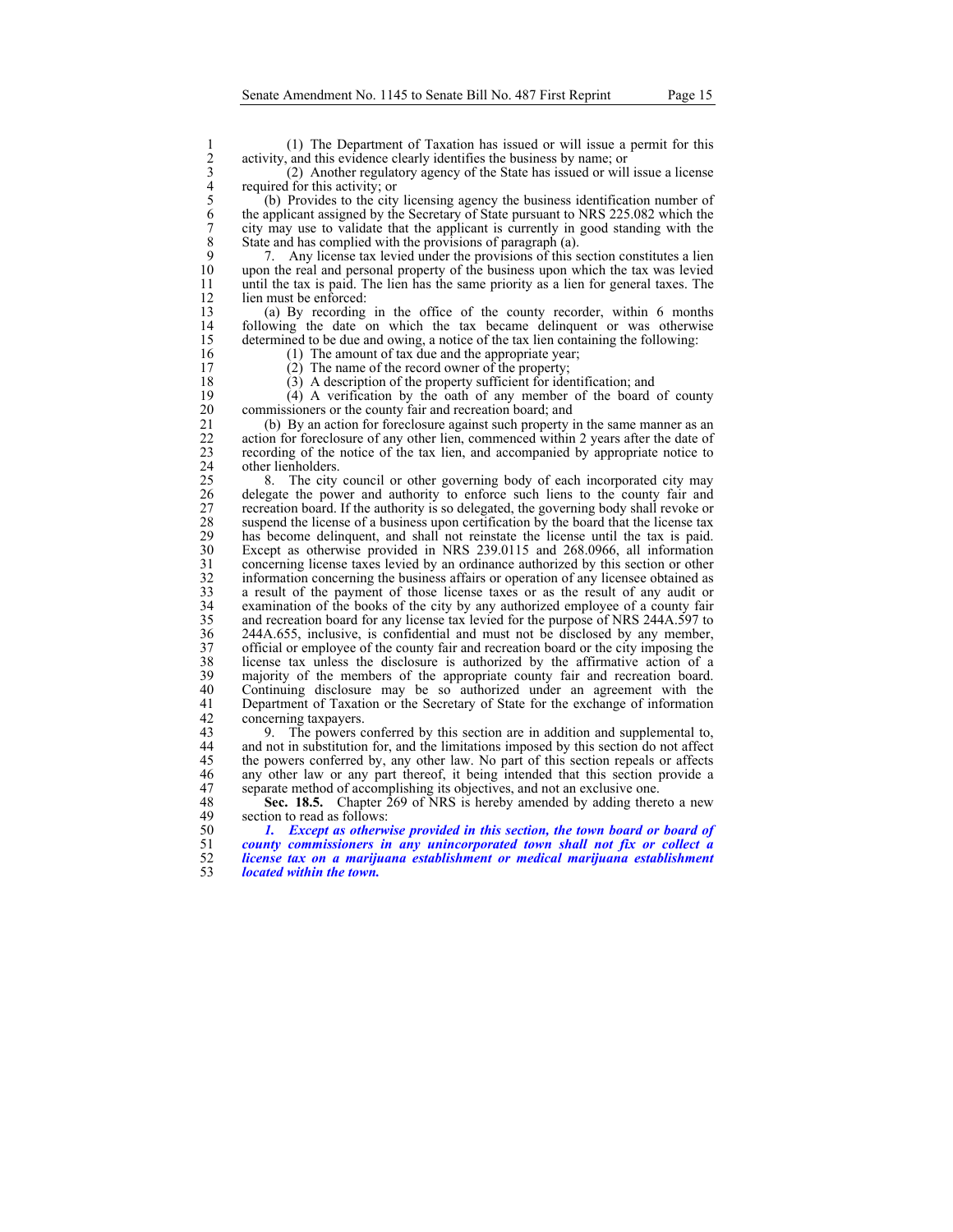activity, and this evidence clearly identifies the business by name; or

3 (2) Another regulatory agency of the State has issued or will issue a license required for this activity; or

1 (1) The Department of Taxation has issued or will issue a permit for this<br>
2 activity, and this evidence clearly identifies the business by name; or<br>
2) Another regulatory agency of the State has issued or will issue a l 5 (b) Provides to the city licensing agency the business identification number of 6 the applicant assigned by the Secretary of State pursuant to NRS 225.082 which the 7 city may use to validate that the applicant is currently in good standing with the State and has complied with the provisions of paragraph (a). 8 State and has complied with the provisions of paragraph (a).<br>9 7. Any license tax levied under the provisions of this s

9 7. Any license tax levied under the provisions of this section constitutes a lien 10 upon the real and personal property of the business upon which the tax was levied 11 until the tax is paid. The lien has the same priority as a lien for general taxes. The 12 lien must be enforced:<br>13 (a) By recording

13 (a) By recording in the office of the county recorder, within 6 months 14 following the date on which the tax became delinquent or was otherwise determined to be due and owing, a notice of the tax lien containing the following: determined to be due and owing, a notice of the tax lien containing the following: 16 (1) The amount of tax due and the appropriate year;<br>17 (2) The name of the record owner of the property;

- 
- 17 (2) The name of the record owner of the property;<br>18 (3) A description of the property sufficient for iden
	-

18 (3) A description of the property sufficient for identification; and (4) A verification by the oath of any member of the board 19 (4) A verification by the oath of any member of the board of county<br>20 commissioners or the county fair and recreation board; and

20 commissioners or the county fair and recreation board; and 21 (b) By an action for foreclosure against such property 21 (b) By an action for foreclosure against such property in the same manner as an action for foreclosure of any other lien, commenced within 2 years after the date of 22 action for foreclosure of any other lien, commenced within 2 years after the date of recording of the notice of the tax lien, and accompanied by appropriate notice to 23 recording of the notice of the tax lien, and accompanied by appropriate notice to 24 other lienholders.<br>25 8. The city

25 8. The city council or other governing body of each incorporated city may delegate the power and authority to enforce such liens to the county fair and 26 delegate the power and authority to enforce such liens to the county fair and 27 recreation board. If the authority is so delegated, the governing body shall revoke or suspend the license of a business upon certification by the board that the license tax 28 suspend the license of a business upon certification by the board that the license tax<br>29 has become delinguent, and shall not reinstate the license until the tax is paid. 29 has become delinquent, and shall not reinstate the license until the tax is paid.<br>20 Except as otherwise provided in NRS 239.0115 and 268.0966 all information 30 Except as otherwise provided in NRS 239.0115 and 268.0966, all information 31 concerning license taxes levied by an ordinance authorized by this section or other 32 information concerning the business affairs or operation of any licensee obtained as a result of the payment of those license taxes or as the result of any audit or 33 a result of the payment of those license taxes or as the result of any audit or examination of the books of the city by any authorized employee of a county fair examination of the books of the city by any authorized employee of a county fair 35 and recreation board for any license tax levied for the purpose of NRS 244A.597 to 36 244A.655, inclusive, is confidential and must not be disclosed by any member,<br>37 official or employee of the county fair and recreation board or the city imposing the 37 official or employee of the county fair and recreation board or the city imposing the license tax unless the disclosure is authorized by the affirmative action of a 38 license tax unless the disclosure is authorized by the affirmative action of a 39 majority of the members of the appropriate county fair and recreation board.<br>40 Continuing disclosure may be so authorized under an agreement with the 40 Continuing disclosure may be so authorized under an agreement with the Department of Taxation or the Secretary of State for the exchange of information 41 Department of Taxation or the Secretary of State for the exchange of information concerning taxpayers. 42 concerning taxpayers.<br>43 9. The powers c

43 9. The powers conferred by this section are in addition and supplemental to, 44 and not in substitution for, and the limitations imposed by this section do not affect 45 the powers conferred by, any other law. No part of this section repeals or affects any other law or any part thereof, it being intended that this section provide a any other law or any part thereof, it being intended that this section provide a 47 separate method of accomplishing its objectives, and not an exclusive one.<br>48 **Sec. 18.5.** Chapter 269 of NRS is hereby amended by adding there

48 **Sec. 18.5.** Chapter 269 of NRS is hereby amended by adding thereto a new section to read as follows: section to read as follows:

*1. Except as otherwise provided in this section, the town board or board of county commissioners in any unincorporated town shall not fix or collect a license tax on a marijuana establishment or medical marijuana establishment located within the town.*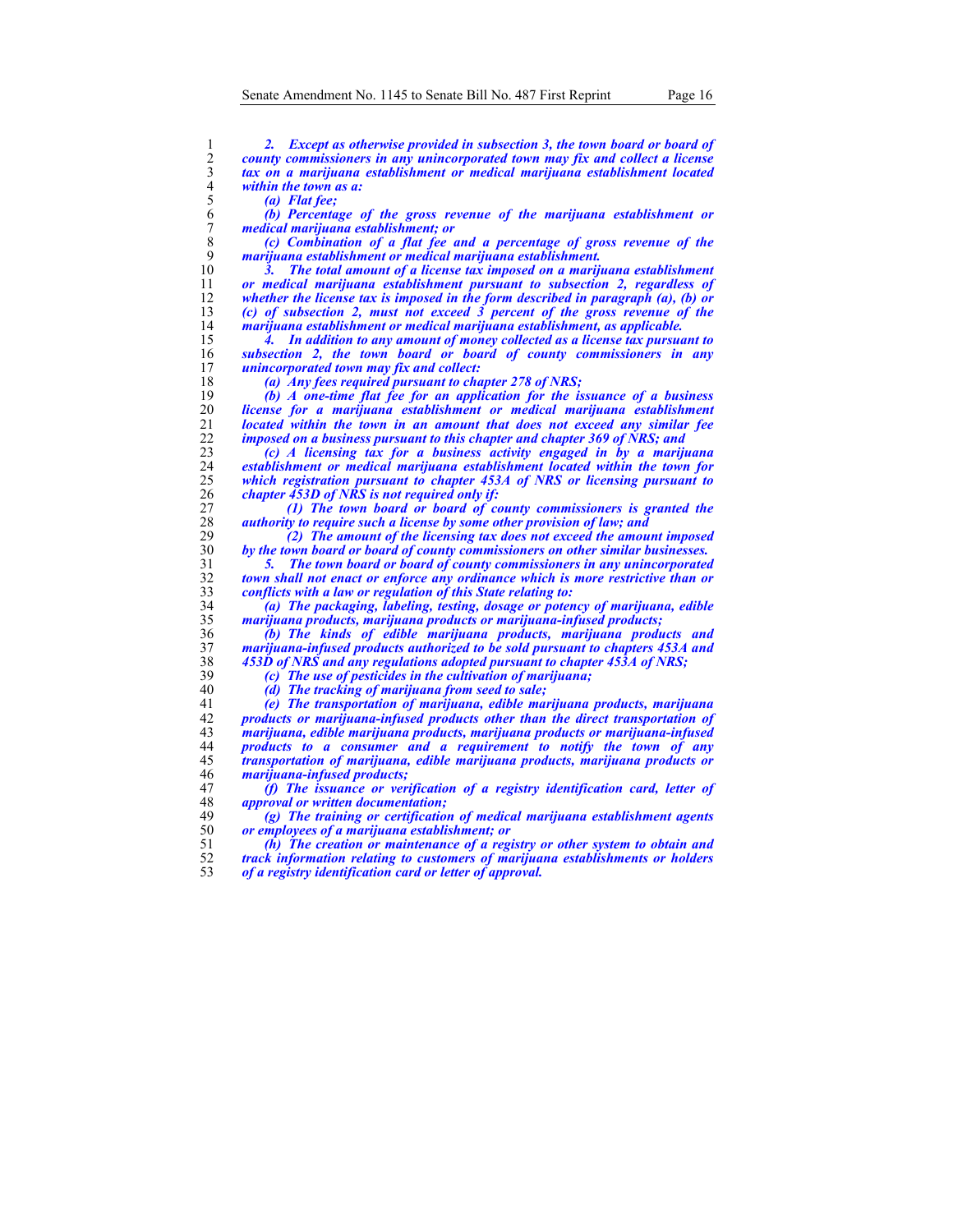| 1                   | <b>Except as otherwise provided in subsection 3, the town board or board of</b><br>$\mathbf{2}$ .                                                     |
|---------------------|-------------------------------------------------------------------------------------------------------------------------------------------------------|
| 2                   | county commissioners in any unincorporated town may fix and collect a license                                                                         |
| $\mathfrak{Z}$      | tax on a marijuana establishment or medical marijuana establishment located                                                                           |
| $\overline{4}$<br>5 | within the town as a:                                                                                                                                 |
| 6                   | (a) Flat fee;<br>$(b)$ Percentage of the gross revenue of the marijuana establishment or                                                              |
|                     |                                                                                                                                                       |
| 7                   | medical marijuana establishment; or                                                                                                                   |
| 8<br>9              | (c) Combination of a flat fee and a percentage of gross revenue of the                                                                                |
| 10                  | marijuana establishment or medical marijuana establishment.                                                                                           |
| 11                  | The total amount of a license tax imposed on a marijuana establishment<br>or medical marijuana establishment pursuant to subsection 2, regardless of  |
| 12                  | whether the license tax is imposed in the form described in paragraph $(a)$ , $(b)$ or                                                                |
| 13                  | (c) of subsection 2, must not exceed 3 percent of the gross revenue of the                                                                            |
| 14                  | marijuana establishment or medical marijuana establishment, as applicable.                                                                            |
| 15                  | In addition to any amount of money collected as a license tax pursuant to<br>4.                                                                       |
| 16                  | subsection 2, the town board or board of county commissioners in any                                                                                  |
| 17                  | <i>unincorporated town may fix and collect:</i>                                                                                                       |
| 18                  | (a) Any fees required pursuant to chapter 278 of NRS;                                                                                                 |
| 19                  | (b) A one-time flat fee for an application for the issuance of a business                                                                             |
| 20                  | license for a marijuana establishment or medical marijuana establishment                                                                              |
| 21                  | located within the town in an amount that does not exceed any similar fee                                                                             |
| 22                  | imposed on a business pursuant to this chapter and chapter 369 of NRS; and                                                                            |
| 23                  | (c) A licensing tax for a business activity engaged in by a marijuana                                                                                 |
| 24                  | establishment or medical marijuana establishment located within the town for                                                                          |
| 25                  | which registration pursuant to chapter 453A of NRS or licensing pursuant to                                                                           |
| 26                  | chapter 453D of NRS is not required only if:                                                                                                          |
| 27                  | (1) The town board or board of county commissioners is granted the                                                                                    |
| 28                  | authority to require such a license by some other provision of law; and                                                                               |
| 29                  | (2) The amount of the licensing tax does not exceed the amount imposed                                                                                |
| 30                  | by the town board or board of county commissioners on other similar businesses.                                                                       |
| 31                  | The town board or board of county commissioners in any unincorporated<br>5.                                                                           |
| 32                  | town shall not enact or enforce any ordinance which is more restrictive than or                                                                       |
| 33<br>34            | <i>conflicts with a law or regulation of this State relating to:</i>                                                                                  |
| 35                  | (a) The packaging, labeling, testing, dosage or potency of marijuana, edible<br>marijuana products, marijuana products or marijuana-infused products; |
| 36                  | (b) The kinds of edible marijuana products, marijuana products and                                                                                    |
| 37                  | marijuana-infused products authorized to be sold pursuant to chapters 453A and                                                                        |
| 38                  | 453D of NRS and any regulations adopted pursuant to chapter 453A of NRS;                                                                              |
| 39                  | (c) The use of pesticides in the cultivation of marijuana;                                                                                            |
| 40                  | (d) The tracking of marijuana from seed to sale;                                                                                                      |
| 41                  | (e) The transportation of marijuana, edible marijuana products, marijuana                                                                             |
| 42                  | products or marijuana-infused products other than the direct transportation of                                                                        |
| 43                  | marijuana, edible marijuana products, marijuana products or marijuana-infused                                                                         |
| 44                  | products to a consumer and a requirement to notify the town of any                                                                                    |
| 45                  | transportation of marijuana, edible marijuana products, marijuana products or                                                                         |
| 46                  | <i>marijuana-infused products;</i>                                                                                                                    |
| 47                  | $(f)$ The issuance or verification of a registry identification card, letter of                                                                       |
| 48                  | <i>approval or written documentation;</i>                                                                                                             |
| 49                  | (g) The training or certification of medical marijuana establishment agents                                                                           |
| 50                  | or employees of a marijuana establishment; or                                                                                                         |
| 51                  | $(h)$ The creation or maintenance of a registry or other system to obtain and                                                                         |
| 52                  | track information relating to customers of marijuana establishments or holders                                                                        |
| 53                  | of a registry identification card or letter of approval.                                                                                              |
|                     |                                                                                                                                                       |
|                     |                                                                                                                                                       |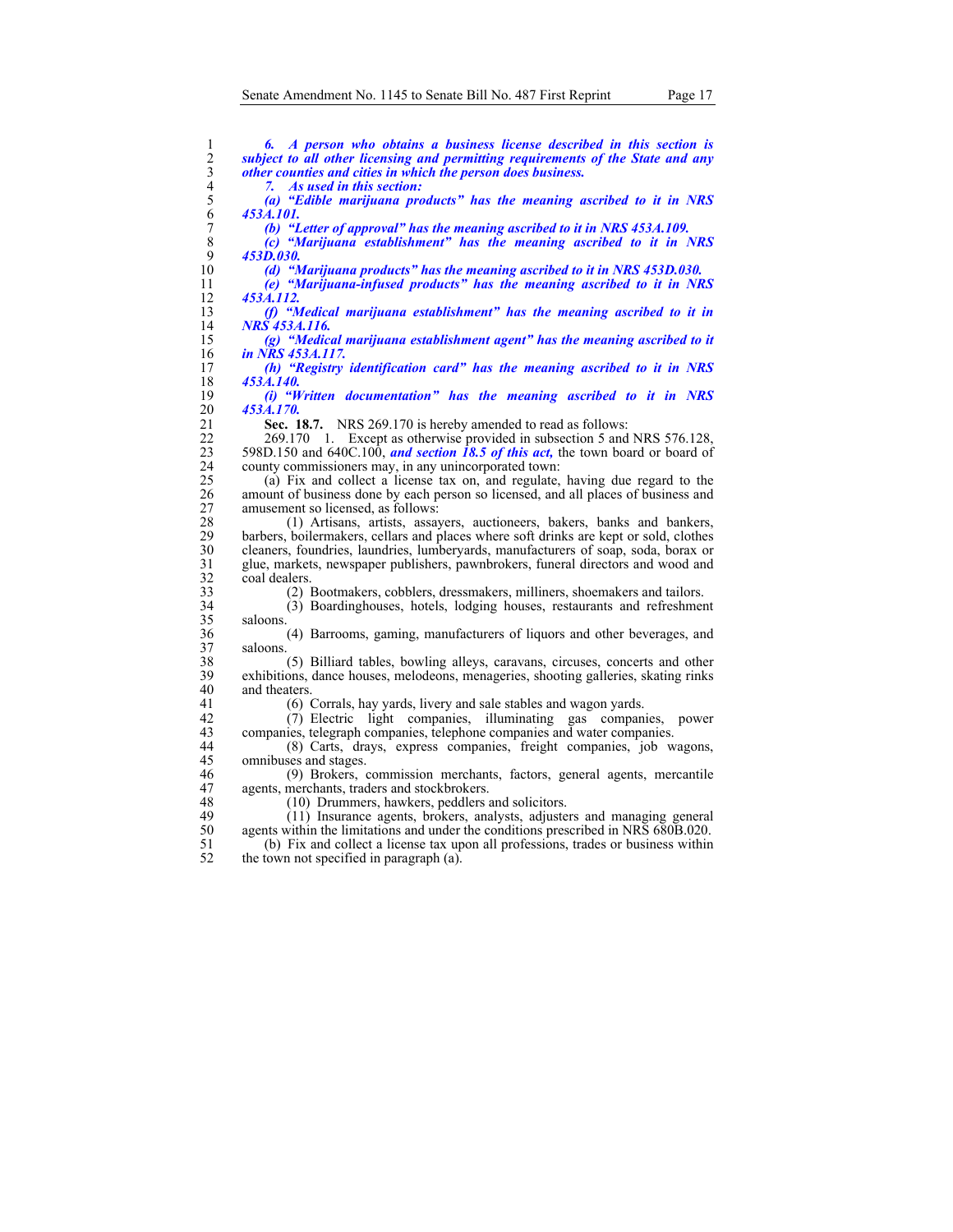| 1                       | 6. A person who obtains a business license described in this section is               |
|-------------------------|---------------------------------------------------------------------------------------|
| $\overline{c}$          | subject to all other licensing and permitting requirements of the State and any       |
| $\overline{\mathbf{3}}$ | other counties and cities in which the person does business.                          |
| $\overline{4}$          | As used in this section:<br>7.                                                        |
| 5                       | (a) "Edible marijuana products" has the meaning ascribed to it in NRS                 |
| 6                       | 453A.101.                                                                             |
| 7                       | (b) "Letter of approval" has the meaning ascribed to it in NRS 453A.109.              |
| 8                       | (c) "Marijuana establishment" has the meaning ascribed to it in NRS                   |
| 9                       | 453D.030.                                                                             |
| 10                      | (d) "Marijuana products" has the meaning ascribed to it in NRS 453D.030.              |
| 11                      |                                                                                       |
|                         | (e) "Marijuana-infused products" has the meaning ascribed to it in NRS                |
| 12                      | 453A.112.                                                                             |
| 13                      | (f) "Medical marijuana establishment" has the meaning ascribed to it in               |
| 14                      | NRS 453A.116.                                                                         |
| 15                      | (g) "Medical marijuana establishment agent" has the meaning ascribed to it            |
| 16                      | in NRS 453A.117.                                                                      |
| 17                      | (h) "Registry identification card" has the meaning ascribed to it in NRS              |
| 18                      | 453A.140.                                                                             |
| 19                      | (i) "Written documentation" has the meaning ascribed to it in NRS                     |
| 20                      | 453A.170.                                                                             |
| 21                      | <b>Sec. 18.7.</b> NRS 269.170 is hereby amended to read as follows:                   |
| 22                      | 269.170 1. Except as otherwise provided in subsection 5 and NRS 576.128,              |
| 23                      | 598D.150 and 640C.100, and section 18.5 of this act, the town board or board of       |
| 24                      | county commissioners may, in any unincorporated town:                                 |
| 25                      | (a) Fix and collect a license tax on, and regulate, having due regard to the          |
| 26                      | amount of business done by each person so licensed, and all places of business and    |
| 27                      | amusement so licensed, as follows:                                                    |
| 28                      | (1) Artisans, artists, assayers, auctioneers, bakers, banks and bankers,              |
|                         |                                                                                       |
| 29                      | barbers, boilermakers, cellars and places where soft drinks are kept or sold, clothes |
| 30                      | cleaners, foundries, laundries, lumberyards, manufacturers of soap, soda, borax or    |
| 31                      | glue, markets, newspaper publishers, pawnbrokers, funeral directors and wood and      |
| 32                      | coal dealers.                                                                         |
| 33                      | (2) Bootmakers, cobblers, dressmakers, milliners, shoemakers and tailors.             |
| 34                      | (3) Boardinghouses, hotels, lodging houses, restaurants and refreshment               |
| 35                      | saloons.                                                                              |
| 36                      | (4) Barrooms, gaming, manufacturers of liquors and other beverages, and               |
| 37                      | saloons.                                                                              |
| 38                      | (5) Billiard tables, bowling alleys, caravans, circuses, concerts and other           |
| 39                      | exhibitions, dance houses, melodeons, menageries, shooting galleries, skating rinks   |
| 40                      | and theaters.                                                                         |
| 41                      | (6) Corrals, hay yards, livery and sale stables and wagon yards.                      |
| 42                      | (7) Electric light companies, illuminating gas companies, power                       |
| 43                      | companies, telegraph companies, telephone companies and water companies.              |
| 44                      | (8) Carts, drays, express companies, freight companies, job wagons,                   |
| 45                      | omnibuses and stages.                                                                 |
| 46                      | (9) Brokers, commission merchants, factors, general agents, mercantile                |
| 47                      | agents, merchants, traders and stockbrokers.                                          |
| 48                      |                                                                                       |
|                         | (10) Drummers, hawkers, peddlers and solicitors.                                      |
| 49                      | (11) Insurance agents, brokers, analysts, adjusters and managing general              |
| 50                      | agents within the limitations and under the conditions prescribed in NRS 680B.020.    |
| 51                      | (b) Fix and collect a license tax upon all professions, trades or business within     |
| 52                      | the town not specified in paragraph (a).                                              |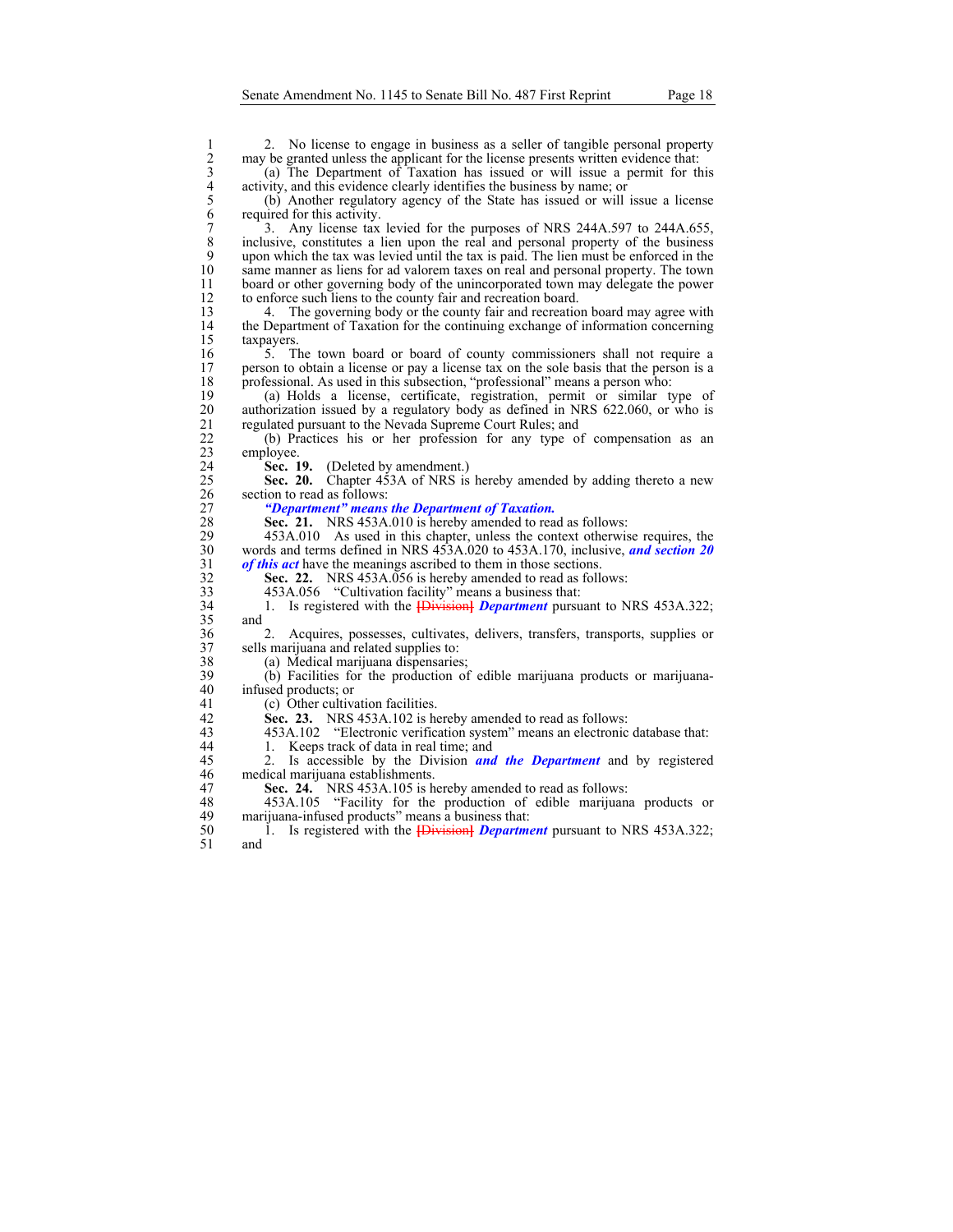2. No license to engage in business as a seller of tangible personal property<br>
2 may be granted unless the applicant for the license presents written evidence that:<br>
3 (a) The Department of Taxation has issued or will issu may be granted unless the applicant for the license presents written evidence that:

3 (a) The Department of Taxation has issued or will issue a permit for this activity, and this evidence clearly identifies the business by name; or

5 (b) Another regulatory agency of the State has issued or will issue a license required for this activity.

<sup>2</sup> 3. Any license tax levied for the purposes of NRS 244A.597 to 244A.655, inclusive, constitutes a lien upon the real and personal property of the business 8 inclusive, constitutes a lien upon the real and personal property of the business 9 upon which the tax was levied until the tax is paid. The lien must be enforced in the same manner as liens for ad valorem taxes on real and personal property. The town same manner as liens for ad valorem taxes on real and personal property. The town 11 board or other governing body of the unincorporated town may delegate the power 12 to enforce such liens to the county fair and recreation board.<br>13 4. The governing body or the county fair and recreation

13 4. The governing body or the county fair and recreation board may agree with 14 the Department of Taxation for the continuing exchange of information concerning taxpayers. taxpayers.

16 16 16 16 5. The town board or board of county commissioners shall not require a 17 16 16 17 16 17 16 17 16 17 16 17 16 17 16 17 16 17 16 17 16 17 16 17 16 17 16 17 16 17 16 17 16 17 16 17 16 17 16 17 16 17 16 17 16 17 1 17 person to obtain a license or pay a license tax on the sole basis that the person is a 18 professional. As used in this subsection, "professional" means a person who:<br>19 (a) Holds a license, certificate, registration, permit or similar to

19 (a) Holds a license, certificate, registration, permit or similar type of 20 authorization issued by a regulatory body as defined in NRS 622.060, or who is regulated pursuant to the Nevada Supreme Court Rules; and 21 regulated pursuant to the Nevada Supreme Court Rules; and 22 (b) Practices his or her profession for any type of

22 (b) Practices his or her profession for any type of compensation as an employee.

24 **Sec. 19.** (Deleted by amendment.)<br>25 **Sec. 20.** Chapter 453A of NRS is Sec. 20. Chapter 453A of NRS is hereby amended by adding thereto a new 26 section to read as follows:

27 *"Department" means the Department of Taxation.* 

28 **Sec. 21.** NRS 453A.010 is hereby amended to read as follows:<br>29 453A.010 As used in this chapter, unless the context otherwis

29 453A.010 As used in this chapter, unless the context otherwise requires, the words and terms defined in NRS 453A.020 to 453A.170, inclusive, and section 20 30 words and terms defined in NRS 453A.020 to 453A.170, inclusive, *and section 20*  of this act have the meanings ascribed to them in those sections.

32 **Sec. 22.** NRS 453A.056 is hereby amended to read as follows:<br>453A.056 "Cultivation facility" means a business that:

33 453A.056 "Cultivation facility" means a business that:

34 1. Is registered with the **[**Division**]** *Department* pursuant to NRS 453A.322; 35 and

36 2. Acquires, possesses, cultivates, delivers, transfers, transports, supplies or 37 sells marijuana and related supplies to:

38 (a) Medical marijuana dispensaries;<br>39 (b) Facilities for the production of (b) Facilities for the production of edible marijuana products or marijuana-40 infused products; or

41 (c) Other cultivation facilities.

42 **Sec. 23.** NRS 453A.102 is hereby amended to read as follows:<br>43 453A.102 "Electronic verification system" means an electronic

43 453A.102 "Electronic verification system" means an electronic database that:

44 1. Keeps track of data in real time; and

45 2. Is accessible by the Division *and the Department* and by registered 46 medical marijuana establishments.

47 **Sec. 24.** NRS 453A.105 is hereby amended to read as follows:<br>48 453A.105 "Facility for the production of edible marijuan

48 453A.105 "Facility for the production of edible marijuana products or marijuana-infused products" means a business that: marijuana-infused products" means a business that:

50 1. Is registered with the **[**Division**]** *Department* pursuant to NRS 453A.322; and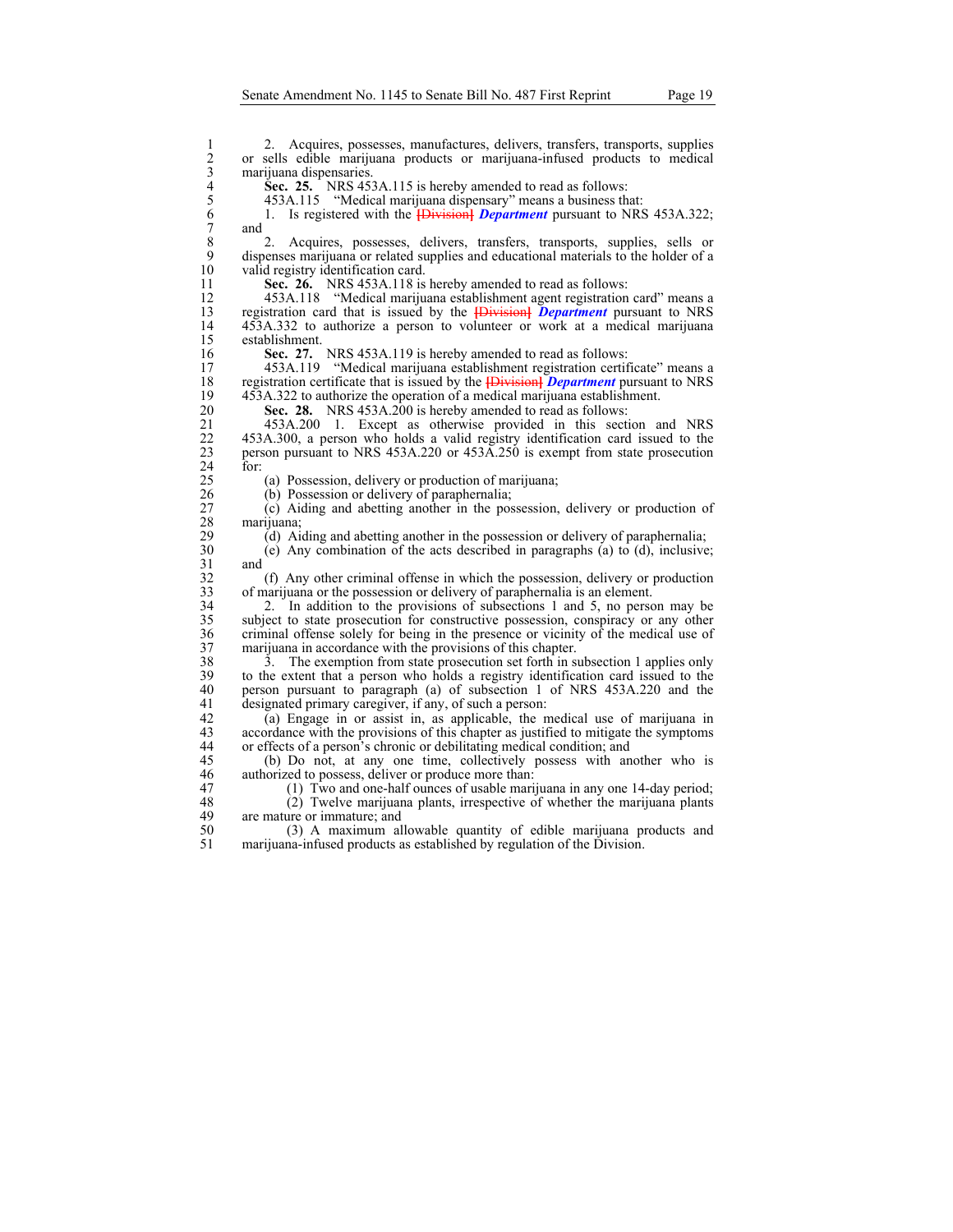2. Acquires, possesses, manufactures, delivers, transfers, transports, supplies<br>2 or sells edible marijuana products or marijuana-infused products to medical<br>3 marijuana dispensaries.<br>4 Sec. 25. NRS 453A.115 is hereby amen 2 or sells edible marijuana products or marijuana-infused products to medical marijuana dispensaries.

5 453A.115 "Medical marijuana dispensary" means a business that:

**Sec. 25.** NRS 453A.115 is hereby amended to read as follows:<br>453A.115 "Medical marijuana dispensary" means a business th<br>6 1. Is registered with the **[Division] Department** pursuant to N<br>7 and 6 1. Is registered with the **[**Division**]** *Department* pursuant to NRS 453A.322;  $\begin{bmatrix} 7 & \text{and} \\ 8 & \text{on} \end{bmatrix}$ 

8 2. Acquires, possesses, delivers, transfers, transports, supplies, sells or 9 dispenses marijuana or related supplies and educational materials to the holder of a valid registry identification card.

11 **Sec. 26.** NRS 453A.118 is hereby amended to read as follows:

12 453A.118 "Medical marijuana establishment agent registration card" means a<br>13 registration card that is issued by the **IDivision Department** pursuant to NRS 13 registration card that is issued by the **[**Division**]** *Department* pursuant to NRS 14 453A.332 to authorize a person to volunteer or work at a medical marijuana establishment.

16 **Sec. 27.** NRS 453A.119 is hereby amended to read as follows:<br>17 453A.119 "Medical marijuana establishment registration certif

17 453A.119 "Medical marijuana establishment registration certificate" means a 18 registration certificate that is issued by the **[**Division**]** *Department* pursuant to NRS 19 453A.322 to authorize the operation of a medical marijuana establishment.<br>20 **Sec. 28.** NRS 453A.200 is hereby amended to read as follows:

20 **Sec. 28.** NRS 453A.200 is hereby amended to read as follows:<br>21 453A.200 1. Except as otherwise provided in this section

21 453A.200 1. Except as otherwise provided in this section and NRS 22 453A.300, a person who holds a valid registry identification card issued to the person pursuant to NRS 453A.220 or 453A.250 is exempt from state prosecution 23 person pursuant to NRS 453A.220 or 453A.250 is exempt from state prosecution  $\frac{24}{25}$  for:

25 (a) Possession, delivery or production of marijuana;<br>26 (b) Possession or delivery of paraphernalia;

(b) Possession or delivery of paraphernalia;

27 (c) Aiding and abetting another in the possession, delivery or production of 28 marijuana;<br>29 (d) Ai

29 (d) Aiding and abetting another in the possession or delivery of paraphernalia;<br>30 (e) Any combination of the acts described in paragraphs (a) to (d), inclusive

 $30$  (e) Any combination of the acts described in paragraphs (a) to (d), inclusive;<br>31 and

32 (f) Any other criminal offense in which the possession, delivery or production of marijuana or the possession or delivery of paraphernalia is an element. 33 of marijuana or the possession or delivery of paraphernalia is an element.<br>34 2. In addition to the provisions of subsections 1 and 5, no person

2. In addition to the provisions of subsections 1 and 5, no person may be 35 subject to state prosecution for constructive possession, conspiracy or any other 36 criminal offense solely for being in the presence or vicinity of the medical use of marijuana in accordance with the provisions of this chapter. 37 marijuana in accordance with the provisions of this chapter.<br>38 3. The exemption from state prosecution set forth in s

38 3. The exemption from state prosecution set forth in subsection 1 applies only<br>39 to the extent that a person who holds a registry identification card issued to the 39 to the extent that a person who holds a registry identification card issued to the person pursuant to paragraph (a) of subsection 1 of NRS 453A.220 and the 40 person pursuant to paragraph (a) of subsection 1 of NRS 453A.220 and the designated primary caregiver, if any, of such a person: 41 designated primary caregiver, if any, of such a person:<br>42 (a) Engage in or assist in, as applicable, the n

42 (a) Engage in or assist in, as applicable, the medical use of marijuana in accordance with the provisions of this chapter as justified to mitigate the symptoms accordance with the provisions of this chapter as justified to mitigate the symptoms 44 or effects of a person's chronic or debilitating medical condition; and

45 (b) Do not, at any one time, collectively possess with another who is authorized to possess, deliver or produce more than: authorized to possess, deliver or produce more than:

47 (1) Two and one-half ounces of usable marijuana in any one 14-day period;<br>48 (2) Twelve marijuana plants, irrespective of whether the marijuana plants

48 (2) Twelve marijuana plants, irrespective of whether the marijuana plants are mature or immature; and are mature or immature; and

50 (3) A maximum allowable quantity of edible marijuana products and marijuana-infused products as established by regulation of the Division. marijuana-infused products as established by regulation of the Division.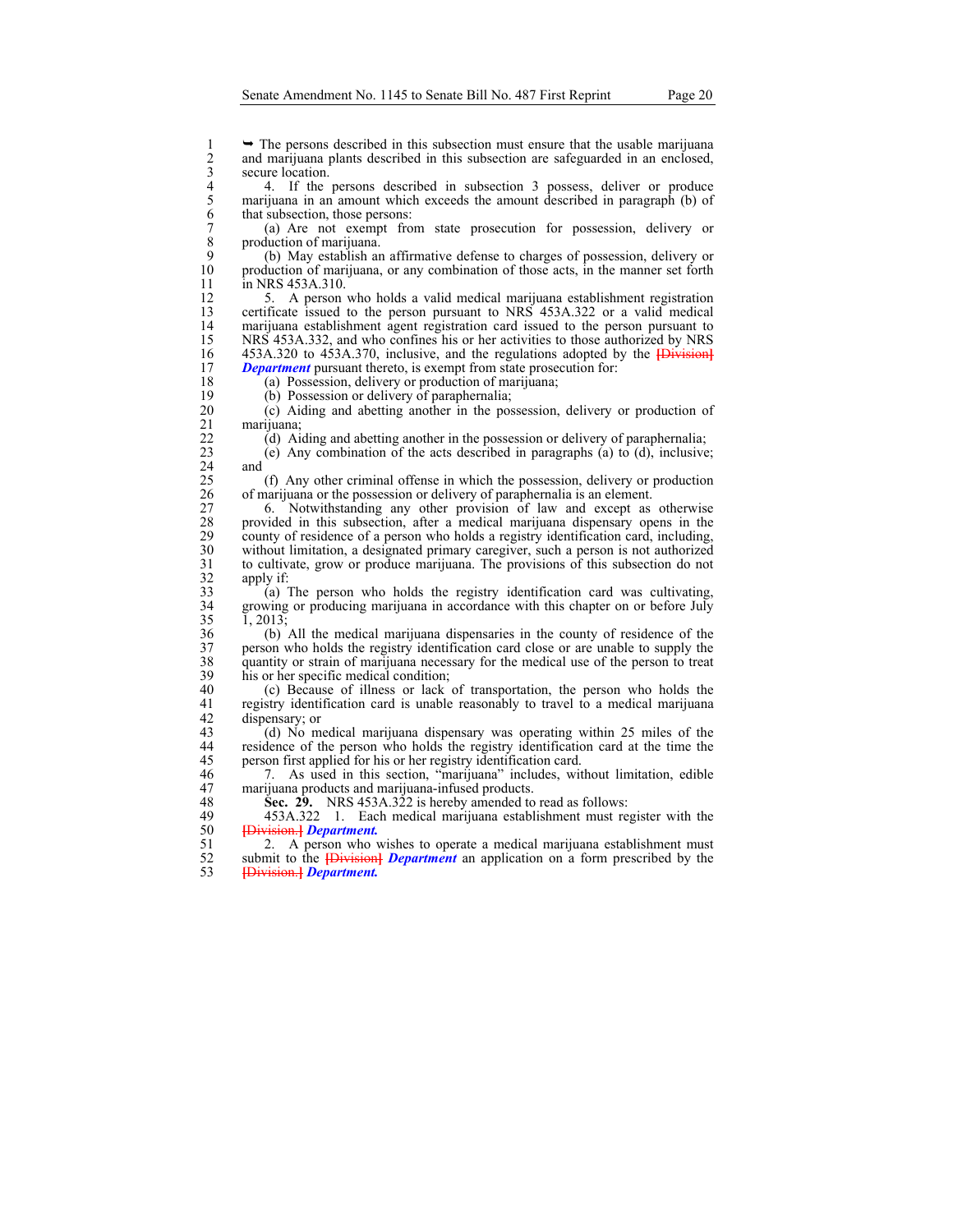1 → The persons described in this subsection must ensure that the usable marijuana<br>2 and marijuana plants described in this subsection are safeguarded in an enclosed,<br>3 secure location.<br>4 4. If the persons described in su and marijuana plants described in this subsection are safeguarded in an enclosed, secure location.

4 4. If the persons described in subsection 3 possess, deliver or produce<br>5 marijuana in an amount which exceeds the amount described in paragraph (b) of<br>6 that subsection, those persons:<br>7 (a) Are not exempt from state pr marijuana in an amount which exceeds the amount described in paragraph (b) of that subsection, those persons:

7 (a) Are not exempt from state prosecution for possession, delivery or 8 production of marijuana.<br>9 (b) May establish are

9 (b) May establish an affirmative defense to charges of possession, delivery or 10 production of marijuana, or any combination of those acts, in the manner set forth in NRS 453A.310. in NRS 453A.310.

12 5. A person who holds a valid medical marijuana establishment registration<br>13 certificate issued to the person pursuant to NRS 453A.322 or a valid medical 13 certificate issued to the person pursuant to NRS 453A.322 or a valid medical 14 marijuana establishment agent registration card issued to the person pursuant to NRS 453A.332, and who confines his or her activities to those authorized by NRS NRS 453A.332, and who confines his or her activities to those authorized by NRS 16 453A.320 to 453A.370, inclusive, and the regulations adopted by the *{Division}*<br>17 **Department** pursuant thereto, is exempt from state prosecution for: **Department** pursuant thereto, is exempt from state prosecution for:

18 (a) Possession, delivery or production of marijuana;<br>19 (b) Possession or delivery of paraphernalia;

19 (b) Possession or delivery of paraphernalia;<br>20 (c) Aiding and abetting another in the pos 20 (c) Aiding and abetting another in the possession, delivery or production of 21 marijuana;<br>22 (d) Ai

22 (d) Aiding and abetting another in the possession or delivery of paraphernalia;<br>23 (e) Any combination of the acts described in paragraphs (a) to (d), inclusive (e) Any combination of the acts described in paragraphs (a) to  $(d)$ , inclusive;  $\begin{array}{c} 24 \\ 25 \end{array}$  and

25 (f) Any other criminal offense in which the possession, delivery or production of marijuana or the possession or delivery of paraphernalia is an element. 26 of marijuana or the possession or delivery of paraphernalia is an element.

27 6. Notwithstanding any other provision of law and except as otherwise provided in this subsection, after a medical marijuana dispensary opens in the 28 provided in this subsection, after a medical marijuana dispensary opens in the county of residence of a person who holds a registry identification card, including, 29 county of residence of a person who holds a registry identification card, including,<br>30 without limitation, a designated primary caregiver, such a person is not authorized 30 without limitation, a designated primary caregiver, such a person is not authorized<br>31 to cultivate, grow or produce marijuana. The provisions of this subsection do not 31 to cultivate, grow or produce marijuana. The provisions of this subsection do not

 $\begin{array}{c} 32 \\ 33 \end{array}$  apply if:<br>(a) 1  $33$  (a) The person who holds the registry identification card was cultivating, growing or producing marijuana in accordance with this chapter on or before July growing or producing marijuana in accordance with this chapter on or before July 35 1, 2013;

36 (b) All the medical marijuana dispensaries in the county of residence of the 37 person who holds the registry identification card close or are unable to supply the quantity or strain of marijuana necessary for the medical use of the person to treat 38 quantity or strain of marijuana necessary for the medical use of the person to treat 39 his or her specific medical condition;<br>40 (c) Because of illness or lack

40 (c) Because of illness or lack of transportation, the person who holds the registry identification card is unable reasonably to travel to a medical marijuana 41 registry identification card is unable reasonably to travel to a medical marijuana<br>42 dispensary; or 42 dispensary; or  $(3)$  No m

43 (d) No medical marijuana dispensary was operating within 25 miles of the 44 residence of the person who holds the registry identification card at the time the 45 person first applied for his or her registry identification card.

46 7. As used in this section, "marijuana" includes, without limitation, edible 47 marijuana products and marijuana-infused products.<br>48 **Sec. 29.** NRS 453A.322 is hereby amended to

48 **Sec. 29.** NRS 453A.322 is hereby amended to read as follows:<br>49 453A.322 1. Each medical marijuana establishment must re

49 453A.322 1. Each medical marijuana establishment must register with the 50 **[**Division.**]** *Department.*

51 2. A person who wishes to operate a medical marijuana establishment must submit to the *H* integer of *Department* an application on a form prescribed by the 52 submit to the *{Division} Department* an application on a form prescribed by the <br>53 <del>Division *Q*</del> *Department*. 53 **[**Division.**]** *Department.*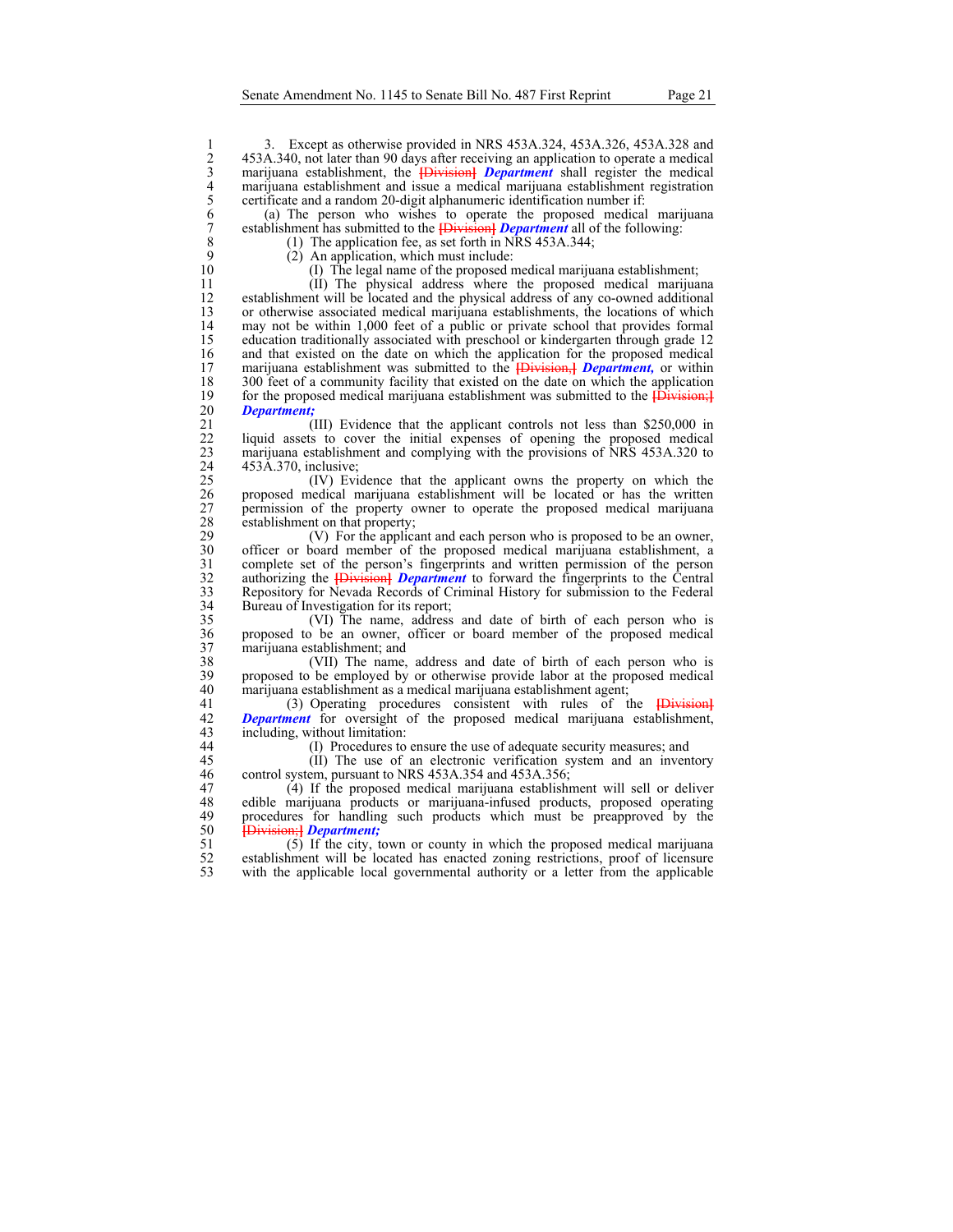1 3. Except as otherwise provided in NRS 453A.324, 453A.326, 453A.328 and<br>
2 453A.340, not later than 90 days after receiving an application to operate a medical<br>
marijuana establishment, the **[Division]** Department shall 2 453A.340, not later than 90 days after receiving an application to operate a medical 3 marijuana establishment, the **[**Division**]** *Department* shall register the medical marijuana establishment and issue a medical marijuana establishment registration 5 certificate and a random 20-digit alphanumeric identification number if:

(a) The person who wishes to operate the proposed medical marijuana 7 establishment has submitted to the **[**Division**]** *Department* all of the following:

8 (1) The application fee, as set forth in NRS 453A.344;<br>9 (2) An application, which must include: 9 (2) An application, which must include:<br>10 (1) The legal name of the proposed n

10 (I) The legal name of the proposed medical marijuana establishment;<br>11 (II) The physical address where the proposed medical marijua

11 (II) The physical address where the proposed medical marijuana 12 establishment will be located and the physical address of any co-owned additional<br>13 or otherwise associated medical marijuana establishments, the locations of which 13 or otherwise associated medical marijuana establishments, the locations of which<br>14 may not be within 1,000 feet of a public or private school that provides formal 14 may not be within 1,000 feet of a public or private school that provides formal 15 education traditionally associated with preschool or kindergarten through grade 12<br>16 and that existed on the date on which the application for the proposed medical 16 and that existed on the date on which the application for the proposed medical marijuana establishment was submitted to the **IDivision-I** *Department*, or within 17 marijuana establishment was submitted to the **{Division,}** *Department*, or within 18 300 feet of a community facility that existed on the date on which the application 18 300 feet of a community facility that existed on the date on which the application<br>19 for the proposed medical marijuana establishment was submitted to the *H* 19 for the proposed medical marijuana establishment was submitted to the  $\overrightarrow{Division;}$ <br>20 *Department*: 20 *Department;*

21 (III) Evidence that the applicant controls not less than \$250,000 in liquid assets to cover the initial expenses of opening the proposed medical 22 liquid assets to cover the initial expenses of opening the proposed medical 23 marijuana establishment and complying with the provisions of NRS 453A.320 to 24 453Å.370, inclusive;<br>25 (IV) Evie

25 (IV) Evidence that the applicant owns the property on which the 26 proposed medical marijuana establishment will be located or has the written 27 permission of the property owner to operate the proposed medical marijuana 28 establishment on that property;<br>29 (V) For the applica

29 (V) For the applicant and each person who is proposed to be an owner,<br>30 officer or board member of the proposed medical marijuana establishment, a 30 officer or board member of the proposed medical marijuana establishment, a 31 complete set of the person's fingerprints and written permission of the person authorizing the **[Division]** *Department* to forward the fingerprints to the Central 32 authorizing the **[Division]** *Department* to forward the fingerprints to the Central Repository for Nevada Records of Criminal History for submission to the Federal 33 Repository for Nevada Records of Criminal History for submission to the Federal 34 Bureau of Investigation for its report;<br>35 (VI) The name, address

35 (VI) The name, address and date of birth of each person who is 36 proposed to be an owner, officer or board member of the proposed medical 37 marijuana establishment; and<br>38 (VII) The name,

38 (VII) The name, address and date of birth of each person who is 39 proposed to be employed by or otherwise provide labor at the proposed medical 40 marijuana establishment as a medical marijuana establishment as a medical marijuana establishment as a medical marijuana establishment as 40 marijuana establishment as a medical marijuana establishment agent;<br>41 (3) Operating procedures consistent with rules of the

41 (3) Operating procedures consistent with rules of the **[Division]**<br>42 **Department** for oversight of the proposed medical marijuana establishment. 42 **Department** for oversight of the proposed medical marijuana establishment, including without limitation: 43 including, without limitation:<br>44 (I) Procedures to

44 (I) Procedures to ensure the use of adequate security measures; and 45 (II) The use of an electronic verification system and an inven

45 (II) The use of an electronic verification system and an inventory control system, pursuant to NRS 453A.354 and 453A.356; control system, pursuant to NRS 453A.354 and 453A.356;

47 (4) If the proposed medical marijuana establishment will sell or deliver<br>48 edible marijuana products or marijuana-infused products, proposed operating 48 edible marijuana products or marijuana-infused products, proposed operating<br>49 procedures for handling such products which must be preapproved by the 49 procedures for handling such products which must be preapproved by the 50 **[**Division;**]** *Department;*

 $51$  ( $5$ ) If the city, town or county in which the proposed medical marijuana establishment will be located has enacted zoning restrictions, proof of licensure 52 establishment will be located has enacted zoning restrictions, proof of licensure with the applicable local governmental authority or a letter from the applicable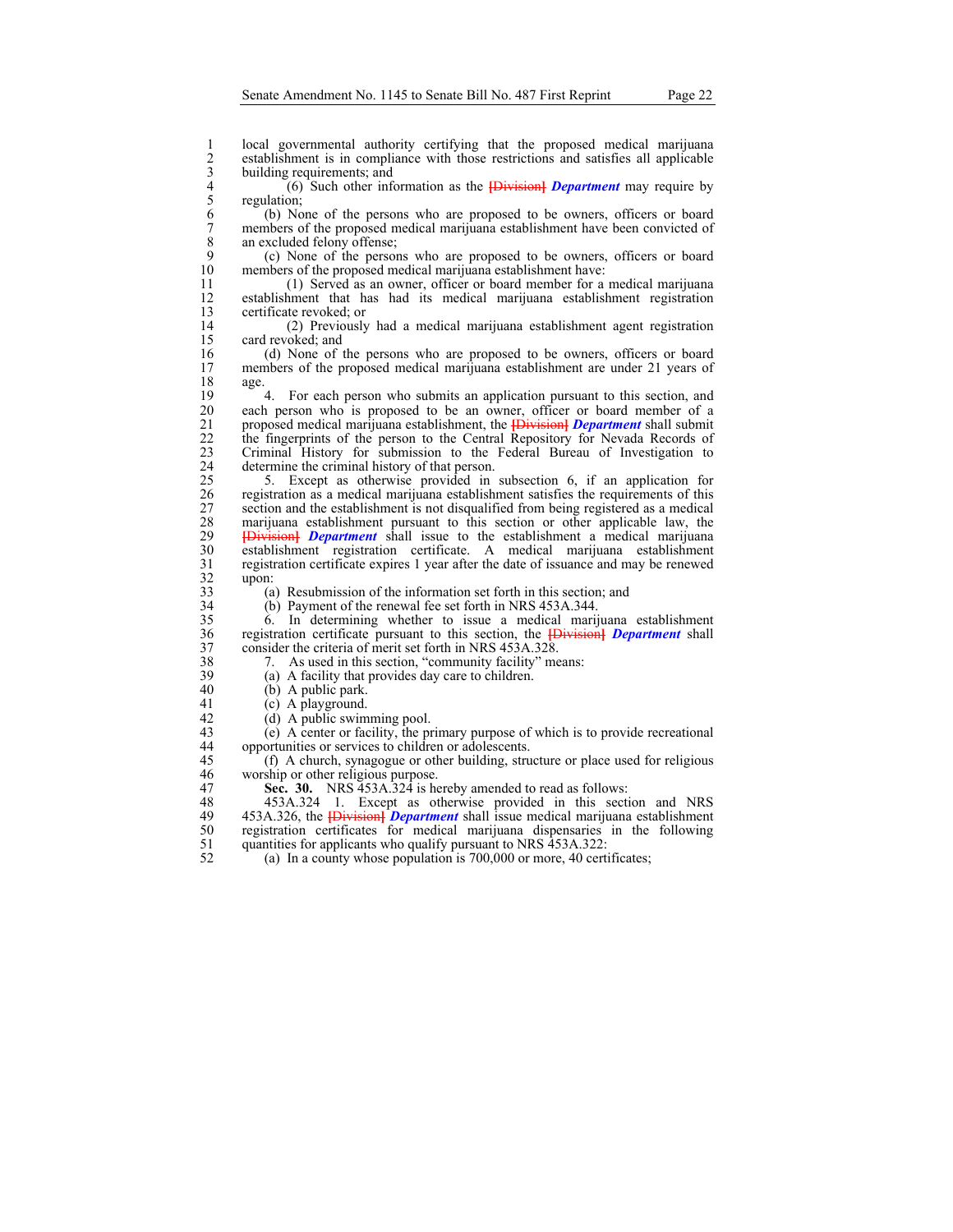1 local governmental authority certifying that the proposed medical marijuana<br>
2 establishment is in compliance with those restrictions and satisfies all applicable<br>
5 building requirements; and<br>
5 cgulation;<br>
6 (b) None o establishment is in compliance with those restrictions and satisfies all applicable building requirements; and

4 (6) Such other information as the **[**Division**]** *Department* may require by regulation;

6 (b) None of the persons who are proposed to be owners, officers or board 7 members of the proposed medical marijuana establishment have been convicted of an excluded felony offense; 8 an excluded felony offense;<br>9 (c) None of the person

9 (c) None of the persons who are proposed to be owners, officers or board members of the proposed medical marijuana establishment have: members of the proposed medical marijuana establishment have:

11 (1) Served as an owner, officer or board member for a medical marijuana 12 establishment that has had its medical marijuana establishment registration certificate revoked; or

14 (2) Previously had a medical marijuana establishment agent registration card revoked; and

16 (d) None of the persons who are proposed to be owners, officers or board nembers of the proposed medical marijuana establishment are under 21 years of 17 members of the proposed medical marijuana establishment are under 21 years of age.  $\begin{array}{c} 18 \\ 19 \end{array}$  age.

19 4. For each person who submits an application pursuant to this section, and each person who is proposed to be an owner, officer or board member of a each person who is proposed to be an owner, officer or board member of a 21 proposed medical marijuana establishment, the **[**Division**]** *Department* shall submit 22 the fingerprints of the person to the Central Repository for Nevada Records of Criminal History for submission to the Federal Bureau of Investigation to Criminal History for submission to the Federal Bureau of Investigation to 24 determine the criminal history of that person.<br>25 5. Except as otherwise provided in

25 5. Except as otherwise provided in subsection 6, if an application for registration as a medical marijuana establishment satisfies the requirements of this 27 section and the establishment is not disqualified from being registered as a medical 28 marijuana establishment pursuant to this section or other applicable law, the 28 marijuana establishment pursuant to this section or other applicable law, the 29 Havistion Propertment shall issue to the establishment a medical marijuana 29 **[**Division**]** *Department* shall issue to the establishment a medical marijuana 30 establishment registration certificate. A medical marijuana establishment registration certificate expires 1 year after the date of issuance and may be renewed 31 registration certificate expires 1 year after the date of issuance and may be renewed  $\begin{array}{c} 32 \\ 33 \end{array}$  upon:<br>(a)

33 (a) Resubmission of the information set forth in this section; and 34 (b) Payment of the renewal fee set forth in NRS 453A.344.

(b) Payment of the renewal fee set forth in NRS 453A.344.

35 6. In determining whether to issue a medical marijuana establishment 36 registration certificate pursuant to this section, the **[**Division**]** *Department* shall 37 consider the criteria of merit set forth in NRS 453A.328.

38 7. As used in this section, "community facility" means:<br>39 (a) A facility that provides day care to children.

(a) A facility that provides day care to children.

40 (b) A public park.

41 (c) A playground.

42 (d) A public swimming pool.<br>43 (e) A center or facility, the pr  $(e)$  A center or facility, the primary purpose of which is to provide recreational 44 opportunities or services to children or adolescents.

45 (f) A church, synagogue or other building, structure or place used for religious worship or other religious purpose.

47 **Sec. 30.** NRS 453A.324 is hereby amended to read as follows:<br>48 453A.324 1. Except as otherwise provided in this section

48 453A.324 1. Except as otherwise provided in this section and NRS<br>49 453A.326, the **IDivision** *Department* shall issue medical marijuana establishment 49 453A.326, the **[**Division**]** *Department* shall issue medical marijuana establishment 50 registration certificates for medical marijuana dispensaries in the following<br>51 quantities for applicants who qualify pursuant to NRS 453A.322: 51 quantities for applicants who qualify pursuant to NRS 453A.322:<br>52 (a) In a county whose population is 700,000 or more, 40 certi

(a) In a county whose population is  $700,000$  or more, 40 certificates;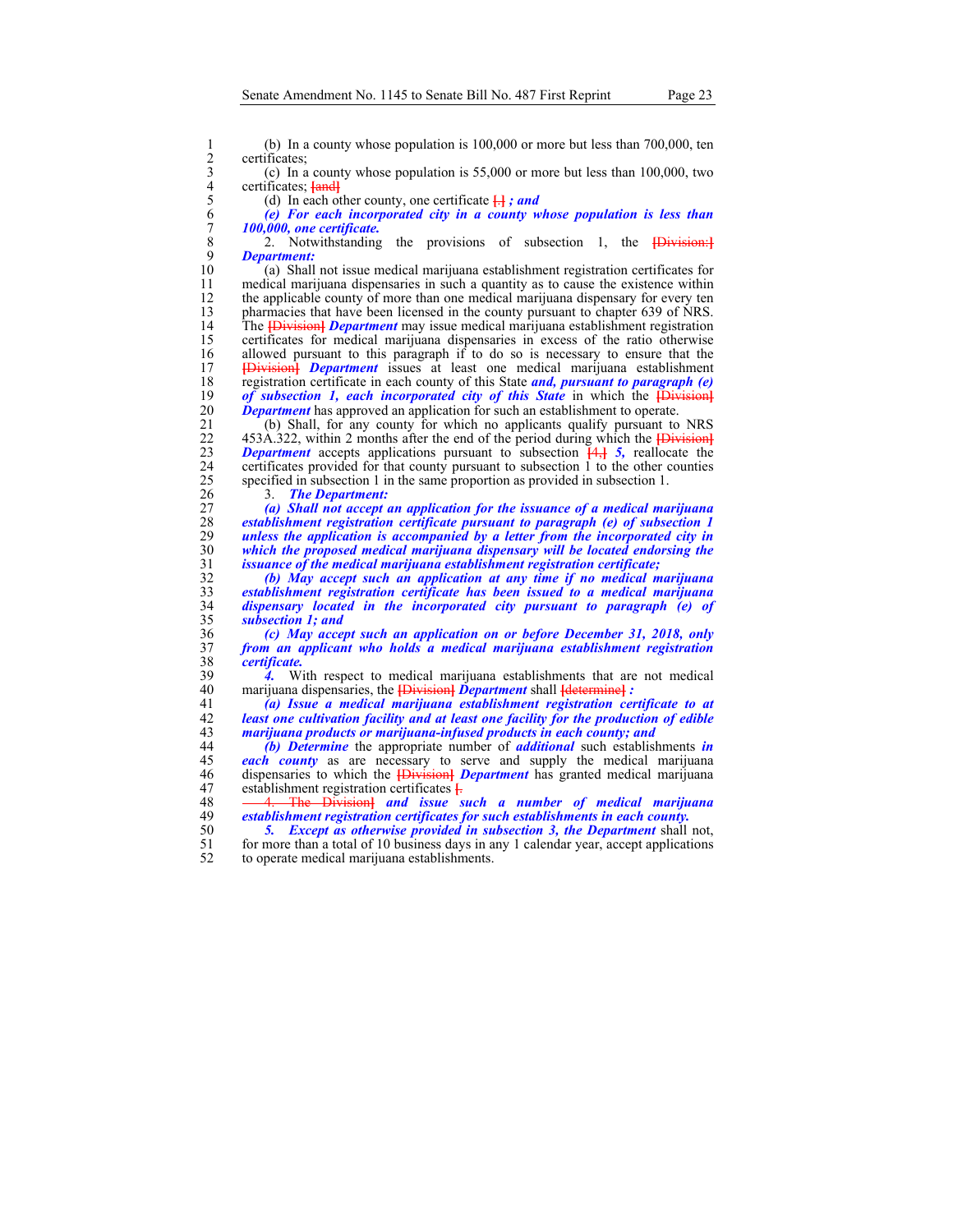certificates;

1 (b) In a county whose population is 100,000 or more but less than 700,000, ten<br>
2 certificates;<br>
(c) In a county whose population is 55,000 or more but less than 100,000, two<br>
certificates;  $\frac{1}{10}$  certificate  $\frac{1}{$  $\alpha$ ) In a county whose population is 55,000 or more but less than 100,000, two certificates; **[and]** 

(d) In each other county, one certificate  $\frac{1}{x}$ *; and* 

6 *(e) For each incorporated city in a county whose population is less than*  7 *100,000, one certificate.* 

8 2. Notwithstanding the provisions of subsection 1, the **[Division:]**<br>9 **Department:** 9 *Department:*

10 (a) Shall not issue medical marijuana establishment registration certificates for 11 medical marijuana dispensaries in such a quantity as to cause the existence within 12 the applicable county of more than one medical marijuana dispensary for every ten<br>13 pharmacies that have been licensed in the county pursuant to chapter 639 of NRS. 13 pharmacies that have been licensed in the county pursuant to chapter 639 of NRS. 14 The **[**Division**]** *Department* may issue medical marijuana establishment registration 15 certificates for medical marijuana dispensaries in excess of the ratio otherwise 16 allowed pursuant to this paragraph if to do so is necessary to ensure that the 17 **IDivisionl** *Department* issues at least one medical marijuana establishment 17 **[**Division**]** *Department* issues at least one medical marijuana establishment 18 registration certificate in each county of this State *and, pursuant to paragraph (e)*  19 *of subsection 1, each incorporated city of this State* in which the *{Division}* 20 *Department* has approved an application for such an establishment to operate. **20 Department** has approved an application for such an establishment to operate.<br>21 (b) Shall, for any county for which no applicants qualify pursuant to

21 (b) Shall, for any county for which no applicants qualify pursuant to NRS 22 453A.322, within 2 months after the end of the period during which the **{Division}** 22 453A.322, within 2 months after the end of the period during which the **[Division]**<br>23 **Department** accepts applications pursuant to subsection  $\frac{[4,1]}{[5,1]}$ , reallocate the *Department* accepts applications pursuant to subsection  $\frac{4}{3}$ ,  $\frac{4}{3}$ , reallocate the 24 certificates provided for that county pursuant to subsection 1 to the other counties specified in subsection 1 in the same proportion as provided in subsection 1. specified in subsection 1 in the same proportion as provided in subsection 1.

26 3. *The Department:* 

*(a) Shall not accept an application for the issuance of a medical marijuana establishment registration certificate pursuant to paragraph (e) of subsection 1 unless the application is accompanied by a letter from the incorporated city in which the proposed medical marijuana dispensary will be located endorsing the*  issuance of the medical marijuana establishment registration certificate;

*(b) May accept such an application at any time if no medical marijuana establishment registration certificate has been issued to a medical marijuana*  dispensary located in the incorporated city pursuant to paragraph (e) of *subsection 1; and* 

36 *(c) May accept such an application on or before December 31, 2018, only*  37 *from an applicant who holds a medical marijuana establishment registration*  38 *certificate.* 

39 4. With respect to medical marijuana establishments that are not medical marijuana dispensaries, the **H**ivision **Properties** of Helenanics 2. 40 marijuana dispensaries, the **[**Division**]** *Department* shall **[**determine**]** *:* 

41 *(a) Issue a medical marijuana establishment registration certificate to at*  42 *least one cultivation facility and at least one facility for the production of edible*  43 *marijuana products or marijuana-infused products in each county; and* 

44 *(b) Determine* the appropriate number of *additional* such establishments *in*  45 *each county* as are necessary to serve and supply the medical marijuana 46 dispensaries to which the **[**Division**]** *Department* has granted medical marijuana 47 establishment registration certificates **[**. 48 - 4. The Division and *issue* s

48 <del>4. The Division]</del> and issue such a number of medical marijuana<br>49 establishment registration certificates for such establishments in each county. establishment registration certificates for such establishments in each county.

50 **5.** *Except as otherwise provided in subsection 3, the Department* shall not, for more than a total of 10 business days in any 1 calendar year, accept applications for more than a total of 10 business days in any 1 calendar year, accept applications 52 to operate medical marijuana establishments.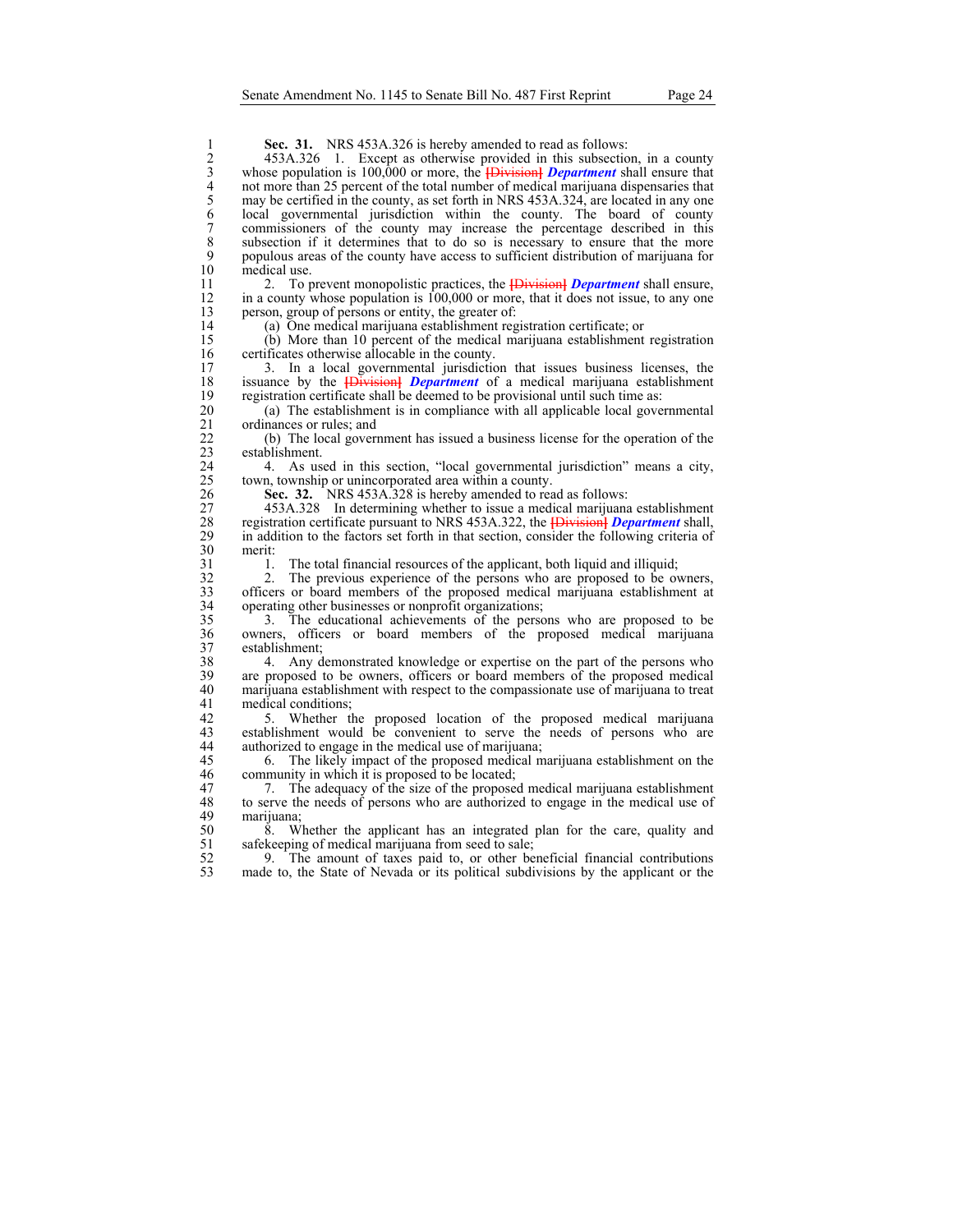**Sec. 31.** NRS 453A.326 is hereby amended to read as follows:<br>2 453A.326 1. Except as otherwise provided in this subsectio<br>3 whose population is 100,000 or more, the **{Division}** *Department* shot more than 25 percent of t 2 453A.326 1. Except as otherwise provided in this subsection, in a county 3 whose population is 100,000 or more, the **[**Division**]** *Department* shall ensure that 4 not more than 25 percent of the total number of medical marijuana dispensaries that<br>5 may be certified in the county, as set forth in NRS 453A.324, are located in any one<br>6 local governmental jurisdiction within the coun may be certified in the county, as set forth in NRS 453A.324, are located in any one 6 local governmental jurisdiction within the county. The board of county 7 commissioners of the county may increase the percentage described in this 8 subsection if it determines that to do so is necessary to ensure that the more<br>9 populous areas of the county have access to sufficient distribution of marijuana for 9 populous areas of the county have access to sufficient distribution of marijuana for medical use. 11 2. To prevent monopolistic practices, the **[**Division**]** *Department* shall ensure, 12 in a county whose population is 100,000 or more, that it does not issue, to any one person, group of persons or entity, the greater of: 13 person, group of persons or entity, the greater of:<br>14 (a) One medical marijuana establishment reg 14 (a) One medical marijuana establishment registration certificate; or 15 (b) More than 10 percent of the medical marijuana establishment registration 16 certificates otherwise allocable in the county.<br>17 3. In a local governmental jurisdiction 17 3. In a local governmental jurisdiction that issues business licenses, the issuance by the **IDivision** *Department* of a medical marijuana establishment 18 issuance by the **[**Division**]** *Department* of a medical marijuana establishment 19 registration certificate shall be deemed to be provisional until such time as:<br>20 (a) The establishment is in compliance with all applicable local gove 20 (a) The establishment is in compliance with all applicable local governmental 21 ordinances or rules; and<br>22 (b) The local govern 22 (b) The local government has issued a business license for the operation of the establishment. 24 4. As used in this section, "local governmental jurisdiction" means a city, town, township or unincorporated area within a county. 25 town, township or unincorporated area within a county.<br>26 **Sec. 32.** NRS 453A.328 is hereby amended to real Sec. 32. NRS 453A.328 is hereby amended to read as follows: 27 453A.328 In determining whether to issue a medical marijuana establishment<br>28 registration certificate pursuant to NRS 453A.322, the *Division Department* shall, 28 registration certificate pursuant to NRS 453A.322, the **[**Division**]** *Department* shall, 29 in addition to the factors set forth in that section, consider the following criteria of 30 merit:<br>31 1. 31 1. The total financial resources of the applicant, both liquid and illiquid;<br>32 2. The previous experience of the persons who are proposed to be over 32 2. The previous experience of the persons who are proposed to be owners, officers or board members of the proposed medical marijuana establishment at 33 officers or board members of the proposed medical marijuana establishment at operating other businesses or nonprofit organizations; operating other businesses or nonprofit organizations; 35 3. The educational achievements of the persons who are proposed to be 36 owners, officers or board members of the proposed medical marijuana 37 establishment;<br>38 4. Any d 38 4. Any demonstrated knowledge or expertise on the part of the persons who are proposed to be owners, officers or board members of the proposed medical 39 are proposed to be owners, officers or board members of the proposed medical marijuana establishment with respect to the compassionate use of marijuana to treat 40 marijuana establishment with respect to the compassionate use of marijuana to treat 41 medical conditions;<br>42 5. Whether the 42 5. Whether the proposed location of the proposed medical marijuana establishment would be convenient to serve the needs of persons who are establishment would be convenient to serve the needs of persons who are 44 authorized to engage in the medical use of marijuana; 45 6. The likely impact of the proposed medical marijuana establishment on the community in which it is proposed to be located: community in which it is proposed to be located; 47 7. The adequacy of the size of the proposed medical marijuana establishment 48 to serve the needs of persons who are authorized to engage in the medical use of 48 to serve the needs of persons who are authorized to engage in the medical use of marijuana: marijuana; 50 8. Whether the applicant has an integrated plan for the care, quality and safekeeping of medical marijuana from seed to sale; 51 safekeeping of medical marijuana from seed to sale;<br>52 9. The amount of taxes paid to, or other be 52 9. The amount of taxes paid to, or other beneficial financial contributions made to, the State of Nevada or its political subdivisions by the applicant or the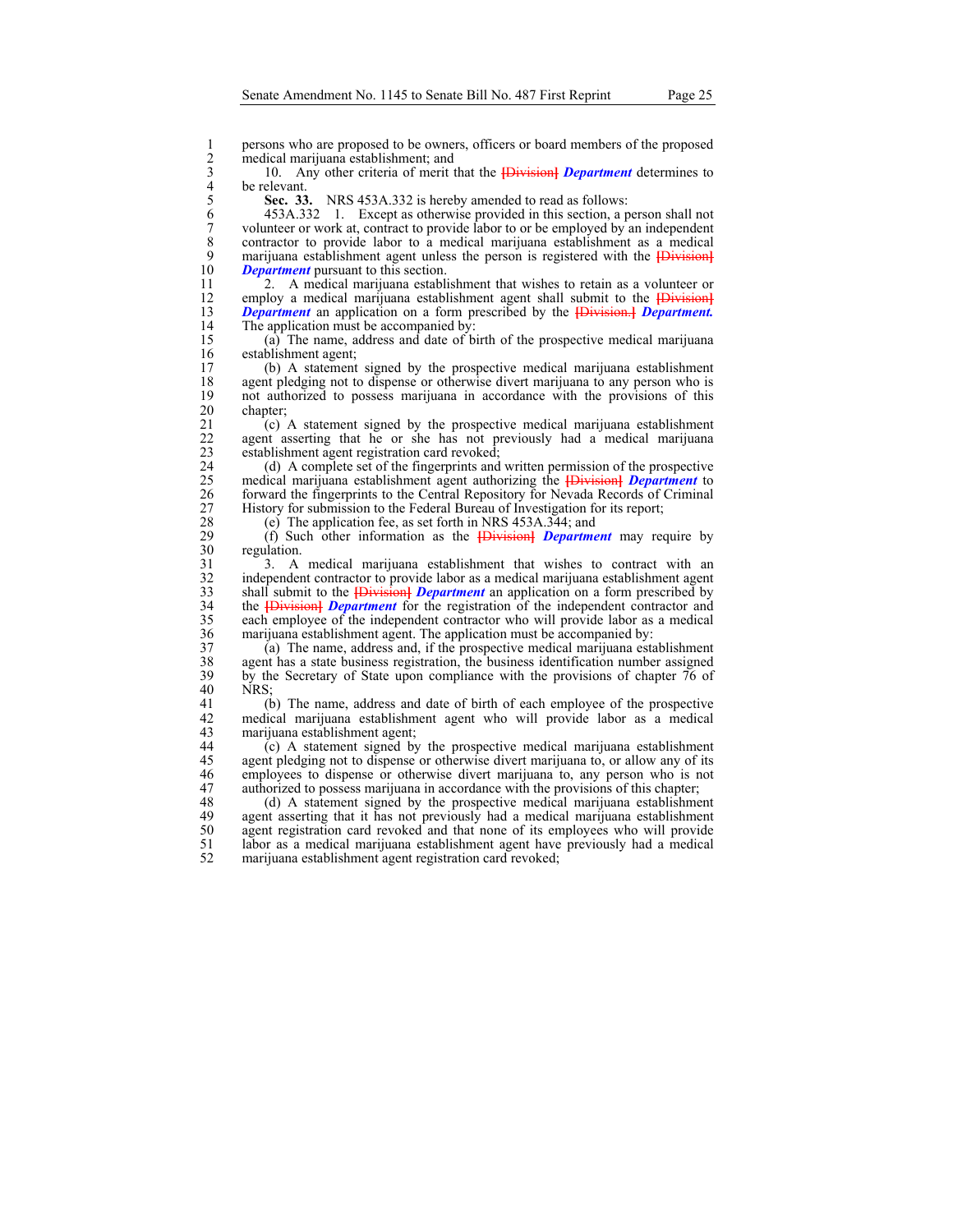1 persons who are proposed to be owners, officers or board members of the proposed<br>2 medical marijuana establishment; and<br>3 10. Any other criteria of merit that the **{Division} Department** determines to<br>4 be relevant. medical marijuana establishment; and

3 10. Any other criteria of merit that the **[**Division**]** *Department* determines to

5 **Sec. 33.** NRS 453A.332 is hereby amended to read as follows:

4 be relevant.<br>5 **Sec. 33**<br>6 453A.3.<br>7 volunteer of 6 453A.332 1. Except as otherwise provided in this section, a person shall not 7 volunteer or work at, contract to provide labor to or be employed by an independent contractor to provide labor to a medical marijuana establishment as a medical 8 contractor to provide labor to a medical marijuana establishment as a medical marijuana establishment agent unless the person is registered with the **IDivision** 9 marijuana establishment agent unless the person is registered with the *[Division]*<br>10 Department pursuant to this section. *Department* pursuant to this section.

11 2. A medical marijuana establishment that wishes to retain as a volunteer or 12 employ a medical marijuana establishment agent shall submit to the *Division-1*<br>13 **Department** an application on a form prescribed by the *Division-1 Department*. 13 *Department* an application on a form prescribed by the **[**Division.**]** *Department.*  14 The application must be accompanied by:<br>15 (a) The name, address and date of b

15 (a) The name, address and date of birth of the prospective medical marijuana 16 establishment agent;<br>17 (b) A statement

17 (b) A statement signed by the prospective medical marijuana establishment 18 agent pledging not to dispense or otherwise divert marijuana to any person who is<br>19 not authorized to possess marijuana in accordance with the provisions of this 19 not authorized to possess marijuana in accordance with the provisions of this chapter;

21 (c) A statement signed by the prospective medical marijuana establishment 22 agent asserting that he or she has not previously had a medical marijuana 22 agent asserting that he or she has not previously had a medical marijuana establishment agent registration card revoked; establishment agent registration card revoked;

24 (d) A complete set of the fingerprints and written permission of the prospective medical marijuana establishment agent authorizing the **{Division}** Department to 25 medical marijuana establishment agent authorizing the **[**Division**]** *Department* to 26 forward the fingerprints to the Central Repository for Nevada Records of Criminal 27 History for submission to the Federal Bureau of Investigation for its report;<br>28 (e) The application fee, as set forth in NRS 453A.344; and

28 (e) The application fee, as set forth in NRS 453A.344; and 29 (f) Such other information as the **HD**ivisional *Departme* 29 (f) Such other information as the **[**Division**]** *Department* may require by 30 regulation.<br>31 3. A

3. A medical marijuana establishment that wishes to contract with an 32 independent contractor to provide labor as a medical marijuana establishment agent shall submit to the *Division <i>Department* an application on a form prescribed by 33 shall submit to the **[**Division**]** *Department* an application on a form prescribed by 34 the **[**Division**]** *Department* for the registration of the independent contractor and 35 each employee of the independent contractor who will provide labor as a medical 36 marijuana establishment agent. The application must be accompanied by:<br>37 (a) The name, address and, if the prospective medical marijuana esta

37 (a) The name, address and, if the prospective medical marijuana establishment 38 agent has a state business registration, the business identification number assigned<br>39 by the Secretary of State upon compliance with the provisions of chapter 76 of 39 by the Secretary of State upon compliance with the provisions of chapter 76 of  $\overline{AB}$  NRS: NRS;

41 (b) The name, address and date of birth of each employee of the prospective 42 medical marijuana establishment agent who will provide labor as a medical marijuana establishment agent;

44 (c) A statement signed by the prospective medical marijuana establishment 45 agent pledging not to dispense or otherwise divert marijuana to, or allow any of its<br>46 employees to dispense or otherwise divert marijuana to, any person who is not 46 employees to dispense or otherwise divert marijuana to, any person who is not 47 authorized to possess marijuana in accordance with the provisions of this chapter;<br>48 (d) A statement signed by the prospective medical marijuana establishme

48 (d) A statement signed by the prospective medical marijuana establishment agent asserting that it has not previously had a medical marijuana establishment agent asserting that it has not previously had a medical marijuana establishment 50 agent registration card revoked and that none of its employees who will provide 51 labor as a medical marijuana establishment agent have previously had a medical marijuana establishment agent registration card revoked;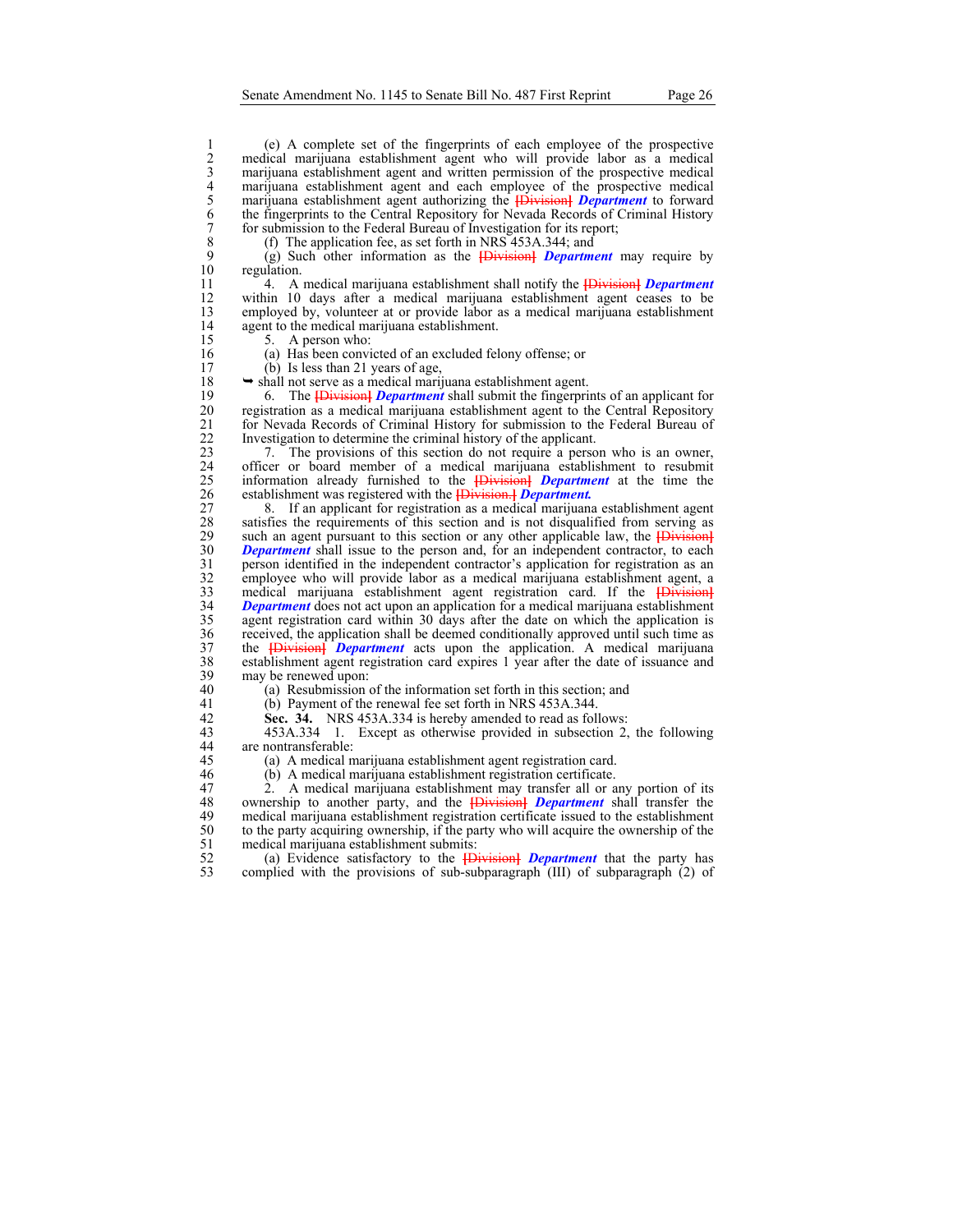1 (e) A complete set of the fingerprints of each employee of the prospective<br>medical marijuana establishment agent who will provide labor as a medical<br>marijuana establishment agent and written permission of the prospective 2 medical marijuana establishment agent who will provide labor as a medical marijuana establishment agent and written permission of the prospective medical marijuana establishment agent and each employee of the prospective medical 5 marijuana establishment agent authorizing the **[**Division**]** *Department* to forward the fingerprints to the Central Repository for Nevada Records of Criminal History 7 for submission to the Federal Bureau of Investigation for its report;<br>8 (f) The application fee, as set forth in NRS 453A.344; and

8 (f) The application fee, as set forth in NRS 453A.344; and 9 (g) Such other information as the  $\overrightarrow{B}$  Burgher Finders

9 (g) Such other information as the **[**Division**]** *Department* may require by regulation.

11 4. A medical marijuana establishment shall notify the **[**Division**]** *Department*  12 within 10 days after a medical marijuana establishment agent ceases to be 13 employed by, volunteer at or provide labor as a medical marijuana establishment 14 agent to the medical marijuana establishment.<br>15 5. A person who:

5. A person who:

16 (a) Has been convicted of an excluded felony offense; or

17 (b) Is less than 21 years of age,

 $18 \rightarrow$  shall not serve as a medical marijuana establishment agent.

19 6. The **[Division]** *Department* shall submit the fingerprints of an applicant for registration as a medical marijuana establishment agent to the Central Repository 20 registration as a medical marijuana establishment agent to the Central Repository 21 for Nevada Records of Criminal History for submission to the Federal Bureau of 1<br>22 Investigation to determine the criminal history of the applicant. 22 Investigation to determine the criminal history of the applicant.<br>23 7. The provisions of this section do not require a perso

23 7. The provisions of this section do not require a person who is an owner, 24 officer or board member of a medical marijuana establishment to resubmit<br>25 information already furnished to the **[Division] Department** at the time the 25 information already furnished to the **[**Division**]** *Department* at the time the 26 establishment was registered with the **[**Division.**]** *Department.*

27 8. If an applicant for registration as a medical marijuana establishment agent 28 satisfies the requirements of this section and is not disqualified from serving as such an agent pursuant to this section or any other applicable law, the **IDivision** 29 such an agent pursuant to this section or any other applicable law, the *Division* 30 **Department** shall issue to the person and, for an independent contractor, to each **30** *Department* shall issue to the person and, for an independent contractor, to each person identified in the independent contractor's application for registration as an 31 person identified in the independent contractor's application for registration as an employee who will provide labor as a medical marijuana establishment agent, a 32 employee who will provide labor as a medical marijuana establishment agent, a medical marijuana establishment agent registration card. If the **{Division}** 33 medical marijuana establishment agent registration card. If the *Division* 34 *Department* does not act upon an application for a medical marijuana establishment *Department* does not act upon an application for a medical marijuana establishment 35 agent registration card within 30 days after the date on which the application is 36 received, the application shall be deemed conditionally approved until such time as 37 the **IDivision** *Department* acts upon the application. A medical marijuana 37 the **[**Division**]** *Department* acts upon the application. A medical marijuana 38 establishment agent registration card expires 1 year after the date of issuance and  $39$  may be renewed upon:<br>40 (a) Resubmission

40 (a) Resubmission of the information set forth in this section; and

41 (b) Payment of the renewal fee set forth in NRS 453A.344.<br>42 Sec. 34. NRS 453A.334 is hereby amended to read as foll

42 **Sec. 34.** NRS 453A.334 is hereby amended to read as follows:<br>43 453A.334 1. Except as otherwise provided in subsection 2. 43 453A.334 1. Except as otherwise provided in subsection 2, the following 44 are nontransferable:

45 (a) A medical marijuana establishment agent registration card.<br>46 (b) A medical marijuana establishment registration certificate.

46 (b) A medical marijuana establishment registration certificate.

47 2. A medical marijuana establishment may transfer all or any portion of its ownership to another party, and the **{Division} Department** shall transfer the 48 ownership to another party, and the **[Division]** *Department* shall transfer the medical marijuana establishment registration certificate issued to the establishment medical marijuana establishment registration certificate issued to the establishment 50 to the party acquiring ownership, if the party who will acquire the ownership of the medical marijuana establishment submits: 51 medical marijuana establishment submits:<br>52 (a) Evidence satisfactory to the  $\overline{1\text{D}}$ 

52 (a) Evidence satisfactory to the **[**Division**]** *Department* that the party has complied with the provisions of sub-subparagraph  $(III)$  of subparagraph  $(2)$  of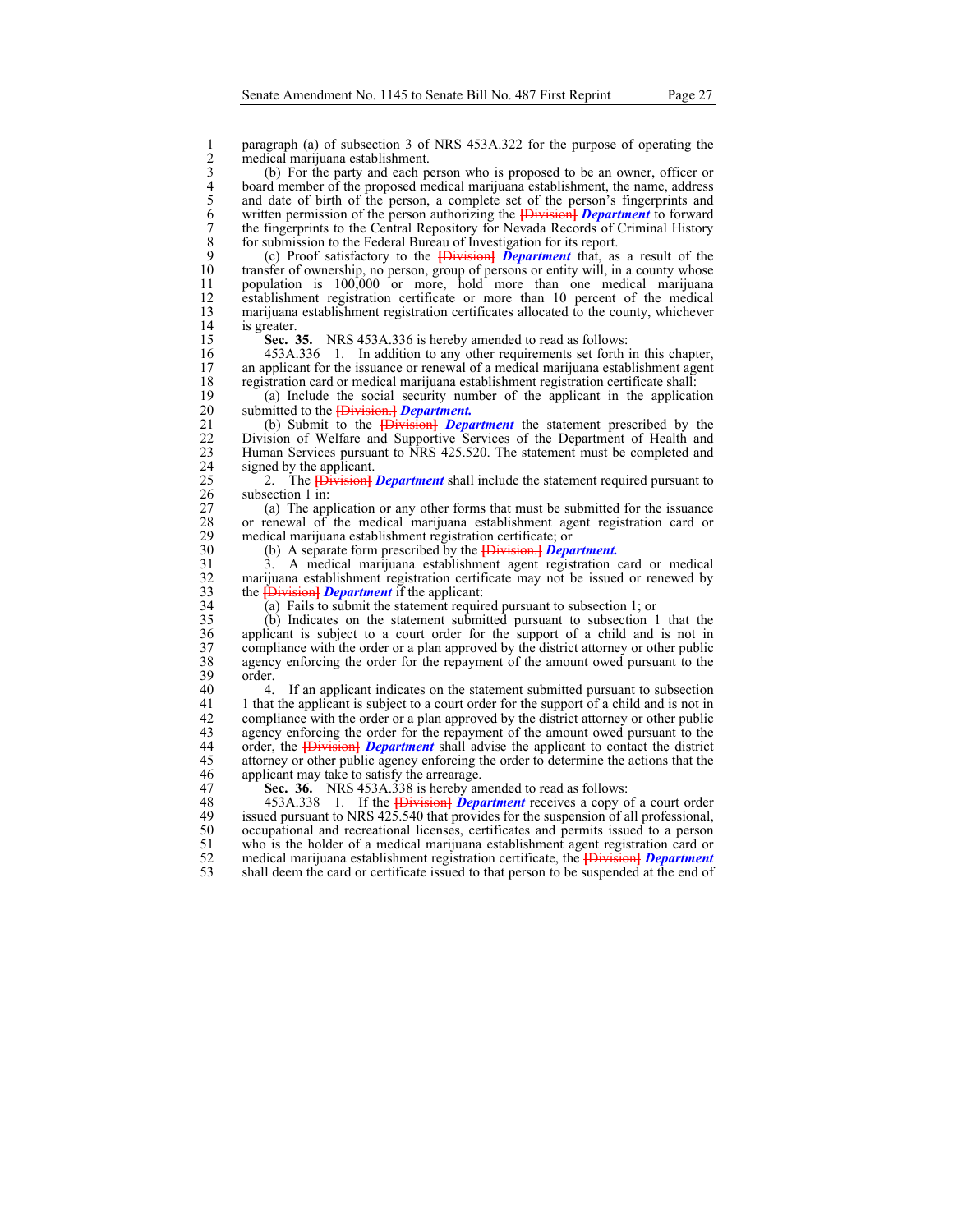1 paragraph (a) of subsection 3 of NRS 453A.322 for the purpose of operating the<br>
2 medical marijuana establishment.<br>
3 (b) For the party and each person who is proposed to be an owner, officer or<br>
4 board member of the pr medical marijuana establishment.

3 (b) For the party and each person who is proposed to be an owner, officer or 4 board member of the proposed medical marijuana establishment, the name, address<br>5 and date of birth of the person, a complete set of the person's fingerprints and<br>6 written permission of the person authorizing the **{Divi** and date of birth of the person, a complete set of the person's fingerprints and 6 written permission of the person authorizing the **[**Division**]** *Department* to forward 7 the fingerprints to the Central Repository for Nevada Records of Criminal History<br>8 for submission to the Federal Bureau of Investigation for its report. 8 for submission to the Federal Bureau of Investigation for its report.<br>9 (c) Proof satisfactory to the *Hivision Department* that, as

9 (c) Proof satisfactory to the **[**Division**]** *Department* that, as a result of the 10 transfer of ownership, no person, group of persons or entity will, in a county whose<br>11 population is 100,000 or more, hold more than one medical marijuana population is 100,000 or more, hold more than one medical marijuana 12 establishment registration certificate or more than 10 percent of the medical<br>13 marijuana establishment registration certificates allocated to the county, whichever 13 marijuana establishment registration certificates allocated to the county, whichever is greater. 14 is greater.<br>15 **Sec.** 3

15 **Sec. 35.** NRS 453A.336 is hereby amended to read as follows:<br>16 453A.336 1. In addition to any other requirements set forth

16 453A.336 1. In addition to any other requirements set forth in this chapter,<br>17 an applicant for the issuance or renewal of a medical marijuana establishment agent 17 an applicant for the issuance or renewal of a medical marijuana establishment agent registration card or medical marijuana establishment registration certificate shall: 18 registration card or medical marijuana establishment registration certificate shall:<br>19 (a) Include the social security number of the applicant in the applicati

19 (a) Include the social security number of the applicant in the application submitted to the **IDivision. I** Department. submitted to the **[Division.]** Department.

21 (b) Submit to the **[Division]** *Department* the statement prescribed by the 22 Division of Welfare and Supportive Services of the Department of Health and 22 Division of Welfare and Supportive Services of the Department of Health and Human Services pursuant to NRS 425.520. The statement must be completed and Human Services pursuant to  $\hat{N}RS$  425.520. The statement must be completed and 24 signed by the applicant.<br>25 2. The  $\overrightarrow{Division}$ 

25 2. The **[Division]** *Department* shall include the statement required pursuant to subsection 1 in: subsection 1 in:

27 (a) The application or any other forms that must be submitted for the issuance<br>28 or renewal of the medical marijuana establishment agent registration card or 28 or renewal of the medical marijuana establishment agent registration card or 29 medical marijuana establishment registration certificate; or  $30$  (b) A separate form prescribed by the **IDivision 1 Deparate** 

30 (b) A separate form prescribed by the **[**Division.**]** *Department.*

31 3. A medical marijuana establishment agent registration card or medical 32 marijuana establishment registration certificate may not be issued or renewed by the **[Division]** *Department* if the applicant: 33 the **[**Division**]** *Department* if the applicant:

34 (a) Fails to submit the statement required pursuant to subsection 1; or

35 (b) Indicates on the statement submitted pursuant to subsection 1 that the 36 applicant is subject to a court order for the support of a child and is not in compliance with the order or a plan approved by the district attorney or other public 37 compliance with the order or a plan approved by the district attorney or other public<br>38 agency enforcing the order for the repayment of the amount owed pursuant to the 38 agency enforcing the order for the repayment of the amount owed pursuant to the 39 order.

40 4. If an applicant indicates on the statement submitted pursuant to subsection 41 1 that the applicant is subject to a court order for the support of a child and is not in 41 1 that the applicant is subject to a court order for the support of a child and is not in<br>42 compliance with the order or a plan approved by the district attorney or other public 42 compliance with the order or a plan approved by the district attorney or other public<br>43 agency enforcing the order for the repayment of the amount owed pursuant to the agency enforcing the order for the repayment of the amount owed pursuant to the 44 order, the **[**Division**]** *Department* shall advise the applicant to contact the district 45 attorney or other public agency enforcing the order to determine the actions that the applicant may take to satisfy the arrearage. applicant may take to satisfy the arrearage.

47 **Sec. 36.** NRS 453A.338 is hereby amended to read as follows:<br>48 453A.338 1. If the **IDivision** *Department* receives a copy of 48 453A.338 1. If the **[Division]** *Department* receives a copy of a court order<br>49 issued pursuant to NRS 425.540 that provides for the suspension of all professional. issued pursuant to NRS 425.540 that provides for the suspension of all professional, 50 occupational and recreational licenses, certificates and permits issued to a person 51 who is the holder of a medical marijuana establishment agent registration card or medical marijuana establishment registration certificate, the  $\overrightarrow{Division}$  *Department* 52 medical marijuana establishment registration certificate, the **[Division]** *Department* shall deem the card or certificate issued to that person to be suspended at the end of shall deem the card or certificate issued to that person to be suspended at the end of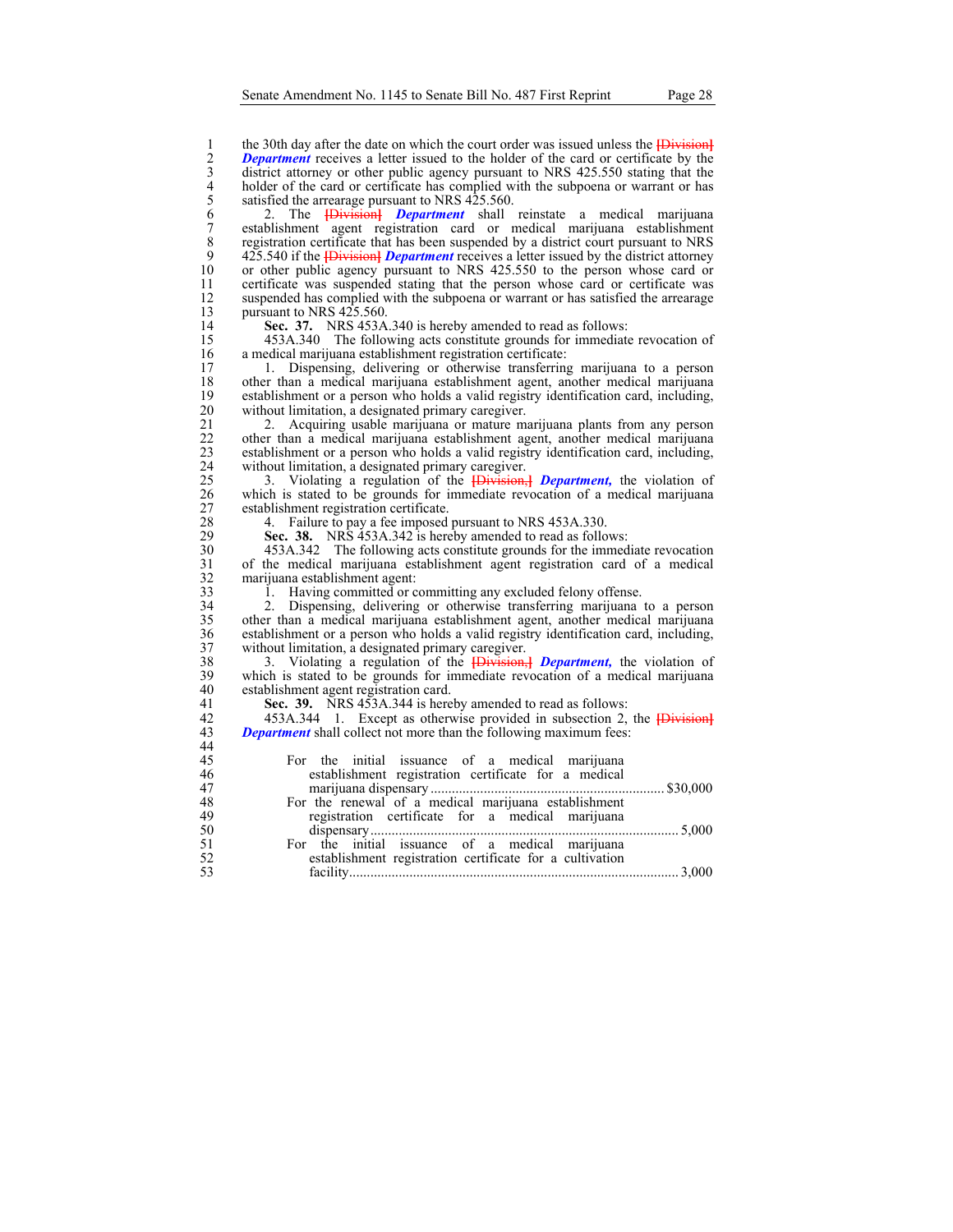1 the 30th day after the date on which the court order was issued unless the **[Division]**<br>
2 **Department** receives a letter issued to the holder of the card or certificate by the<br>
district attorney or other public agency p *Department* receives a letter issued to the holder of the card or certificate by the district attorney or other public agency pursuant to NRS 425.550 stating that the holder of the card or certificate has complied with the subpoena or warrant or has satisfied the arrearage pursuant to NRS 425.560.

6 2. The **[**Division**]** *Department* shall reinstate a medical marijuana 7 establishment agent registration card or medical marijuana establishment 8 registration certificate that has been suspended by a district court pursuant to NRS<br>9 425.540 if the **Hivision** *Department* receives a letter issued by the district attorney 9 425.540 if the *Division <b>Department* receives a letter issued by the district attorney or other public agency pursuant to NRS 425.550 to the person whose card or 10 or other public agency pursuant to NRS 425.550 to the person whose card or certificate was suspended stating that the person whose card or certificate was certificate was suspended stating that the person whose card or certificate was 12 suspended has complied with the subpoena or warrant or has satisfied the arrearage pursuant to NRS 425.560. 13 pursuant to NRS 425.560.<br>14 **Sec. 37.** NRS 453A.

44

14 **Sec. 37.** NRS 453A.340 is hereby amended to read as follows:<br>15 453A.340 The following acts constitute grounds for immediate

15 453A.340 The following acts constitute grounds for immediate revocation of a medical marijuana establishment registration certificate: 16 a medical marijuana establishment registration certificate:<br>17 1. Dispensing, delivering or otherwise transferring

17 1. Dispensing, delivering or otherwise transferring marijuana to a person 18 other than a medical marijuana establishment agent, another medical marijuana<br>19 establishment or a person who holds a valid registry identification card, including, 19 establishment or a person who holds a valid registry identification card, including, 20 without limitation, a designated primary caregiver.<br>21 2. Acquiring usable marijuana or mature mate-

21 2. Acquiring usable marijuana or mature marijuana plants from any person<br>22 other than a medical marijuana establishment agent, another medical marijuana 22 other than a medical marijuana establishment agent, another medical marijuana<br>23 establishment or a person who holds a valid registry identification card, including, 23 establishment or a person who holds a valid registry identification card, including, 24 without limitation, a designated primary caregiver.<br>25 3. Violating a regulation of the **[Division**]

25 3. Violating a regulation of the **[Division,]** *Department*, the violation of a which is stated to be grounds for immediate revocation of a medical marijuana which is stated to be grounds for immediate revocation of a medical marijuana 27 establishment registration certificate.<br>28 4. Failure to pay a fee imposed

28 4. Failure to pay a fee imposed pursuant to NRS 453A.330.<br>29 **Sec. 38.** NRS 453A.342 is hereby amended to read as follow

29 **Sec. 38.** NRS 453A.342 is hereby amended to read as follows:<br>30 453A.342 The following acts constitute grounds for the immed

30 453A.342 The following acts constitute grounds for the immediate revocation 31 of the medical marijuana establishment agent registration card of a medical 32 marijuana establishment agent:<br>33 1. Having committed or c

33 1. Having committed or committing any excluded felony offense.<br>34 2. Dispensing, delivering or otherwise transferring marijuana

34 2. Dispensing, delivering or otherwise transferring marijuana to a person other than a medical marijuana establishment agent, another medical marijuana 36 establishment or a person who holds a valid registry identification card, including, 37 without limitation, a designated primary caregiver.<br>38 3. Violating a regulation of the Harvision.

38 3. Violating a regulation of the **[**Division,**]** *Department,* the violation of 39 which is stated to be grounds for immediate revocation of a medical marijuana 40 establishment agent registration card.<br>41 **Sec. 39.** NRS 453A.344 is here

41 **Sec. 39.** NRS 453A.344 is hereby amended to read as follows:<br>42 **453A.344** 1. Except as otherwise provided in subsection 2.

42 453A.344 1. Except as otherwise provided in subsection 2, the **[Division]**<br>43 **Department** shall collect not more than the following maximum fees: *Department* shall collect not more than the following maximum fees:

| 45       | For the initial issuance of a medical marijuana          |  |
|----------|----------------------------------------------------------|--|
| 46       | establishment registration certificate for a medical     |  |
| 47       |                                                          |  |
| 48       | For the renewal of a medical marijuana establishment     |  |
| 49       | registration certificate for a medical marijuana         |  |
| 50<br>51 |                                                          |  |
|          | For the initial issuance of a medical marijuana          |  |
| 52<br>53 | establishment registration certificate for a cultivation |  |
|          |                                                          |  |
|          |                                                          |  |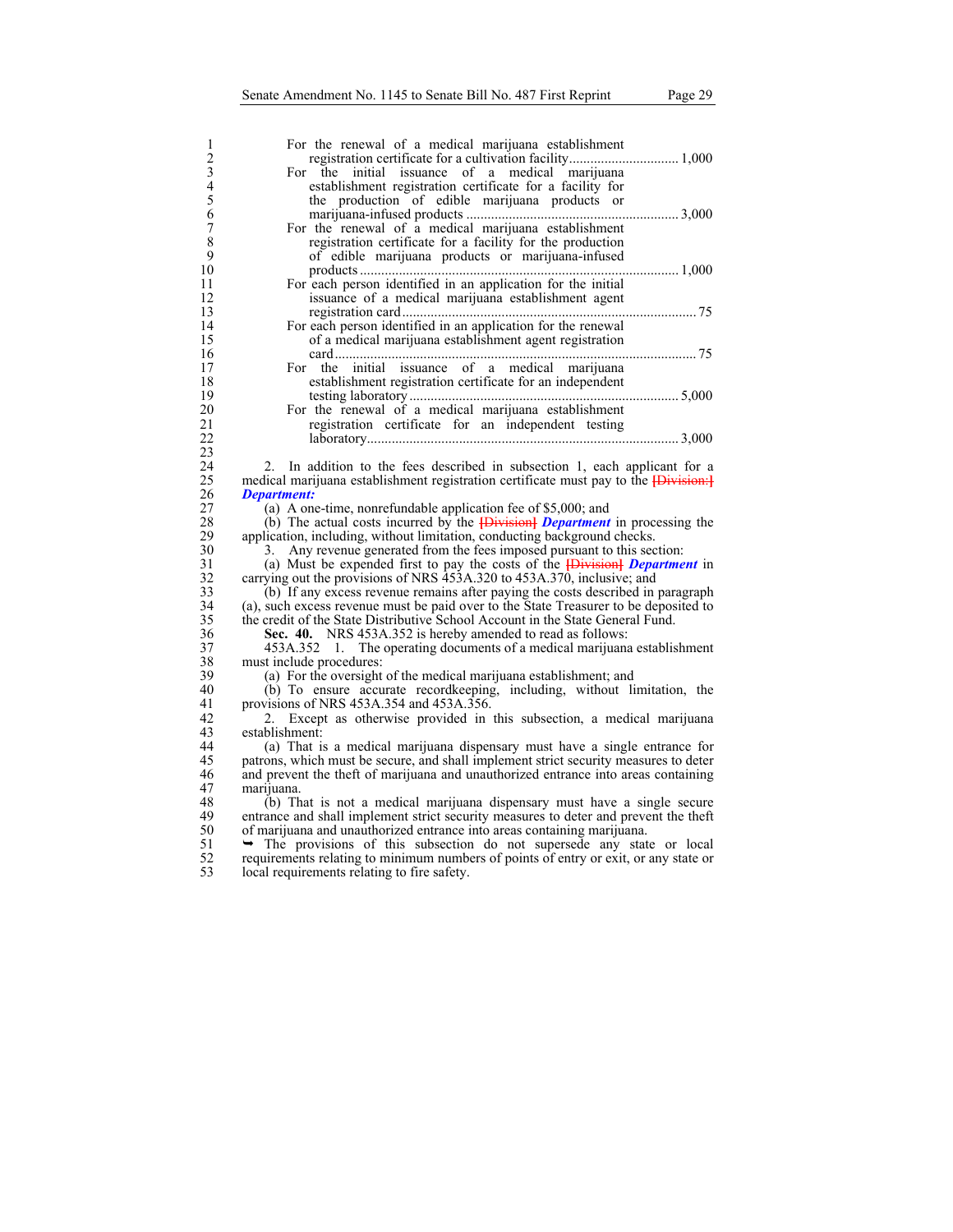| 1              | For the renewal of a medical marijuana establishment                                      |
|----------------|-------------------------------------------------------------------------------------------|
| $\frac{2}{3}$  |                                                                                           |
|                | For the initial issuance of a medical marijuana                                           |
| $\overline{4}$ | establishment registration certificate for a facility for                                 |
| $\overline{5}$ | the production of edible marijuana products or                                            |
| 6              |                                                                                           |
| $\overline{7}$ | For the renewal of a medical marijuana establishment                                      |
| 8              | registration certificate for a facility for the production                                |
| 9              | of edible marijuana products or marijuana-infused                                         |
| 10             |                                                                                           |
| 11             | For each person identified in an application for the initial                              |
| 12             |                                                                                           |
|                | issuance of a medical marijuana establishment agent                                       |
| 13             |                                                                                           |
| 14             | For each person identified in an application for the renewal                              |
| 15             | of a medical marijuana establishment agent registration                                   |
| 16             |                                                                                           |
| 17             | For the initial issuance of a medical marijuana                                           |
| 18             | establishment registration certificate for an independent                                 |
| 19             |                                                                                           |
| 20             | For the renewal of a medical marijuana establishment                                      |
| 21             | registration certificate for an independent testing                                       |
| 22             |                                                                                           |
| 23             |                                                                                           |
| 24             | In addition to the fees described in subsection 1, each applicant for a<br>2.             |
| 25             | medical marijuana establishment registration certificate must pay to the <b>Division:</b> |
| 26             | <b>Department:</b>                                                                        |
| 27             | (a) A one-time, nonrefundable application fee of \$5,000; and                             |
| 28             | (b) The actual costs incurred by the $\frac{1}{1}$ Department in processing the           |
| 29             | application, including, without limitation, conducting background checks.                 |
| 30             |                                                                                           |
| 31             | Any revenue generated from the fees imposed pursuant to this section:<br>3.               |
|                | (a) Must be expended first to pay the costs of the <b>[Division] Department</b> in        |
| 32             | carrying out the provisions of NRS 453A.320 to 453A.370, inclusive; and                   |
| 33             | (b) If any excess revenue remains after paying the costs described in paragraph           |
| 34             | (a), such excess revenue must be paid over to the State Treasurer to be deposited to      |
| 35             | the credit of the State Distributive School Account in the State General Fund.            |
| 36             | Sec. 40. NRS 453A.352 is hereby amended to read as follows:                               |
| 37             | 453A.352 1. The operating documents of a medical marijuana establishment                  |
| 38             | must include procedures:                                                                  |
| 39             | (a) For the oversight of the medical marijuana establishment; and                         |
| 40             | (b) To ensure accurate recordkeeping, including, without limitation, the                  |
| 41             | provisions of NRS $453A.354$ and $453A.356$ .                                             |
| 42             | 2. Except as otherwise provided in this subsection, a medical marijuana                   |
| 43             | establishment:                                                                            |
| 44             | (a) That is a medical marijuana dispensary must have a single entrance for                |
| 45             | patrons, which must be secure, and shall implement strict security measures to deter      |
| 46             | and prevent the theft of marijuana and unauthorized entrance into areas containing        |
| 47             | marı juana.                                                                               |
| 48             |                                                                                           |
| 49             | (b) That is not a medical marijuana dispensary must have a single secure                  |
| 50             | entrance and shall implement strict security measures to deter and prevent the theft      |
|                | of marijuana and unauthorized entrance into areas containing marijuana.                   |
| 51             | $\rightarrow$ The provisions of this subsection do not supersede any state or local       |
| 52             | requirements relating to minimum numbers of points of entry or exit, or any state or      |
| 53             | local requirements relating to fire safety.                                               |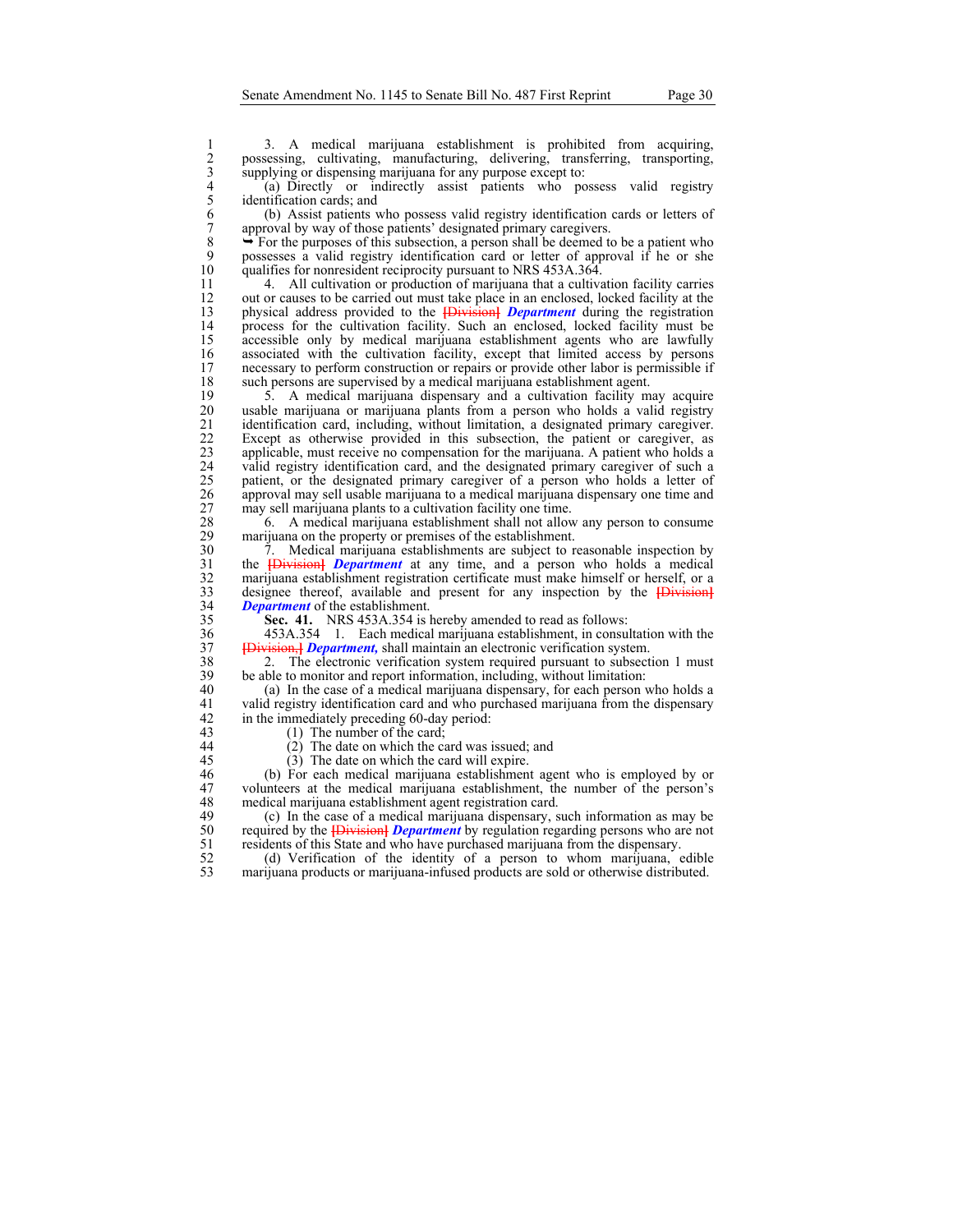3. A medical marijuana establishment is prohibited from acquiring,<br>
possessing, cultivating, manufacturing, delivering, transferring, transporting,<br>
3. supplying or dispensing marijuana for any purpose except to:<br>
4. (a) D possessing, cultivating, manufacturing, delivering, transferring, transporting, supplying or dispensing marijuana for any purpose except to:

4 (a) Directly or indirectly assist patients who possess valid registry identification cards; and

6 (b) Assist patients who possess valid registry identification cards or letters of approval by way of those patients' designated primary caregivers.

8  $\rightarrow$  For the purposes of this subsection, a person shall be deemed to be a patient who possesses a valid registry identification card or letter of approval if he or she 9 possesses a valid registry identification card or letter of approval if he or she qualifies for nonresident reciprocity pursuant to NRS 453A.364. 10 qualifies for nonresident reciprocity pursuant to NRS 453A.364.<br>11 4. All cultivation or production of marijuana that a cultiva

4. All cultivation or production of marijuana that a cultivation facility carries 12 out or causes to be carried out must take place in an enclosed, locked facility at the physical address provided to the **IDivision Department** during the registration 13 physical address provided to the **[**Division**]** *Department* during the registration 14 process for the cultivation facility. Such an enclosed, locked facility must be accessible only by medical marijuana establishment agents who are lawfully 15 accessible only by medical marijuana establishment agents who are lawfully associated with the cultivation facility, except that limited access by persons 16 associated with the cultivation facility, except that limited access by persons necessary to perform construction or repairs or provide other labor is permissible if necessary to perform construction or repairs or provide other labor is permissible if 18 such persons are supervised by a medical marijuana establishment agent.<br>19 5. A medical marijuana dispensary and a cultivation facility m

19 5. A medical marijuana dispensary and a cultivation facility may acquire 20 usable marijuana or marijuana plants from a person who holds a valid registry 21 identification card, including, without limitation, a designated primary caregiver.<br>22 Except as otherwise provided in this subsection, the patient or caregiver, as 22 Except as otherwise provided in this subsection, the patient or caregiver, as applicable, must receive no compensation for the marijuana. A patient who holds a applicable, must receive no compensation for the marijuana. A patient who holds a 24 valid registry identification card, and the designated primary caregiver of such a patient, or the designated primary caregiver of a person who holds a letter of 25 patient, or the designated primary caregiver of a person who holds a letter of approval may sell usable marijuana to a medical marijuana dispensary one time and 26 approval may sell usable marijuana to a medical marijuana dispensary one time and 27 may sell marijuana plants to a cultivation facility one time.<br>28 6. A medical marijuana establishment shall not allow

28 6. A medical marijuana establishment shall not allow any person to consume marijuana on the property or premises of the establishment. 29 marijuana on the property or premises of the establishment.<br>20  $\frac{7}{7}$  Medical marijuana establishments are subject to re

 $\frac{7}{2}$ . Medical marijuana establishments are subject to reasonable inspection by the **{Division}** *Department* at any time, and a person who holds a medical 31 the **[**Division**]** *Department* at any time, and a person who holds a medical  $32$  marijuana establishment registration certificate must make himself or herself, or a designee thereof, available and present for any inspection by the  $\overline{\text{Bivision}}$ 33 designee thereof, available and present for any inspection by the *{Division}*<br>34 *Department* of the establishment. *Department* of the establishment.

35 **Sec. 41.** NRS 453A.354 is hereby amended to read as follows:

36 453A.354 1. Each medical marijuana establishment, in consultation with the 37 Havision, H Department, shall maintain an electronic verification system. 37 **[**Division,**]** *Department,* shall maintain an electronic verification system.

38 2. The electronic verification system required pursuant to subsection 1 must<br>39 be able to monitor and report information, including, without limitation: 39 be able to monitor and report information, including, without limitation:<br>40 (a) In the case of a medical marijuana dispensary, for each person v

40 (a) In the case of a medical marijuana dispensary, for each person who holds a 41 valid registry identification card and who purchased marijuana from the dispensary 42 in the immediately preceding 60-day period:<br>43  $(1)$  The number of the card:

- 
- 
- 

 $(1)$  The number of the card;

- 44 (2) The date on which the card was issued; and
	-

45 (3) The date on which the card will expire.<br>46 (b) For each medical marijuana establishment 46 (b) For each medical marijuana establishment agent who is employed by or 47 volunteers at the medical marijuana establishment, the number of the person's medical marijuana establishment agent registration card. 48 medical marijuana establishment agent registration card.<br>49 (c) In the case of a medical marijuana dispensary, s

49 (c) In the case of a medical marijuana dispensary, such information as may be 50 required by the **[Division]** *Department* by regulation regarding persons who are not residents of this State and who have purchased marijuana from the dispensary. 51 residents of this State and who have purchased marijuana from the dispensary.<br>52 (d) Verification of the identity of a person to whom marijuana, e

52 (d) Verification of the identity of a person to whom marijuana, edible<br>53 marijuana products or marijuana-infused products are sold or otherwise distributed. marijuana products or marijuana-infused products are sold or otherwise distributed.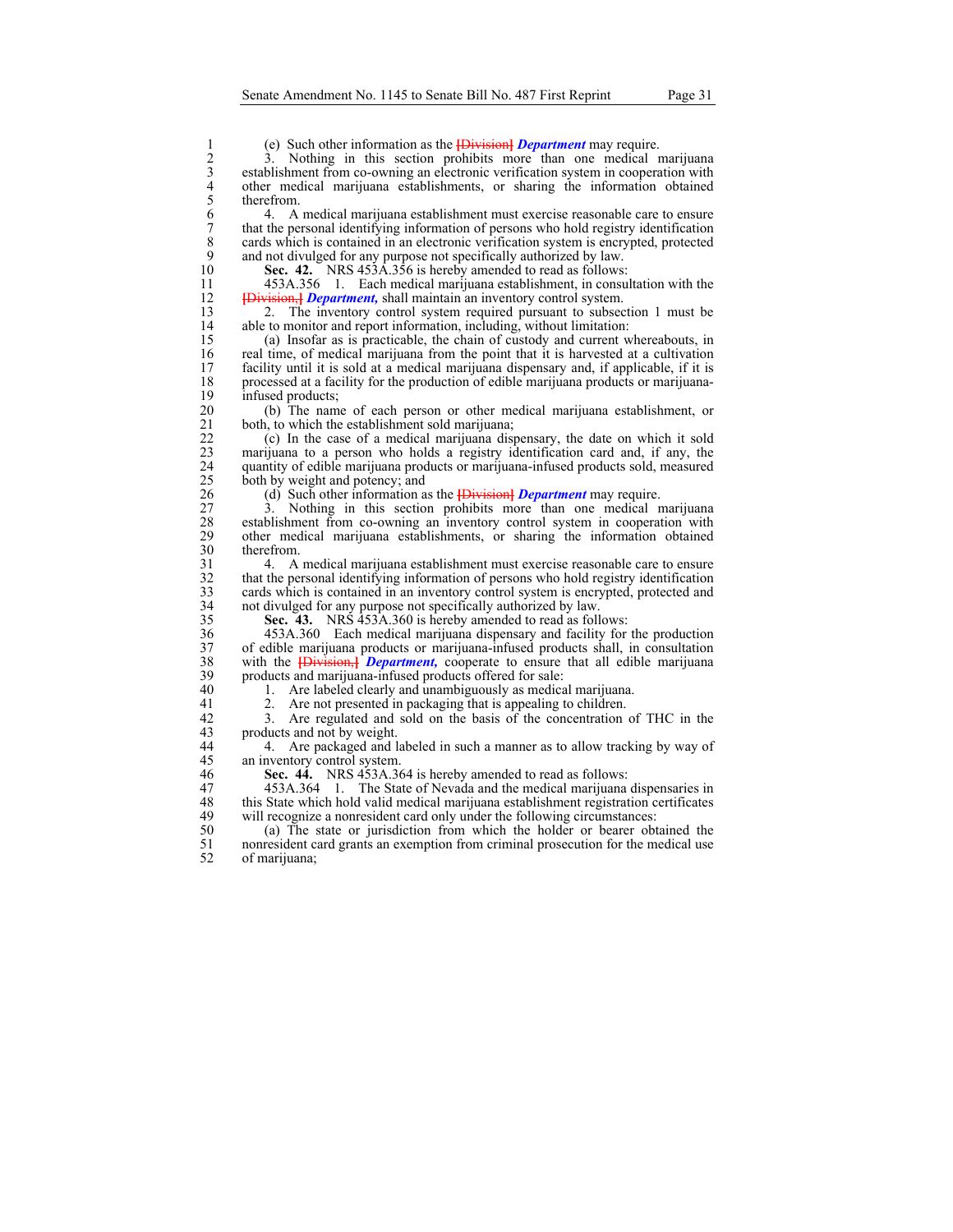1 (e) Such other information as the **[Division]** *Department* may require.<br>
2 3. Nothing in this section prohibits more than one medical r<br>
establishment from co-owning an electronic verification system in coopera<br>
4 other 3. Nothing in this section prohibits more than one medical marijuana establishment from co-owning an electronic verification system in cooperation with 4 other medical marijuana establishments, or sharing the information obtained

5 therefrom.<br>6 4. A:<br>7 that the per 6 4. A medical marijuana establishment must exercise reasonable care to ensure 7 that the personal identifying information of persons who hold registry identification cards which is contained in an electronic verification system is encrypted, protected 8 cards which is contained in an electronic verification system is encrypted, protected and not divulged for any purpose not specifically authorized by law. 9 and not divulged for any purpose not specifically authorized by law.<br>10 **Sec. 42.** NRS 453A.356 is hereby amended to read as follows:

10 **Sec. 42.** NRS 453A.356 is hereby amended to read as follows:

11 453A.356 1. Each medical marijuana establishment, in consultation with the 12 **[Division,** *Department*, shall maintain an inventory control system.<br>13 2. The inventory control system required pursuant to subsect

2. The inventory control system required pursuant to subsection 1 must be 14 able to monitor and report information, including, without limitation:<br>15 (a) Insofar as is practicable, the chain of custody and current w

15 (a) Insofar as is practicable, the chain of custody and current whereabouts, in 16 real time, of medical marijuana from the point that it is harvested at a cultivation<br>17 facility until it is sold at a medical marijuana dispensary and, if applicable, if it is facility until it is sold at a medical marijuana dispensary and, if applicable, if it is 18 processed at a facility for the production of edible marijuana products or marijuana-19 infused products;<br>20 (b) The nam

20 (b) The name of each person or other medical marijuana establishment, or both, to which the establishment sold marijuana; 21 both, to which the establishment sold marijuana;<br>22 (c) In the case of a medical marijuana disp

22 (c) In the case of a medical marijuana dispensary, the date on which it sold marijuana to a person who holds a registry identification card and, if any, the marijuana to a person who holds a registry identification card and, if any, the 24 quantity of edible marijuana products or marijuana-infused products sold, measured both by weight and potency; and 25 both by weight and potency; and 26 (d) Such other information a

26 (d) Such other information as the **[**Division**]** *Department* may require.

27 3. Nothing in this section prohibits more than one medical marijuana<br>28 establishment from co-owning an inventory control system in cooperation with 28 establishment from co-owning an inventory control system in cooperation with other medical marijuana establishments, or sharing the information obtained 29 other medical marijuana establishments, or sharing the information obtained 30 therefrom.<br>31 4. A

31 4. A medical marijuana establishment must exercise reasonable care to ensure 32 that the personal identifying information of persons who hold registry identification cards which is contained in an inventory control system is encrypted, protected and 33 cards which is contained in an inventory control system is encrypted, protected and not divulged for any purpose not specifically authorized by law. not divulged for any purpose not specifically authorized by law.

35 **Sec. 43.** NRS 453A.360 is hereby amended to read as follows:

36 453A.360 Each medical marijuana dispensary and facility for the production 37 of edible marijuana products or marijuana-infused products shall, in consultation<br>38 with the **IDivision-J** *Department*, cooperate to ensure that all edible marijuana 38 with the **[**Division,**]** *Department,* cooperate to ensure that all edible marijuana 39 products and marijuana-infused products offered for sale:<br>40 1. Are labeled clearly and unambiguously as medica

40 1. Are labeled clearly and unambiguously as medical marijuana.<br>41 2. Are not presented in packaging that is appealing to children.

41 2. Are not presented in packaging that is appealing to children.<br>42 3. Are regulated and sold on the basis of the concentration

42 3. Are regulated and sold on the basis of the concentration of THC in the products and not by weight.

44 4. Are packaged and labeled in such a manner as to allow tracking by way of 45 an inventory control system.

46 **Sec. 44.** NRS 453A.364 is hereby amended to read as follows:

47 453A.364 1. The State of Nevada and the medical marijuana dispensaries in<br>48 this State which hold valid medical marijuana establishment registration certificates 48 this State which hold valid medical marijuana establishment registration certificates will recognize a nonresident card only under the following circumstances: will recognize a nonresident card only under the following circumstances:

50 (a) The state or jurisdiction from which the holder or bearer obtained the 51 nonresident card grants an exemption from criminal prosecution for the medical use of marijuana; of marijuana;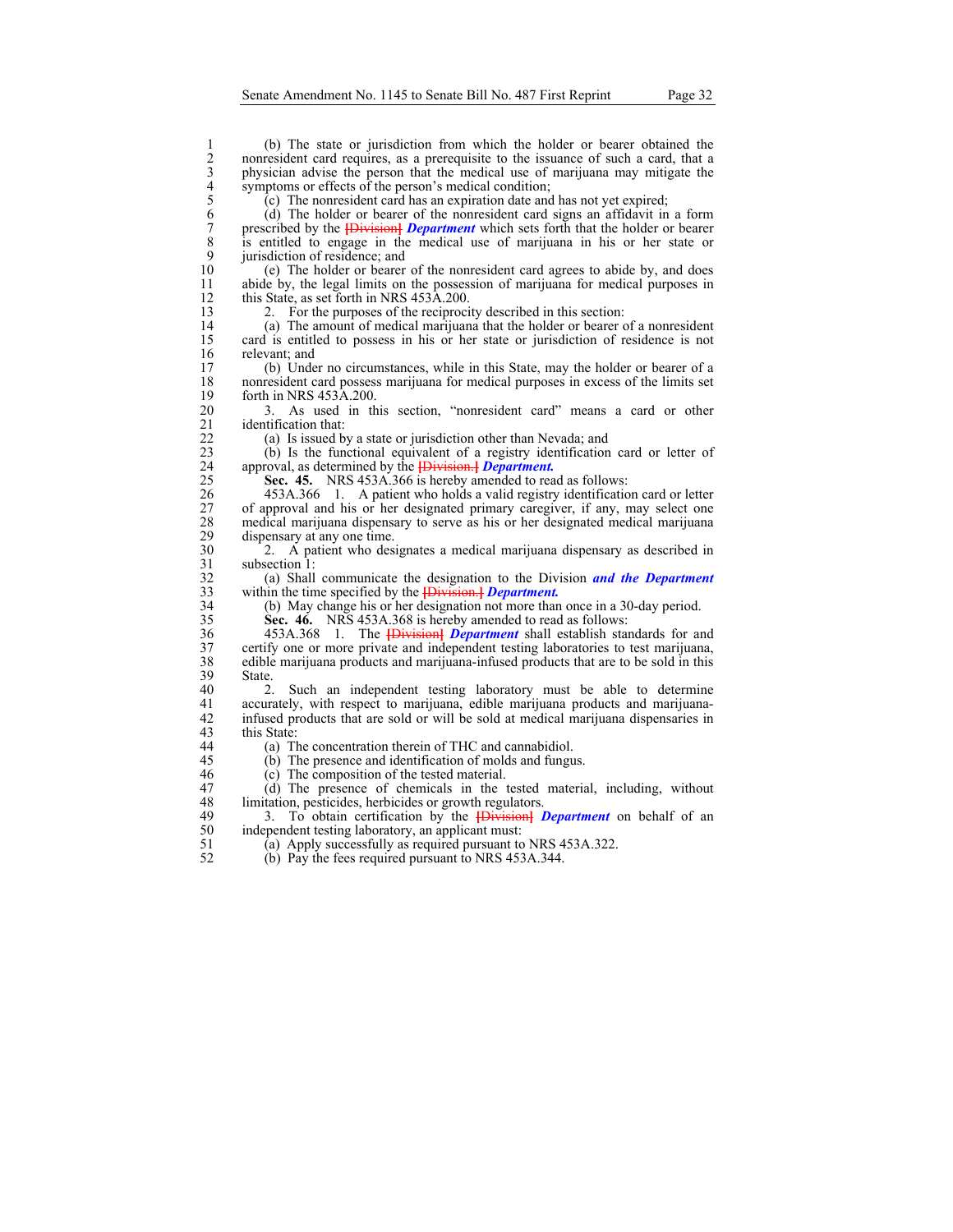1 (b) The state or jurisdiction from which the holder or bearer obtained the<br>nonresident card requires, as a prerequisite to the issuance of such a card, that a<br>physician advise the person that the medical use of marijuana nonresident card requires, as a prerequisite to the issuance of such a card, that a physician advise the person that the medical use of marijuana may mitigate the symptoms or effects of the person's medical condition;

 $(c)$  The nonresident card has an expiration date and has not yet expired;

6 (d) The holder or bearer of the nonresident card signs an affidavit in a form 7 prescribed by the **[Division]** *Department* which sets forth that the holder or bearer is entitled to engage in the medical use of marijuana in his or her state or 8 is entitled to engage in the medical use of marijuana in his or her state or 9 jurisdiction of residence; and 10 (e) The holder or bearer

10 (e) The holder or bearer of the nonresident card agrees to abide by, and does abide by, the legal limits on the possession of marijuana for medical purposes in abide by, the legal limits on the possession of marijuana for medical purposes in 12 this State, as set forth in NRS 453A.200.<br>13 2. For the purposes of the reciproci-

2. For the purposes of the reciprocity described in this section:

14 (a) The amount of medical marijuana that the holder or bearer of a nonresident 15 card is entitled to possess in his or her state or jurisdiction of residence is not 16 relevant; and<br>17 (b) Unde

17 (b) Under no circumstances, while in this State, may the holder or bearer of a 18 nonresident card possess marijuana for medical purposes in excess of the limits set 19 forth in NRS 453A.200.<br>20 3. As used in th

20 3. As used in this section, "nonresident card" means a card or other 21 identification that:<br>22 (a) Is issued by

22 (a) Is issued by a state or jurisdiction other than Nevada; and  $(23)$  (b) Is the functional equivalent of a registry identification

23 (b) Is the functional equivalent of a registry identification card or letter of 24 approval, as determined by the **[Division.] Department.** <br>25 **Sec. 45.** NRS 453A.366 is hereby amended to rea

25 **Sec. 45.** NRS 453A.366 is hereby amended to read as follows:<br>26 **453A.366** 1. A patient who holds a valid registry identification 26 453A.366 1. A patient who holds a valid registry identification card or letter 27 of approval and his or her designated primary caregiver, if any, may select one 28 medical marijuana dispensary to serve as his or her designated medical marijuana 29 dispensary at any one time.<br> $\frac{30}{2}$  A patient who desi

30 2. A patient who designates a medical marijuana dispensary as described in subsection 1:

32 (a) Shall communicate the designation to the Division *and the Department*  33 within the time specified by the **[**Division.**]** *Department.*

(b) May change his or her designation not more than once in a 30-day period. 35 **Sec. 46.** NRS 453A.368 is hereby amended to read as follows:

36 453A.368 1. The **[**Division**]** *Department* shall establish standards for and 37 certify one or more private and independent testing laboratories to test marijuana,<br>38 edible marijuana products and marijuana-infused products that are to be sold in this 38 edible marijuana products and marijuana-infused products that are to be sold in this 39 State.<br>40 2.

2. Such an independent testing laboratory must be able to determine 41 accurately, with respect to marijuana, edible marijuana products and marijuana-<br>42 infused products that are sold or will be sold at medical marijuana dispensaries in 42 infused products that are sold or will be sold at medical marijuana dispensaries in this State:

44 (a) The concentration therein of THC and cannabidiol.

45 (b) The presence and identification of molds and fungus.

46 (c) The composition of the tested material.

47 (d) The presence of chemicals in the tested material, including, without 48 limitation, pesticides, herbicides or growth regulators. 48 limitation, pesticides, herbicides or growth regulators.<br>49 3. To obtain certification by the **IDivision 1** 

49 3. To obtain certification by the **[**Division**]** *Department* on behalf of an 50 independent testing laboratory, an applicant must:<br>51 (a) Apply successfully as required pursuant to

51  $\qquad$  (a) Apply successfully as required pursuant to NRS 453A.322.<br>52  $\qquad$  (b) Pay the fees required pursuant to NRS 453A.344.

52 (b) Pay the fees required pursuant to NRS 453A.344.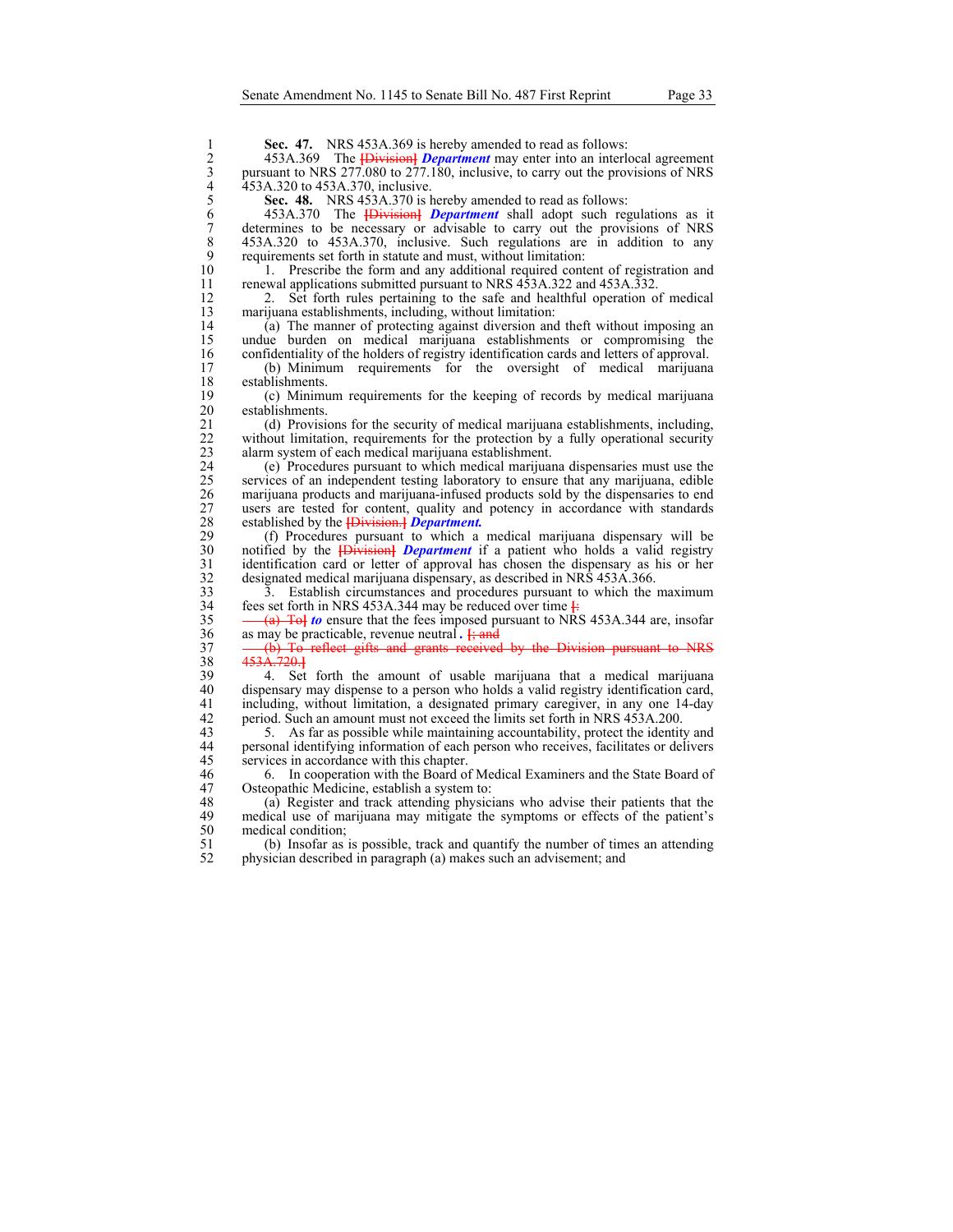**Sec. 47.** NRS 453A.369 is hereby amended to read as follows:<br>
2 453A.369 The *Division Department* may enter into an interl<br>
pursuant to NRS 277.080 to 277.180, inclusive, to carry out the prov<br>
453A.320 is ASSA.370, incl 2 453A.369 The **[**Division**]** *Department* may enter into an interlocal agreement 3 pursuant to NRS 277.080 to 277.180, inclusive, to carry out the provisions of NRS 453A.320 to 453A.370, inclusive. 5 **Sec. 48.** NRS 453A.370 is hereby amended to read as follows: 6 453A.370 The **[**Division**]** *Department* shall adopt such regulations as it 7 determines to be necessary or advisable to carry out the provisions of NRS<br>8 453A.320 to 453A.370, inclusive. Such regulations are in addition to any 8 453A.320 to 453A.370, inclusive. Such regulations are in addition to any requirements set forth in statute and must, without limitation: 9 requirements set forth in statute and must, without limitation:<br>10 1. Prescribe the form and any additional required cont 10 1. Prescribe the form and any additional required content of registration and renewal applications submitted pursuant to NRS 453A.322 and 453A.332. renewal applications submitted pursuant to NRS 453A.322 and 453A.332. 12 2. Set forth rules pertaining to the safe and healthful operation of medical narijuana establishments, including, without limitation: 13 marijuana establishments, including, without limitation:<br>14 (a) The manner of protecting against diversion and 14 (a) The manner of protecting against diversion and theft without imposing an undue burden on medical marijuana establishments or compromising the 15 undue burden on medical marijuana establishments or compromising the confidentiality of the holders of registry identification cards and letters of approval. 16 confidentiality of the holders of registry identification cards and letters of approval.<br>17 (b) Minimum requirements for the oversight of medical marijuana 17 (b) Minimum requirements for the oversight of medical marijuana establishments. 18 establishments.<br>19 (c) Minimu 19 (c) Minimum requirements for the keeping of records by medical marijuana establishments. 21 (d) Provisions for the security of medical marijuana establishments, including, without limitation, requirements for the protection by a fully operational security 22 without limitation, requirements for the protection by a fully operational security alarm system of each medical marijuana establishment. alarm system of each medical marijuana establishment. 24 (e) Procedures pursuant to which medical marijuana dispensaries must use the 25 services of an independent testing laboratory to ensure that any marijuana, edible marijuana products and marijuana-infused products sold by the dispensaries to end 27 users are tested for content, quality and potency in accordance with standards established by the **[Division.]** Department. 28 established by the **[**Division.**]** *Department.* 29 (f) Procedures pursuant to which a medical marijuana dispensary will be notified by the *Division Department* if a patient who holds a valid registry 30 notified by the **[Division]** *Department* if a patient who holds a valid registry identification card or letter of approval has chosen the dispensary as his or her 31 identification card or letter of approval has chosen the dispensary as his or her designated medical marijuana dispensary, as described in NRS 453A.366. 32 designated medical marijuana dispensary, as described in NRS 453A.366.<br>33 3. Establish circumstances and procedures pursuant to which the 33 3. Establish circumstances and procedures pursuant to which the maximum fees set forth in NRS 453A.344 may be reduced over time  $\frac{1}{2}$ fees set forth in NRS 453A.344 may be reduced over time  $\frac{1}{\cdot}$ 35 (a) To**]** *to* ensure that the fees imposed pursuant to NRS 453A.344 are, insofar 36 as may be practicable, revenue neutral *.* **[**; and 37 (b) To reflect gifts and grants received by the Division pursuant to NRS 38 453A.720.**]** 39 4. Set forth the amount of usable marijuana that a medical marijuana 40 dispensary may dispense to a person who holds a valid registry identification card,<br>41 including, without limitation, a designated primary caregiver, in any one 14-day 41 including, without limitation, a designated primary caregiver, in any one 14-day period. Such an amount must not exceed the limits set forth in NRS 453A.200. 42 period. Such an amount must not exceed the limits set forth in NRS 453A.200.<br>43 5. As far as possible while maintaining accountability, protect the identity 43 5. As far as possible while maintaining accountability, protect the identity and 44 personal identifying information of each person who receives, facilitates or delivers 45 services in accordance with this chapter.<br>46 6. In cooperation with the Board of 46 6. In cooperation with the Board of Medical Examiners and the State Board of 47 Osteopathic Medicine, establish a system to:<br>48 (a) Register and track attending physici 48 (a) Register and track attending physicians who advise their patients that the medical use of marijuana may mitigate the symptoms or effects of the patient's medical use of marijuana may mitigate the symptoms or effects of the patient's 50 medical condition;<br>51 (b) Insofar as 51 (b) Insofar as is possible, track and quantify the number of times an attending 52 physician described in paragraph (a) makes such an advisement; and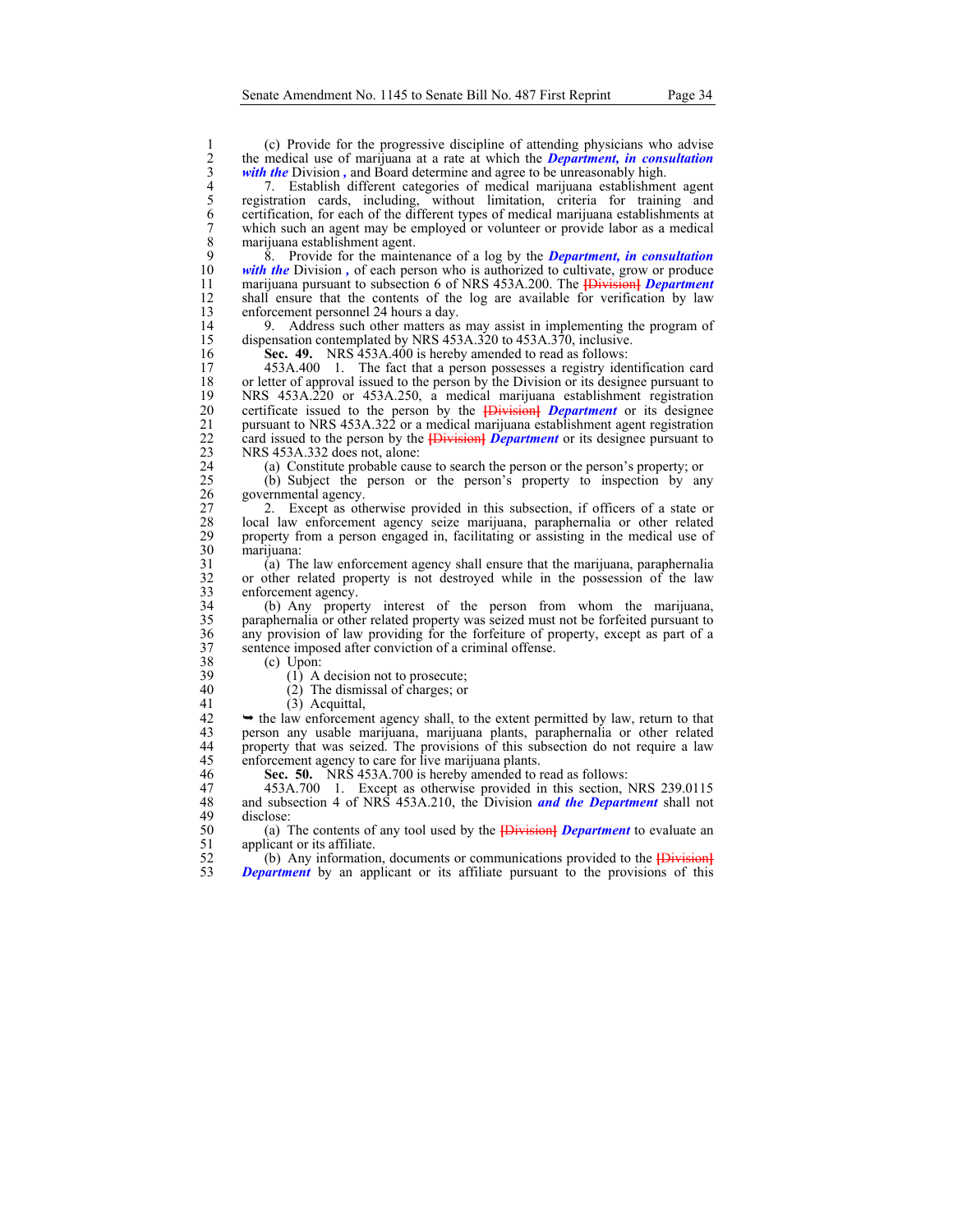4 7. Establish different categories of medical marijuana establishment agent registration cards, including, without limitation, criteria for training and 6 certification, for each of the different types of medical marijuan 5 registration cards, including, without limitation, criteria for training and 6 certification, for each of the different types of medical marijuana establishments at 7 which such an agent may be employed or volunteer or provide labor as a medical 8 marijuana establishment agent.<br>9 8. Provide for the mainte

9 8. Provide for the maintenance of a log by the *Department, in consultation*  with the Division, of each person who is authorized to cultivate, grow or produce 11 marijuana pursuant to subsection 6 of NRS 453A.200. The **[**Division**]** *Department*  12 shall ensure that the contents of the log are available for verification by law enforcement personnel 24 hours a day. enforcement personnel 24 hours a day.

14 9. Address such other matters as may assist in implementing the program of dispensation contemplated by NRS 453A.320 to 453A.370, inclusive. dispensation contemplated by NRS 453A.320 to 453A.370, inclusive.

16 **Sec. 49.** NRS 453A.400 is hereby amended to read as follows:<br>17 453A.400 1. The fact that a person possesses a registry identity

17 453A.400 1. The fact that a person possesses a registry identification card 18 or letter of approval issued to the person by the Division or its designee pursuant to<br>19 NRS 453A.220 or 453A.250, a medical marijuana establishment registration 19 NRS 453A.220 or 453A.250, a medical marijuana establishment registration<br>20 certificate issued to the person by the **Division** *Department* or its designee 20 certificate issued to the person by the **[**Division**]** *Department* or its designee 21 pursuant to NRS 453A.322 or a medical marijuana establishment agent registration card issued to the person by the **H**ivision **Department** or its designee pursuant to 22 card issued to the person by the **[Division]** *Department* or its designee pursuant to NRS 453A.332 does not, alone: NRS 453A.332 does not, alone:

24 (a) Constitute probable cause to search the person or the person's property; or (b) Subject the person or the person's property to inspection by an

25 (b) Subject the person or the person's property to inspection by any governmental agency.

27 2. Except as otherwise provided in this subsection, if officers of a state or 28 local law enforcement agency seize marijuana, paraphernalia or other related 28 local law enforcement agency seize marijuana, paraphernalia or other related 29 property from a person engaged in, facilitating or assisting in the medical use of marijuana: 30 marijuana:

31 (a) The law enforcement agency shall ensure that the marijuana, paraphernalia 32 or other related property is not destroyed while in the possession of the law 33 enforcement agency.<br>34 (b) Any proper

(b) Any property interest of the person from whom the marijuana, 35 paraphernalia or other related property was seized must not be forfeited pursuant to 36 any provision of law providing for the forfeiture of property, except as part of a sentence imposed after conviction of a criminal offense. 37 sentence imposed after conviction of a criminal offense.<br>38 (c) Upon:

38 (c) Upon:<br>39 (1) A

39 (1) A decision not to prosecute;<br>40 (2) The dismissal of charges; or

40 (2) The dismissal of charges; or

41 (3) Acquittal,<br>42  $\rightarrow$  the law enforcement  $42$   $\rightarrow$  the law enforcement agency shall, to the extent permitted by law, return to that person any usable marijuana, marijuana plants, paraphernalia or other related 43 person any usable marijuana, marijuana plants, paraphernalia or other related 44 property that was seized. The provisions of this subsection do not require a law 45 enforcement agency to care for live marijuana plants.<br>46 **Sec. 50.** NRS 453A.700 is hereby amended to to

Sec. 50. NRS 453A.700 is hereby amended to read as follows:

47 453A.700 1. Except as otherwise provided in this section, NRS 239.0115<br>48 and subsection 4 of NRS 453A.210, the Division *and the Department* shall not 48 and subsection 4 of NRS 453A.210, the Division *and the Department* shall not disclose:

50 (a) The contents of any tool used by the **[**Division**]** *Department* to evaluate an 51 applicant or its affiliate.<br>52 (b) Any information

 $\begin{bmatrix} 52 \\ 53 \end{bmatrix}$  (b) Any information, documents or communications provided to the  $\begin{bmatrix} 1 & 0 \\ 0 & 1 \end{bmatrix}$ <br> **Department** by an applicant or its affiliate pursuant to the provisions of this **Department** by an applicant or its affiliate pursuant to the provisions of this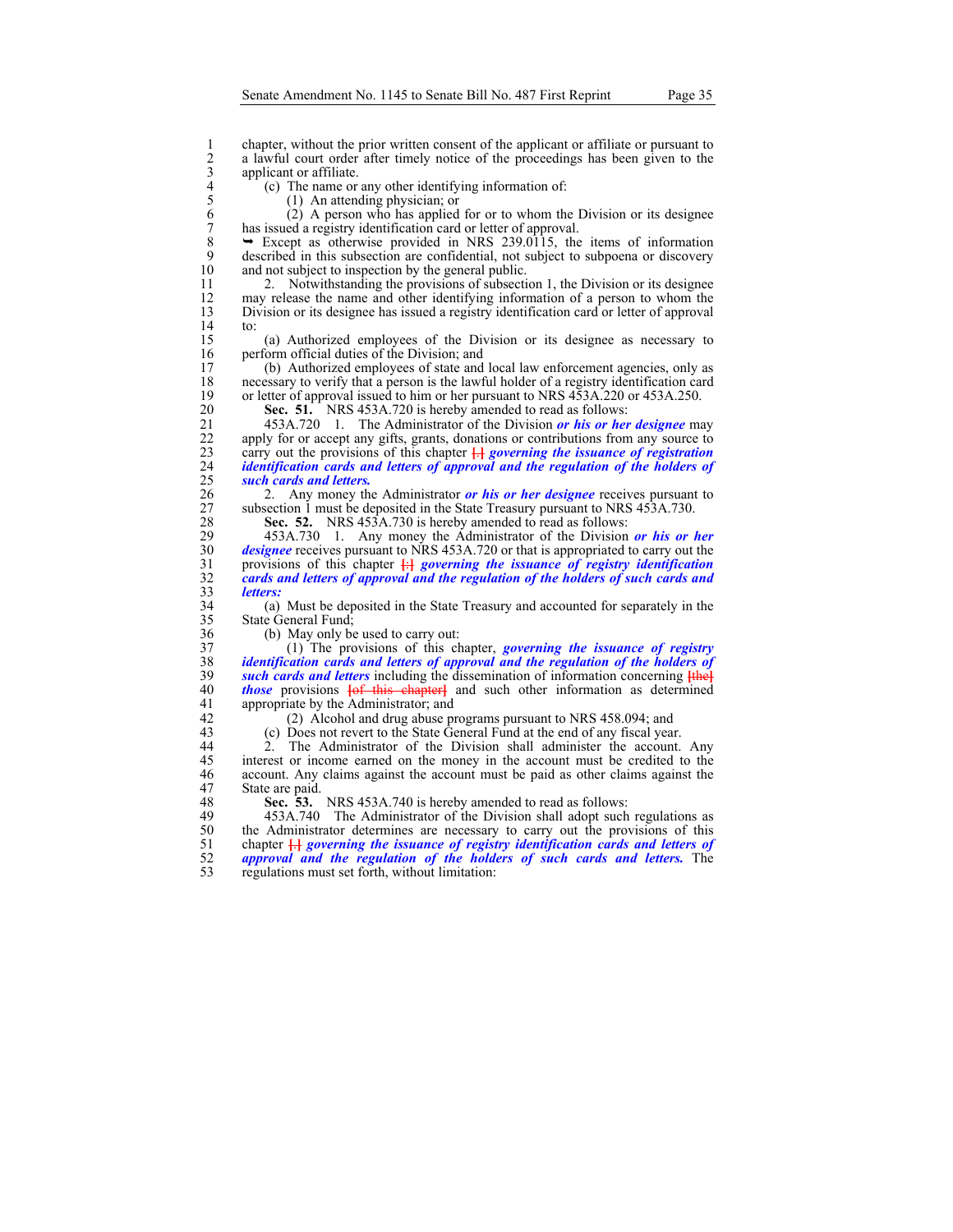2 chapter, without the prior written consent of the applicant or affiliate or pursuant to<br>
2 a lawful court order after timely notice of the proceedings has been given to the<br>
4 applicant or affiliate.<br>
(c) The name or any a lawful court order after timely notice of the proceedings has been given to the applicant or affiliate.

4 (c) The name or any other identifying information of:

5 (1) An attending physician; or

 $\frac{14}{15}$ 

 $(2)$  A person who has applied for or to whom the Division or its designee 7 has issued a registry identification card or letter of approval.<br>8  $\rightarrow$  Except as otherwise provided in NRS 239.0115, the

 $8 \rightarrow$  Except as otherwise provided in NRS 239.0115, the items of information described in this subsection are confidential, not subject to subpoena or discovery 9 described in this subsection are confidential, not subject to subpoena or discovery<br>10 and not subject to inspection by the general public. and not subject to inspection by the general public.

11 2. Notwithstanding the provisions of subsection 1, the Division or its designee 12 may release the name and other identifying information of a person to whom the Division or its designee has issued a registry identification card or letter of approval 13 Division or its designee has issued a registry identification card or letter of approval

15 (a) Authorized employees of the Division or its designee as necessary to 16 perform official duties of the Division; and 17 (b) Authorized employees of state and

17 (b) Authorized employees of state and local law enforcement agencies, only as 18 necessary to verify that a person is the lawful holder of a registry identification card<br>19 or letter of approval issued to him or her pursuant to NRS 453A.220 or 453A.250. 19 or letter of approval issued to him or her pursuant to NRS 453A.220 or 453A.250.<br>20 **Sec. 51.** NRS 453A.720 is hereby amended to read as follows:

Sec. 51. NRS 453A.720 is hereby amended to read as follows:

21 453A.720 1. The Administrator of the Division *or his or her designee* may 22 apply for or accept any gifts, grants, donations or contributions from any source to carry out the provisions of this chapter  $\overline{H}$  governing the issuance of registration carry out the provisions of this chapter  $\frac{1}{2}$  *governing the issuance of registration* 24 *identification cards and letters of approval and the regulation of the holders of*  25 *such cards and letters.*

26 2. Any money the Administrator *or his or her designee* receives pursuant to 27 subsection 1 must be deposited in the State Treasury pursuant to NRS 453A.730.<br>28 Sec. 52. NRS 453A.730 is hereby amended to read as follows:

28 **Sec. 52.** NRS 453A.730 is hereby amended to read as follows:<br>29 453A.730 1. Any money the Administrator of the Division

29 453A.730 1. Any money the Administrator of the Division *or his or her*  30 *designee* receives pursuant to NRS 453A.720 or that is appropriated to carry out the provisions of this chapter  $\frac{1}{12}$  governing the issuance of registry identification 31 provisions of this chapter **[**:**]** *governing the issuance of registry identification*  32 *cards and letters of approval and the regulation of the holders of such cards and*  33 *letters:*

(a) Must be deposited in the State Treasury and accounted for separately in the 35 State General Fund;

36 (b) May only be used to carry out:<br>37 (1) The provisions of this ch

37 (1) The provisions of this chapter, *governing the issuance of registry*  38 *identification cards and letters of approval and the regulation of the holders of*  **such cards and letters** including the dissemination of information concerning  $\frac{f_{th}}{f_{th}}$ 40 *those* provisions **[**of this chapter**]** and such other information as determined 41 appropriate by the Administrator; and<br>42 (2) Alcohol and drug abuse pr

42 (2) Alcohol and drug abuse programs pursuant to NRS 458.094; and (c) Does not revert to the State General Fund at the end of any fiscal year

43 (c) Does not revert to the State General Fund at the end of any fiscal year.

44 2. The Administrator of the Division shall administer the account. Any 45 interest or income earned on the money in the account must be credited to the 46 account. Any claims against the account must be paid as other claims against the 47 State are paid.<br>48 Sec. 53.

48 **Sec. 53.** NRS 453A.740 is hereby amended to read as follows:<br>49 453A.740 The Administrator of the Division shall adopt such 49 453A.740 The Administrator of the Division shall adopt such regulations as 50 the Administrator determines are necessary to carry out the provisions of this chapter  $\frac{1}{2}$  chapter  $\frac{1}{2}$  coverning the issuance of registry identification cards and letters of 51 chapter **[**.**]** *governing the issuance of registry identification cards and letters of*  52 *approval and the regulation of the holders of such cards and letters.* The 53 regulations must set forth, without limitation: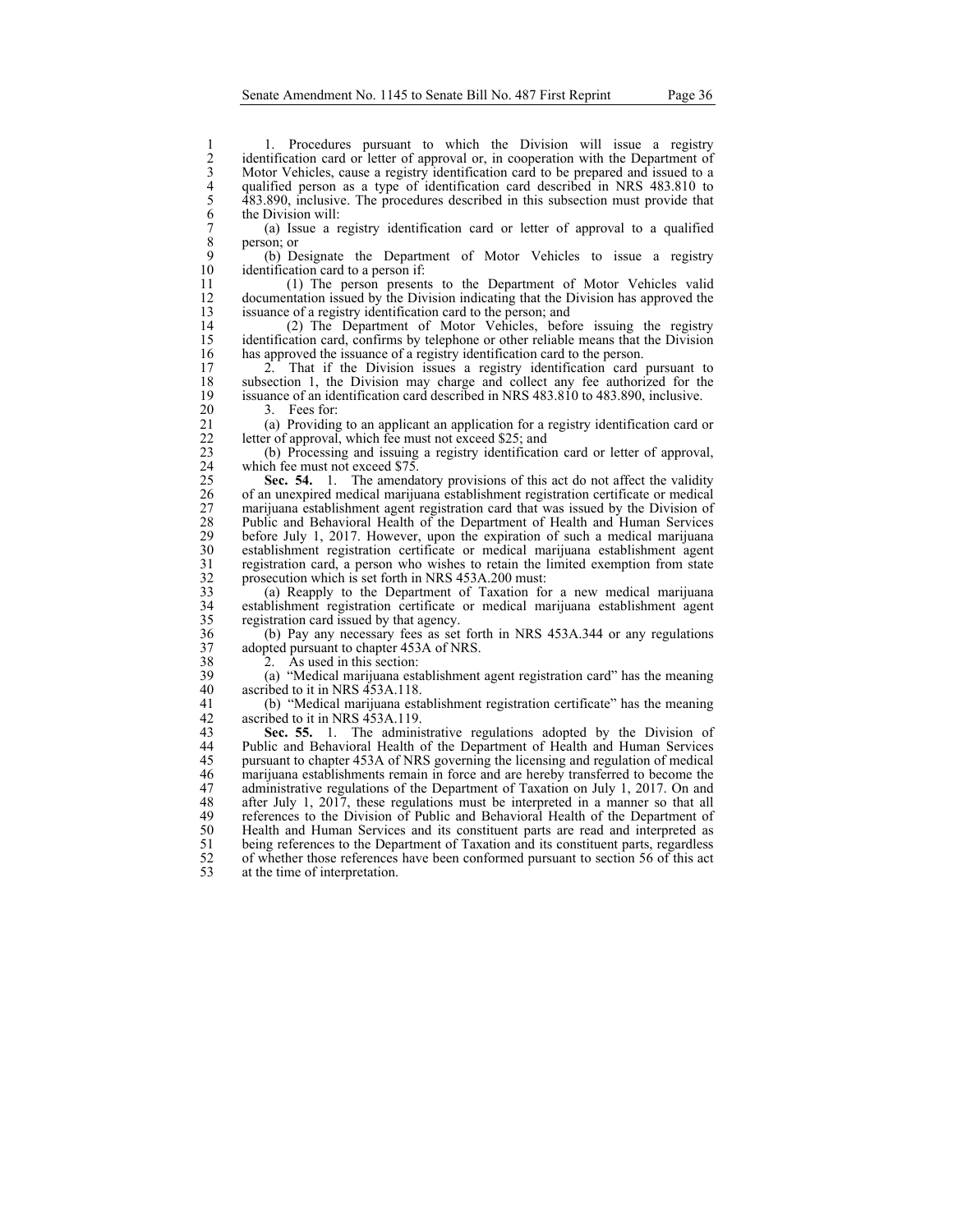1. Procedures pursuant to which the Division will issue a registry<br>
2. identification card or letter of approval or, in cooperation with the Department of<br>
3. Motor Vehicles, cause a registry identification card to be prep identification card or letter of approval or, in cooperation with the Department of Motor Vehicles, cause a registry identification card to be prepared and issued to a qualified person as a type of identification card described in NRS 483.810 to 5 483.890, inclusive. The procedures described in this subsection must provide that the Division will:

7 (a) Issue a registry identification card or letter of approval to a qualified  $\begin{array}{c} 8 \\ 9 \end{array}$  person; or

9 (b) Designate the Department of Motor Vehicles to issue a registry identification card to a person if:

11 (1) The person presents to the Department of Motor Vehicles valid 12 documentation issued by the Division indicating that the Division has approved the issuance of a registry identification card to the person; and issuance of a registry identification card to the person; and

14 (2) The Department of Motor Vehicles, before issuing the registry identification card, confirms by telephone or other reliable means that the Division identification card, confirms by telephone or other reliable means that the Division 16 has approved the issuance of a registry identification card to the person.<br>17 2. That if the Division issues a registry identification card

17 2. That if the Division issues a registry identification card pursuant to subsection 1, the Division may charge and collect any fee authorized for the 18 subsection 1, the Division may charge and collect any fee authorized for the issuance of an identification card described in NRS 483.810 to 483.890, inclusive. 19 issuance of an identification card described in NRS 483.810 to 483.890, inclusive.

20 3. Fees for:<br>21 (a) Providing 21 (a) Providing to an applicant an application for a registry identification card or letter of approval, which fee must not exceed \$25; and 22 letter of approval, which fee must not exceed \$25; and<br>23 (b) Processing and issuing a registry identification

23 (b) Processing and issuing a registry identification card or letter of approval, 24 which fee must not exceed \$75.<br>25 **Sec. 54.** 1. The amenda

25 **Sec. 54.** 1. The amendatory provisions of this act do not affect the validity of an unexpired medical marijuana establishment registration certificate or medical 26 of an unexpired medical marijuana establishment registration certificate or medical 27 marijuana establishment agent registration card that was issued by the Division of 28 Public and Behavioral Health of the Department of Health and Human Services<br>29 before July 1, 2017. However, upon the expiration of such a medical marijuana 29 before July 1, 2017. However, upon the expiration of such a medical marijuana<br>20 establishment registration certificate or medical marijuana establishment agent 30 establishment registration certificate or medical marijuana establishment agent 31 registration card, a person who wishes to retain the limited exemption from state prosecution which is set forth in NRS 453A.200 must: 32 prosecution which is set forth in NRS 453A.200 must:<br>33 (a) Reapply to the Department of Taxation fo

33 (a) Reapply to the Department of Taxation for a new medical marijuana<br>34 establishment registration certificate or medical marijuana establishment agent establishment registration certificate or medical marijuana establishment agent 35 registration card issued by that agency.

36 (b) Pay any necessary fees as set forth in NRS 453A.344 or any regulations 37 adopted pursuant to chapter 453A of NRS.<br>38 2. As used in this section:

38 2. As used in this section:<br>39 (a) "Medical marijuana esta 39 (a) "Medical marijuana establishment agent registration card" has the meaning ascribed to it in NRS 453A.118.

41 (b) "Medical marijuana establishment registration certificate" has the meaning 42 ascribed to it in NRS 453A.119.<br>43 **Sec. 55.** 1. The adminis

Sec. 55. 1. The administrative regulations adopted by the Division of 44 Public and Behavioral Health of the Department of Health and Human Services 45 pursuant to chapter 453A of NRS governing the licensing and regulation of medical 46 marijuana establishments remain in force and are hereby transferred to become the marijuana establishments remain in force and are hereby transferred to become the 47 administrative regulations of the Department of Taxation on July 1, 2017. On and 48 after July 1, 2017, these regulations must be interpreted in a manner so that all 48 after July 1, 2017, these regulations must be interpreted in a manner so that all references to the Division of Public and Behavioral Health of the Department of references to the Division of Public and Behavioral Health of the Department of 50 Health and Human Services and its constituent parts are read and interpreted as being references to the Department of Taxation and its constituent parts, regardless 51 being references to the Department of Taxation and its constituent parts, regardless of whether those references have been conformed pursuant to section 56 of this act 52 of whether those references have been conformed pursuant to section 56 of this act<br>53 at the time of interpretation. at the time of interpretation.